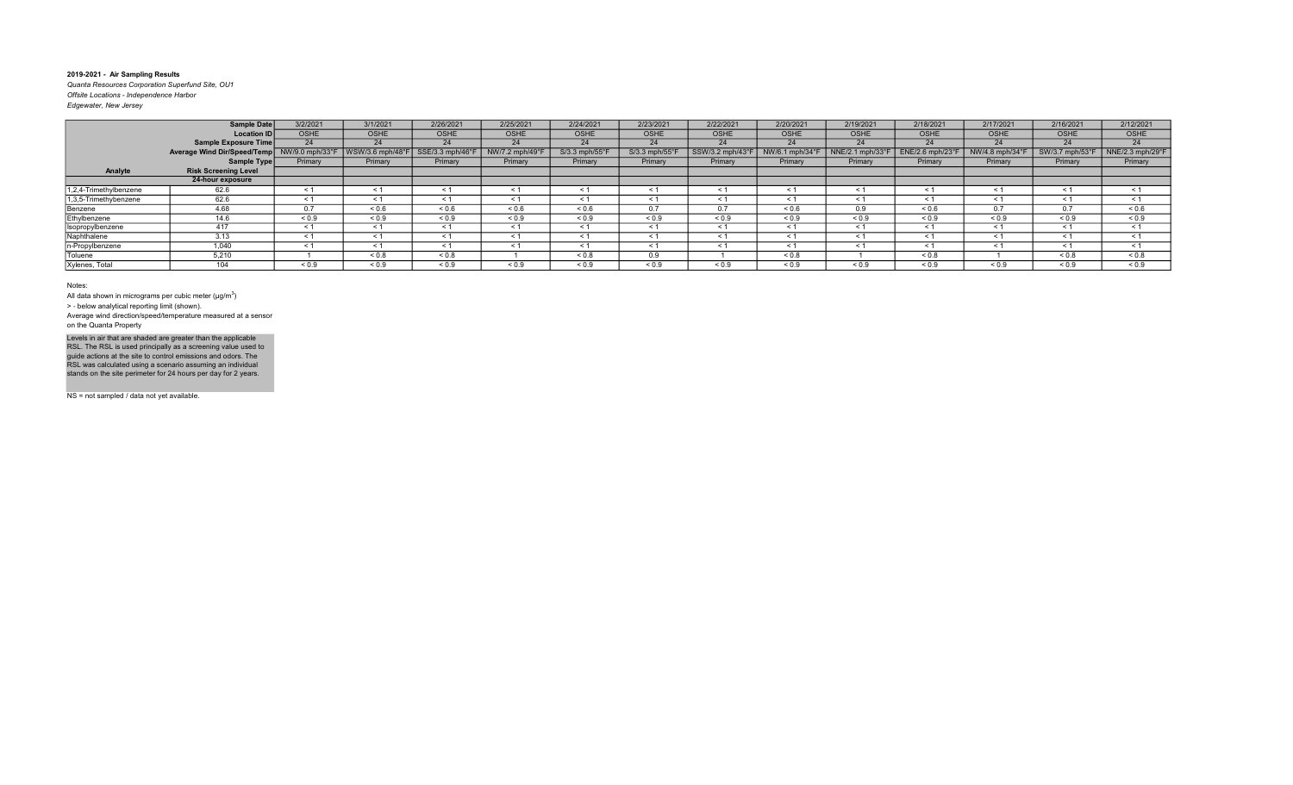Quanta Resources Corporation Superfund Site, OU1 Offsite Locations - Independence Harbor Edgewater, New Jersey

| Eugewater, ivew Jersey |  |  |
|------------------------|--|--|
|                        |  |  |

|                        | <b>Sample Date</b>          | 3/2/2021        | 3/1/2021        | 2/26/2021      | 2/25/2021      | 2/24/2021      | 2/23/2021                  | 2/22/2021      | 2/20/2021       | 2/19/2021        | 2/18/2021           | 2/17/2021       | 2/16/2021       | 2/12/2021        |
|------------------------|-----------------------------|-----------------|-----------------|----------------|----------------|----------------|----------------------------|----------------|-----------------|------------------|---------------------|-----------------|-----------------|------------------|
|                        | <b>Location ID</b>          | <b>OSHE</b>     | OSHE            | <b>OSHE</b>    | <b>OSHE</b>    | <b>OSHE</b>    | OSHE                       | <b>OSHE</b>    | <b>OSHE</b>     | OSHE             | <b>OSHE</b>         | <b>OSHE</b>     | OSHE            | OSHE             |
|                        | Sample Exposure Time        | 24              | 24              | 24             | 24             | 24             | 24                         | 24             | 24              | 24               | 24                  | 24              | 24              | 24               |
|                        | Average Wind Dir/Speed/Temp | NW/9.0 mph/33°F | WSW/3.6 mph/48° | SSE/3.3 mph/46 | NW/7.2 mph/49° | S/3.3 mph/55°F | $S/3.3$ mph/55 $\degree$ F | SSW/3.2 mph/43 | NW/6.1 mph/34°I | NNE/2.1 mph/33°F | ENE/2.6 mph/23°     | NW/4.8 mph/34°F | SW/3.7 mph/53°F | NNE/2.3 mph/29°F |
|                        | Sample Type                 | Primary         | Primary         | Primary        | Primary        | Primary        | Primary                    | Primary        | Primary         | Primary          | Primary             | Primary         | Primary         | Primary          |
| Analyte                | <b>Risk Screening Level</b> |                 |                 |                |                |                |                            |                |                 |                  |                     |                 |                 |                  |
|                        | 24-hour exposure            |                 |                 |                |                |                |                            |                |                 |                  |                     |                 |                 |                  |
| 1,2,4-Trimethylbenzene | 62.6                        | $\leq 1$        | $\leq 1$        | $\leq$ 1       | $\leq 1$       | - 1            | $\leq 1$                   | - 1            | - < 1           | $\leq$ 1         | $\leq 1$            | $\leq 1$        | $\leq 1$        | $\leq 1$         |
| 1,3,5-Trimethybenzene  | 62.6                        | < 1             | < 1             | < 1            | < 1            | $\leq 1$       | < 1                        | < 1            | < 1             | $\leq 1$         | < 1                 | < 1             | $\leq$ 1        | < 1              |
| Benzene                | 4.68                        | 0.7             | 0.6             | 0.6            | ${}_{0.6}$     | ${}_{0.6}$     | 0.7                        | 0.7            | ${}^{5}$ 0.6    | 0.9              | ${}^{5}$ $\leq$ 0.6 | 0.7             | 0.7             | 0.6              |
| Ethylbenzene           | 14.6                        | ${}_{0.9}$      | ${}_{0.9}$      | ${}_{0.9}$     | ${}_{0.9}$     | ${}_{0.9}$     | ${}_{0.9}$                 | ${}_{0.9}$     | ${}_{0.9}$      | ${}_{0.9}$       | ${}^{5}$ < 0.9      | ${}_{0.9}$      | ${}_{0.9}$      | ${}_{0.9}$       |
| Isopropylbenzene       | 417                         | $\leq 1$        | < 1             | $\leq$         | < 1            | $\leq$ 1       | < 1                        | < 1            | $\leq 1$        | $\leq$ 1         | < 1                 | < 1             | - < 1           | < 1              |
| Naphthalene            | 3.13                        | $\leq 1$        | $\leq 1$        | < 1            | < 1            | ≺ 1            | < 1                        | < 1            | $\leq 1$        | $\leq 1$         | < 1                 | $\leq 1$        | < 1             | < 1              |
| n-Propylbenzene        | 1,040                       | $\leq 1$        | < 1             | $\leq$         | < 1            | < 1            | < 1                        | < 1            | $\leq$          | $\prec$ $\sim$   | < 1                 | < 1             | < 1             | < 1              |
| Toluene                | 5,210                       |                 | ${}_{0.8}$      | 0.8            |                | ${}_{0.8}$     | 0.9                        |                | ${}_{0.8}$      |                  | ${}_{0.8}$          |                 | ${}_{0.8}$      | 0.8              |
| Xylenes, Total         | 40A                         | ${}_{0.9}$      | ${}_{0.9}$      | ${}_{0.9}$     | ${}_{0.9}$     | ${}_{0.9}$     | ${}_{0.9}$                 | ${}_{0.9}$     | ${}_{0.9}$      | ${}_{0.9}$       | ${}_{0.9}$          | ${}_{0.9}$      | ${}_{0.9}$      | ${}_{0.9}$       |

#### Notes:

All data shown in micrograms per cubic meter ( $\mu$ g/m $^3$ )

> ‐ below analytical reporting limit (shown).

Average wind direction/speed/temperature measured at a sensor on the Quanta Property

Levels in air that are shaded are greater than the applicable<br>RSL. The RSL is used principally as a screening value used to<br>guide actions at the site to control emissions and odors. The<br>RSL was calculated using a scenario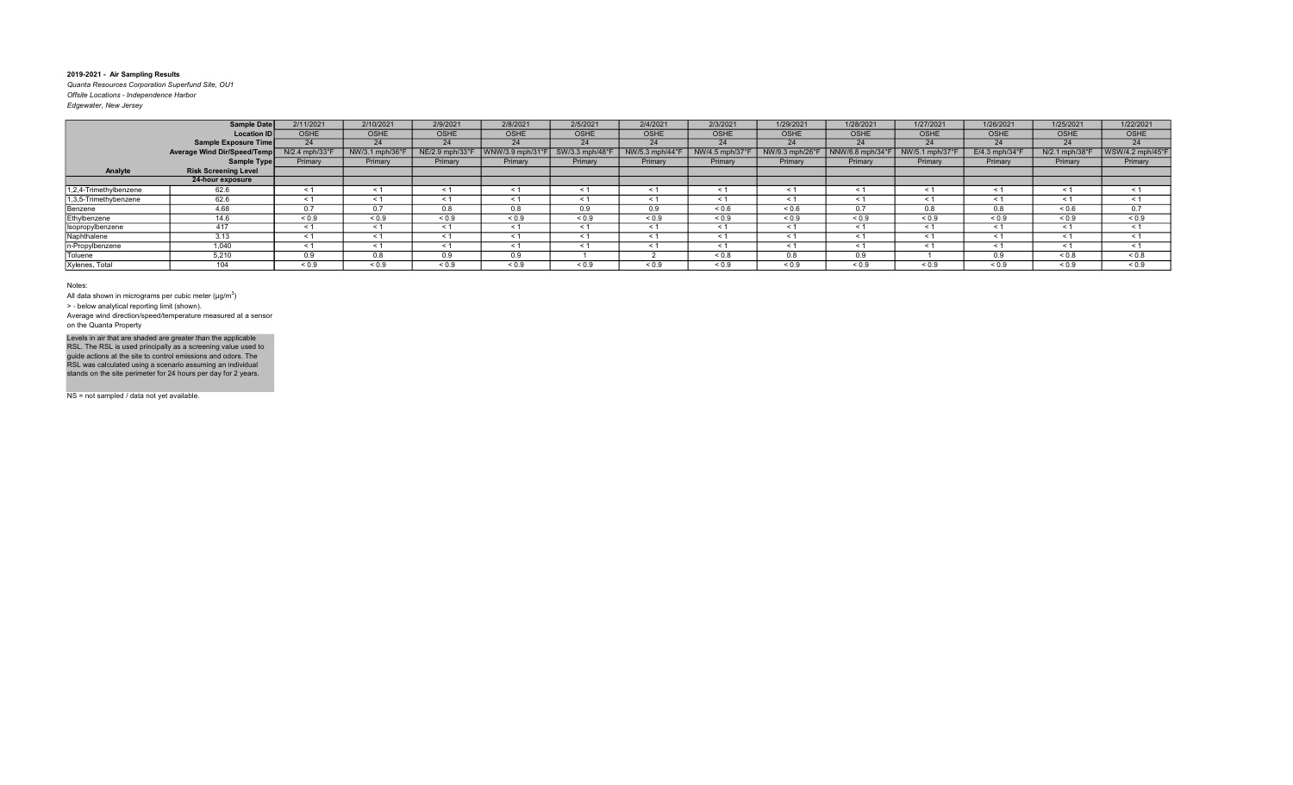Quanta Resources Corporation Superfund Site, OU1 Offsite Locations - Independence Harbor Edgewater, New Jersey

|                        | <b>Sample Date</b>          | 2/11/2021                 | 2/10/2021       | 2/9/2021        | 2/8/2021        | 2/5/2021        | 2/4/2021        | 2/3/2021        | 1/29/2021       | 1/28/2021             | 1/27/2021       | 1/26/2021                  | 1/25/2021      | 1/22/2021        |
|------------------------|-----------------------------|---------------------------|-----------------|-----------------|-----------------|-----------------|-----------------|-----------------|-----------------|-----------------------|-----------------|----------------------------|----------------|------------------|
|                        | <b>Location ID</b>          | <b>OSHE</b>               | OSHE            | <b>OSHE</b>     | <b>OSHE</b>     | <b>OSHE</b>     | OSHE            | <b>OSHE</b>     | <b>OSHE</b>     | <b>OSHE</b>           | <b>OSHE</b>     | OSHE                       | <b>OSHE</b>    | OSHE             |
|                        | Sample Exposure Time        | 24                        | 24              | 24              | 24              | 24              | 24              | 24              | 24              | 24                    | 24              | 24                         | 24             | 24               |
|                        | Average Wind Dir/Speed/Temp | $N/2.4$ mph/33 $^{\circ}$ | NW/3.1 mph/36°F | NE/2.9 mph/33°F | WNW/3.9 mph/31° | SW/3.3 mph/48°F | NW/5.3 mph/44°F | NW/4.5 mph/37°F | NW/9.3 mph/26°F | NNW/6.8 mph/34°       | NW/5.1 mph/37°F | $E/4.3$ mph/34 $\degree$ F | N/2.1 mph/38°F | WSW/4.2 mph/45°F |
|                        | Sample Type                 | Primary                   | Primary         | Primary         | Primary         | Primary         | Primary         | Primary         | Primary         | Primary               | Primary         | Primary                    | Primary        | Primary          |
| Analyte                | <b>Risk Screening Level</b> |                           |                 |                 |                 |                 |                 |                 |                 |                       |                 |                            |                |                  |
|                        | 24-hour exposure            |                           |                 |                 |                 |                 |                 |                 |                 |                       |                 |                            |                |                  |
| 1,2,4-Trimethylbenzene | 62.6                        | $\leq 1$                  | $\leq 1$        | ≺ 1             | $\leq$ 1        | $\leq 1$        | $\leq$ 1        | $\leq 1$        | $\leq 1$        | $\tilde{\phantom{0}}$ | $\leq$ 1        | $\leq 1$                   | $\leq$ 1       | $\leq$ 1         |
| 1,3,5-Trimethybenzene  | 62.6                        | $\leq 1$                  | $\leq 1$        |                 | $\leq$ 1        | $\leq 1$        |                 | $\leq 1$        | $\leq 1$        | $\prec$               | $\leq$ 1        | $\leq 1$                   | $\tilde{}$     | $\leq$ 1         |
| Benzene                | 4.68                        | 0.7                       | 0.7             | 0.8             | 0.8             | 0.9             | 0.9             | ${}^{5}$ 0.6    | ${}^{5}$ 0.6    | 0.7                   | 0.8             | 0.8                        | 0.6            | 0.7              |
| Ethylbenzene           | 14.6                        | ${}_{0.9}$                | ${}_{0.9}$      | ${}_{0.9}$      | ${}_{0.9}$      | ${}_{0.9}$      | ${}_{0.9}$      | ${}_{0.9}$      | ${}_{0.9}$      | ${}_{0.9}$            | ${}_{0.9}$      | ${}_{0.9}$                 | ${}_{0.9}$     | ${}_{0.9}$       |
| Isopropylbenzene       | 417                         | $\leq 1$                  | $\leq 1$        | < 1             | $\leq 1$        | $\leq 1$        | < 1             | $\leq 1$        | $\leq 1$        | < 1                   | $\leq$ 1        | $\leq 1$                   | $<$ 1          | $\leq$ 1         |
| Naphthalene            | 3.13                        | < 1                       | < 1             | < 1             | < 1             | $\leq 1$        | $\leq$ 1        | < 1             | $\leq 1$        | < 1                   | < 1             | $\leq 1$                   | $\leq$ 1       | < 1              |
| n-Propylbenzene        | 1,040                       | $\leq 1$                  | < 1             | < 1             | $\leq 1$        | < 1             | < 1             | < 1             | $\leq 1$        | $\leq$ 1              | < 1             | $\leq 1$                   | < 1            | < 1              |
| Toluene                | 5,210                       | 0.9                       | 0.8             | 0.9             | 0.9             |                 |                 | ${}_{0.8}$      | 0.8             | 0.9                   |                 | 0.9                        | ${}_{0.8}$     | ${}_{0.8}$       |
| Xylenes, Total         | 104                         | ${}_{0.9}$                | ${}_{0.9}$      | ${}_{0.9}$      | ${}_{0.9}$      | ${}_{0.9}$      | ${}_{0.9}$      | ${}_{0.9}$      | ${}_{0.9}$      | ${}_{0.9}$            | ${}_{0.9}$      | ${}_{0.9}$                 | ${}_{0.9}$     | ${}_{0.9}$       |

Notes:

All data shown in micrograms per cubic meter ( $\mu$ g/m $^3$ )

> ‐ below analytical reporting limit (shown).

Average wind direction/speed/temperature measured at a sensor on the Quanta Property

Levels in air that are shaded are greater than the applicable<br>RSL. The RSL is used principally as a screening value used to<br>guide actions at the site to control emissions and odors. The<br>RSL was calculated using a scenario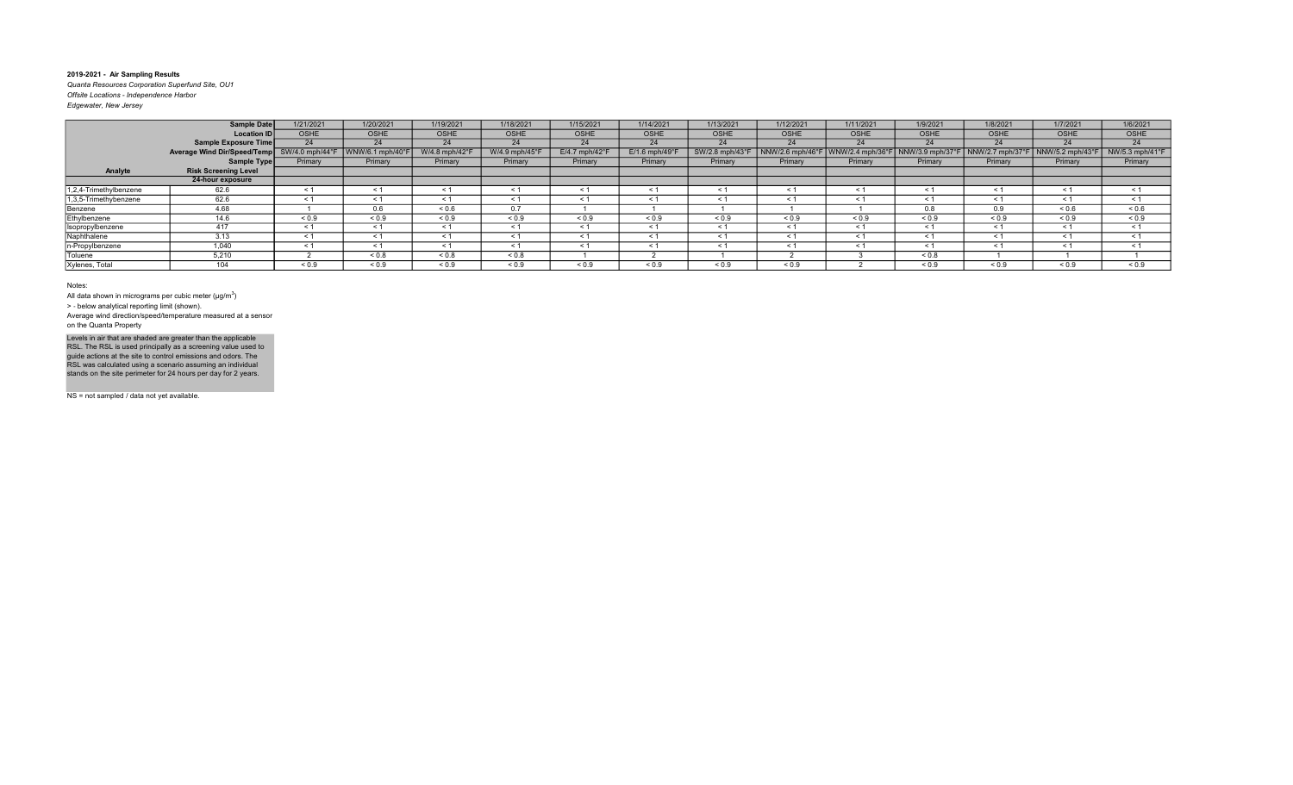Quanta Resources Corporation Superfund Site, OU1 Offsite Locations - Independence Harbor Edgewater, New Jersey

|                        | Sample Date                                 | 1/21/2021   | 1/20/2021                      | 1/19/2021      | 1/18/2021           | 1/15/2021        | 1/14/2021                  | 1/13/2021      | 1/12/2021       | 1/11/2021            | 1/9/2021         | 1/8/2021         | 1/7/2021         | 1/6/2021        |
|------------------------|---------------------------------------------|-------------|--------------------------------|----------------|---------------------|------------------|----------------------------|----------------|-----------------|----------------------|------------------|------------------|------------------|-----------------|
|                        | <b>Location ID</b>                          | <b>OSHE</b> | <b>OSHE</b>                    | <b>OSHE</b>    | OSHE                | <b>OSHE</b>      | <b>OSHE</b>                | <b>OSHE</b>    | <b>OSHE</b>     | <b>OSHE</b>          | <b>OSHE</b>      | <b>OSHE</b>      | <b>OSHE</b>      | OSHE            |
|                        | Sample Exposure Time                        | 24          | 24                             | 24             | 24                  | 24               | 24                         | 24             | 24              | 24                   | 24               | 24               | 24               | 24              |
|                        | Average Wind Dir/Speed/Temp SW/4.0 mph/44°F |             | $\sqrt{\frac{W}{6.1}}$ mph/40° | W/4.8 mph/42°F | W/4.9 mph/45°       | $E/4.7$ mph/42°F | $E/1.6$ mph/49 $\degree$ F | SW/2.8 mph/43° | NNW/2.6 mph/46° | $ $ WNW/2.4 mph/36°F | NNW/3.9 mph/37°F | NNW/2.7 mph/37°F | NNW/5.2 mph/43°F | NW/5.3 mph/41°F |
|                        | Sample Type                                 | Primary     | Primary                        | Primary        | Primary             | Primary          | Primary                    | Primary        | Primary         | Primary              | Primary          | Primary          | Primary          | Primary         |
| Analyte                | <b>Risk Screening Level</b>                 |             |                                |                |                     |                  |                            |                |                 |                      |                  |                  |                  |                 |
|                        | 24-hour exposure                            |             |                                |                |                     |                  |                            |                |                 |                      |                  |                  |                  |                 |
| 1,2,4-Trimethylbenzene | 62.6                                        | $\leq$ 1    | $\leq 1$                       | ≺ 1            | < 1                 | $\leq 1$         | ≺ 1                        | < 1            | $\leq 1$        | $\leq 1$             | $\leq$ 1         | $\leq 1$         | $\leq 1$         | $\leq$ 1        |
| 1,3,5-Trimethybenzene  | 62.6                                        | $\leq$ 1    | $\leq 1$                       |                | $\leq 1$            | < 1              | $\prec$                    | $\leq 1$       | $\leq 1$        |                      | $\leq$ 1         | $\leq 1$         | $\tilde{}$       | $\leq$ 1        |
| Benzene                | 4.68                                        |             | 0.6                            | ${}_{0.6}$     | 0.7                 |                  |                            |                |                 |                      | 0.8              | 0.9              | 0.6              | ${}_{0.6}$      |
| Ethylbenzene           | 14.6                                        | ${}_{0.9}$  | ${}_{0.9}$                     | ${}_{0.9}$     | ${}_{0.9}$          | ${}_{0.9}$       | ${}_{0.9}$                 | ${}_{0.9}$     | ${}_{0.9}$      | ${}_{0.9}$           | ${}_{0.9}$       | ${}_{0.9}$       | ${}_{0.9}$       | ${}_{0.9}$      |
| Isopropylbenzene       | 417                                         | $\leq 1$    | $\leq 1$                       |                | < 1                 | $\leq 1$         | < 1                        | $\leq 1$       | $\leq 1$        | < 1                  | $\leq 1$         | $\leq 1$         | < 1              | $\leq$ 1        |
| Naphthalene            | 3.13                                        | $\leq$ 1    | < 1                            | < 1            | < 1                 | < 1              | < 1                        | < 1            | < 1             | < 1                  | < 1              | < 1              | $\leq$ 1         | $\leq$ 1        |
| n-Propylbenzene        | 1.040                                       | < 1         | < 1                            | < 1            | < 1                 | < 1              | < 1                        | < 1            | < 1             | < 1                  | < 1              | < 1              | < 1              | < 1             |
| Toluene                | 5,210                                       |             | 0.8                            | ${}_{0.8}$     | ${}_{0.8}$          |                  |                            |                |                 |                      | ${}_{0.8}$       |                  |                  |                 |
| Xylenes, Total         | 104                                         | ${}_{0.9}$  | ${}_{0.9}$                     | ${}_{0.9}$     | ${}^{5}$ ${}^{0.9}$ | ${}_{0.9}$       | ${}_{0.9}$                 | ${}_{0.9}$     | ${}_{0.9}$      |                      | ${}_{0.9}$       | ${}_{0.9}$       | ${}_{0.9}$       | ${}_{0.9}$      |

Notes:

All data shown in micrograms per cubic meter ( $\mu$ g/m $^3$ )

> ‐ below analytical reporting limit (shown).

Average wind direction/speed/temperature measured at a sensor on the Quanta Property

Levels in air that are shaded are greater than the applicable<br>RSL. The RSL is used principally as a screening value used to<br>guide actions at the site to control emissions and odors. The<br>RSL was calculated using a scenario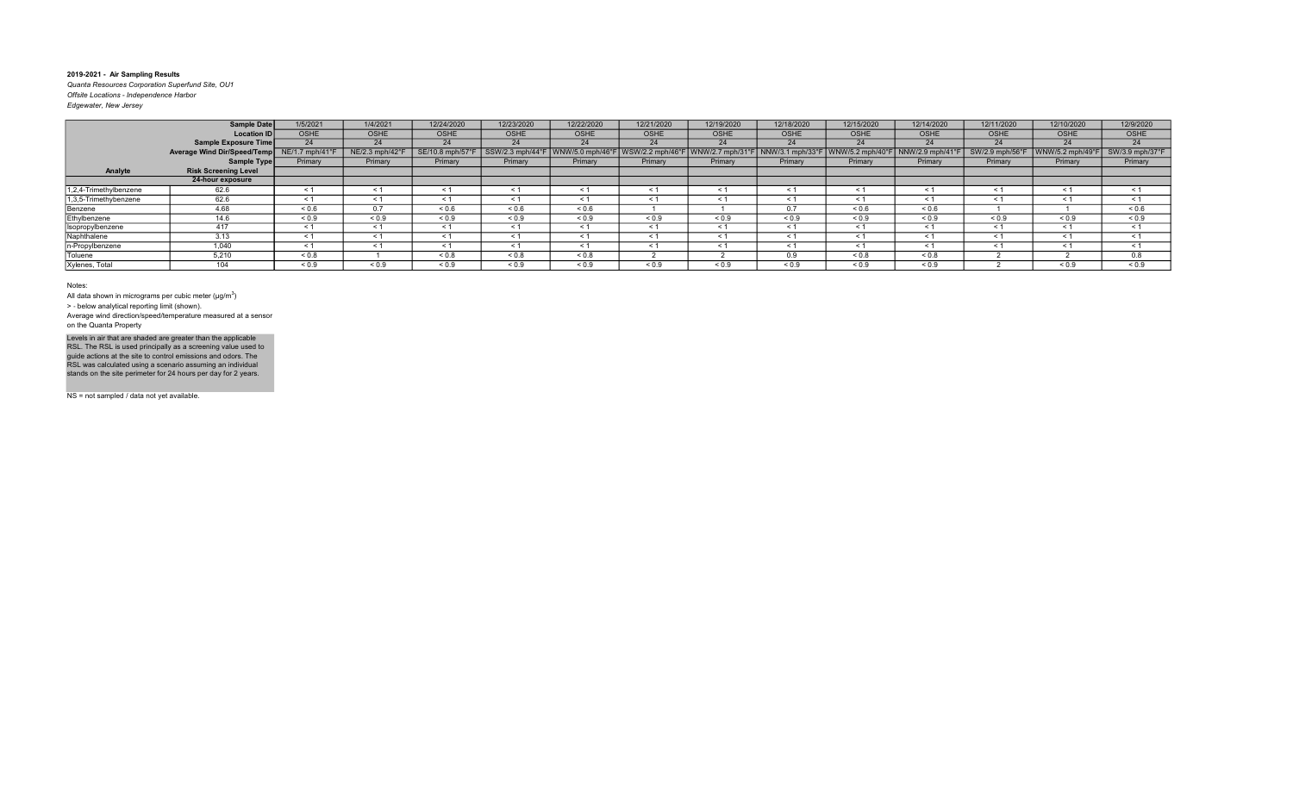Quanta Resources Corporation Superfund Site, OU1 Offsite Locations - Independence Harbor Edgewater, New Jersey

|                        | <b>Sample Date</b>          | 1/5/2021       | 1/4/2021        | 12/24/2020       | 12/23/2020       | 12/22/2020      | 12/21/2020       | 12/19/2020       | 12/18/2020       | 12/15/2020       | 12/14/2020     | 12/11/2020      | 12/10/2020       | 12/9/2020       |
|------------------------|-----------------------------|----------------|-----------------|------------------|------------------|-----------------|------------------|------------------|------------------|------------------|----------------|-----------------|------------------|-----------------|
|                        | <b>Location ID</b>          | <b>OSHE</b>    | <b>OSHE</b>     | <b>OSHE</b>      | <b>OSHE</b>      | <b>OSHE</b>     | OSHE             | <b>OSHE</b>      | <b>OSHE</b>      | <b>OSHE</b>      | <b>OSHE</b>    | OSHE            | <b>OSHE</b>      | OSHE            |
|                        | Sample Exposure Time        | 24             | 24              | 24               | 24               | 24              | 24               | 24               | 24               | 24               | 24             | 24              | 24               | 24              |
|                        | Average Wind Dir/Speed/Temp | NE/1.7 mph/41° | NE/2.3 mph/42°F | SE/10.8 mph/57°F | SSW/2.3 mph/44°F | WNW/5.0 mph/46° | WSW/2.2 mph/46°F | WNW/2.7 mph/31°F | NNW/3.1 mph/33°l | WNW/5.2 mph/40°F | NNW/2.9 mph/41 | SW/2.9 mph/56°F | WNW/5.2 mph/49°F | SW/3.9 mph/37°F |
|                        | Sample Type                 | Primary        | Primary         | Primary          | Primary          | Primary         | Primary          | Primary          | Primary          | Primary          | Primary        | Primary         | Primary          | Primary         |
| Analyte                | <b>Risk Screening Level</b> |                |                 |                  |                  |                 |                  |                  |                  |                  |                |                 |                  |                 |
|                        | 24-hour exposure            |                |                 |                  |                  |                 |                  |                  |                  |                  |                |                 |                  |                 |
| 1,2,4-Trimethylbenzene | 62.6                        | < 1            | < 1             | $\leq$ 1         | < 1              | $\leq 1$        | < 1              | $\leq$ 1         | $\leq 1$         | < 1              | $\leq$         | $\leq 1$        | < 1              | $\leq$ 1        |
| 1,3,5-Trimethybenzene  | 62.6                        | $\leq$ 1       | < 1             |                  | $\leq 1$         | $\leq 1$        |                  | $\leq$ 1         | $\leq 1$         |                  | < 1            | < 1             | $\prec$          | $\leq$ 1        |
| Benzene                | 4.68                        | ${}^{5}$ 0.6   | 0.7             | ${}^{5}$ 0.6     | ${}^{5}$ 0.6     | 0.6             |                  |                  | 0.7              | 0.6              | ${}^{5}$ 0.6   |                 |                  | ${}^{5}$ 0.6    |
| Ethylbenzene           | 14.6                        | ${}_{0.9}$     | ${}_{0.9}$      | ${}_{0.9}$       | ${}_{0.9}$       | ${}_{0.9}$      | ${}_{0.9}$       | ${}_{0.9}$       | ${}_{0.9}$       | ${}_{0.9}$       | ${}_{0.9}$     | ${}_{0.9}$      | ${}_{0.9}$       | ${}_{0.9}$      |
| Isopropylbenzene       | 417                         | < 1            | $\leq 1$        |                  | $\leq 1$         | $\leq 1$        | < 1              | $\leq$ 1         | $\leq 1$         | $\overline{a}$   | $\leq 1$       | $\leq 1$        | $\tilde{}$       | $\leq$ 1        |
| Naphthalene            | 3.13                        | < 1            | < 1             | < 1              | < 1              | < 1             | < 1              | < 1              | < 1              | $\leq$ 1         | < 1            | < 1             | < 1              | $\leq$ 1        |
| n-Propylbenzene        | 1.040                       | < 1            | < 1             | < 1              | < 1              | < 1             |                  | $\leq$ 1         | < 1              | < 1              | < 1            | < 1             | $\leq$ 1         | < 1             |
| Toluene                | 5,210                       | ${}_{0.8}$     |                 | ${}_{0.8}$       | ${}_{0.8}$       | ${}_{0.8}$      |                  |                  | 0.9              | ${}_{0.8}$       | ${}_{0.8}$     |                 |                  | 0.8             |
| Xylenes, Total         | 104                         | ${}_{0.9}$     | ${}_{0.9}$      | ${}_{0.9}$       | ${}_{0.9}$       | ${}_{0.9}$      | ${}_{0.9}$       | ${}_{0.9}$       | ${}_{0.9}$       | ${}_{0.9}$       | ${}_{0.9}$     |                 | ${}_{0.9}$       | ${}_{0.9}$      |

#### Notes:

All data shown in micrograms per cubic meter ( $\mu$ g/m $^3$ )

> ‐ below analytical reporting limit (shown).

Average wind direction/speed/temperature measured at a sensor on the Quanta Property

Levels in air that are shaded are greater than the applicable<br>RSL. The RSL is used principally as a screening value used to<br>guide actions at the site to control emissions and odors. The<br>RSL was calculated using a scenario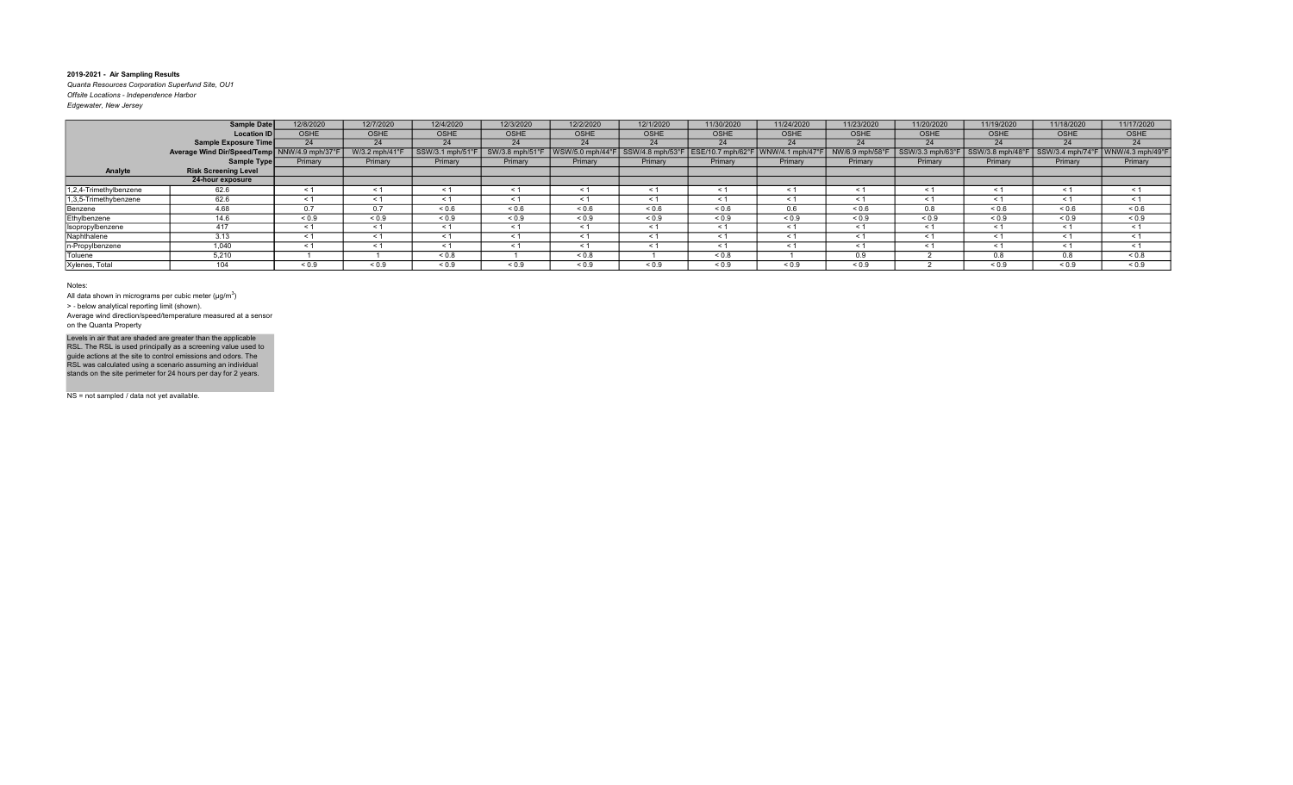Quanta Resources Corporation Superfund Site, OU1 Offsite Locations - Independence Harbor Edgewater, New Jersey

|                        | <b>Sample Date</b>                           | 12/8/2020   | 12/7/2020     | 12/4/2020       | 12/3/2020      | 12/2/2020       | 12/1/2020        | 11/30/2020        | 11/24/2020      | 11/23/2020      | 11/20/2020       | 11/19/2020         | 11/18/2020                          | 11/17/2020 |
|------------------------|----------------------------------------------|-------------|---------------|-----------------|----------------|-----------------|------------------|-------------------|-----------------|-----------------|------------------|--------------------|-------------------------------------|------------|
|                        | <b>Location ID</b>                           | <b>OSHE</b> | <b>OSHE</b>   | <b>OSHE</b>     | <b>OSHE</b>    | <b>OSHE</b>     | <b>OSHE</b>      | <b>OSHE</b>       | <b>OSHE</b>     | <b>OSHE</b>     | <b>OSHE</b>      | <b>OSHE</b>        | <b>OSHE</b>                         | OSHE       |
|                        | <b>Sample Exposure Time</b>                  | 24          | 24            | 24              | 24             | 24              | 24               | 24                | 24              | 24              | 24               | 24                 | 24                                  | 24         |
|                        | Average Wind Dir/Speed/Temp NNW/4.9 mph/37°F |             | W/3.2 mph/41° | SSW/3.1 mph/51° | SW/3.8 mph/51° | WSW/5.0 mph/44° | SSW/4.8 mph/53°F | ESE/10.7 mph/62°F | WNW/4.1 mph/47' | NW/6.9 mph/58°F | SSW/3.3 mph/63°l | $SSW/3.8$ mph/48°F | SSW/3.4 mph/74°F   WNW/4.3 mph/49°F |            |
|                        | Sample Type                                  | Primary     | Primary       | Primary         | Primary        | Primary         | Primary          | Primary           | Primary         | Primary         | Primary          | Primary            | Primary                             | Primary    |
| Analyte                | <b>Risk Screening Level</b>                  |             |               |                 |                |                 |                  |                   |                 |                 |                  |                    |                                     |            |
|                        | 24-hour exposure                             |             |               |                 |                |                 |                  |                   |                 |                 |                  |                    |                                     |            |
| 1,2,4-Trimethylbenzene | 62.6                                         | < 1         | $\leq 1$      | ≺ 1             | < 1            | $\leq 1$        | $\leq 1$         | $\leq$ 1          | $\leq 1$        | $\leq$ 1        | $\leq$ 1         | $\leq 1$           | $\leq$ 1                            | $\leq$ 1   |
| 1,3,5-Trimethybenzene  | 62.6                                         | $\leq 1$    | < 1           | $\leq 1$        | $\leq 1$       | $\leq 1$        |                  | $\leq$ 1          | $\leq 1$        |                 | $\leq 1$         | $\leq 1$           | $\tilde{}$                          | $\leq$ 1   |
| Benzene                | 4.68                                         | 0.7         | 0.7           | ${}^{5}$ 0.6    | ${}^{5}$ 0.6   | ${}_{0.6}$      | 0.6              | ${}^{5}$ 0.6      | 0.6             | 0.6             | 0.8              | ${}^{5}$ 0.6       | 0.6                                 | ${}_{0.6}$ |
| Ethylbenzene           | 14.6                                         | ${}_{0.9}$  | ${}_{0.9}$    | ${}_{0.9}$      | ${}_{0.9}$     | ${}_{0.9}$      | ${}_{0.9}$       | ${}_{0.9}$        | ${}_{0.9}$      | ${}_{0.9}$      | ${}_{0.9}$       | ${}_{0.9}$         | ${}_{0.9}$                          | ${}_{0.9}$ |
| Isopropylbenzene       | 417                                          | $\leq 1$    | $\leq 1$      | < 1             | $\leq 1$       | $\leq 1$        | < 1              | $\leq 1$          | $\leq 1$        | < 1             | $\leq 1$         | $\leq 1$           | < 1                                 | $\leq$ 1   |
| Naphthalene            | 3.13                                         | < 1         | < 1           | < 1             | < 1            | < 1             | < 1              | < 1               | < 1             | $\leq$ 1        | < 1              | $\leq 1$           | $\leq$ 1                            | < 1        |
| n-Propylbenzene        | 1,040                                        | < 1         | < 1           | < 1             | < 1            | < 1             | < 1              | < 1               | < 1             | < 1             | < 1              | $\leq 1$           | < 1                                 | < 1        |
| Toluene                | 5,210                                        |             |               | ${}_{0.8}$      |                | ${}_{0.8}$      |                  | ${}_{0.8}$        |                 | 0.9             |                  | 0.8                | 0.8                                 | ${}_{0.8}$ |
| Xylenes, Total         | 104                                          | ${}_{0.9}$  | ${}_{0.9}$    | ${}_{0.9}$      | ${}_{0.9}$     | ${}_{0.9}$      | < 0.9            | ${}_{0.9}$        | ${}_{0.9}$      | ${}_{0.9}$      |                  | ${}_{0.9}$         | ${}_{0.9}$                          | ${}_{0.9}$ |

#### Notes:

All data shown in micrograms per cubic meter ( $\mu$ g/m $^3$ )

> ‐ below analytical reporting limit (shown).

Average wind direction/speed/temperature measured at a sensor on the Quanta Property

Levels in air that are shaded are greater than the applicable<br>RSL. The RSL is used principally as a screening value used to<br>guide actions at the site to control emissions and odors. The<br>RSL was calculated using a scenario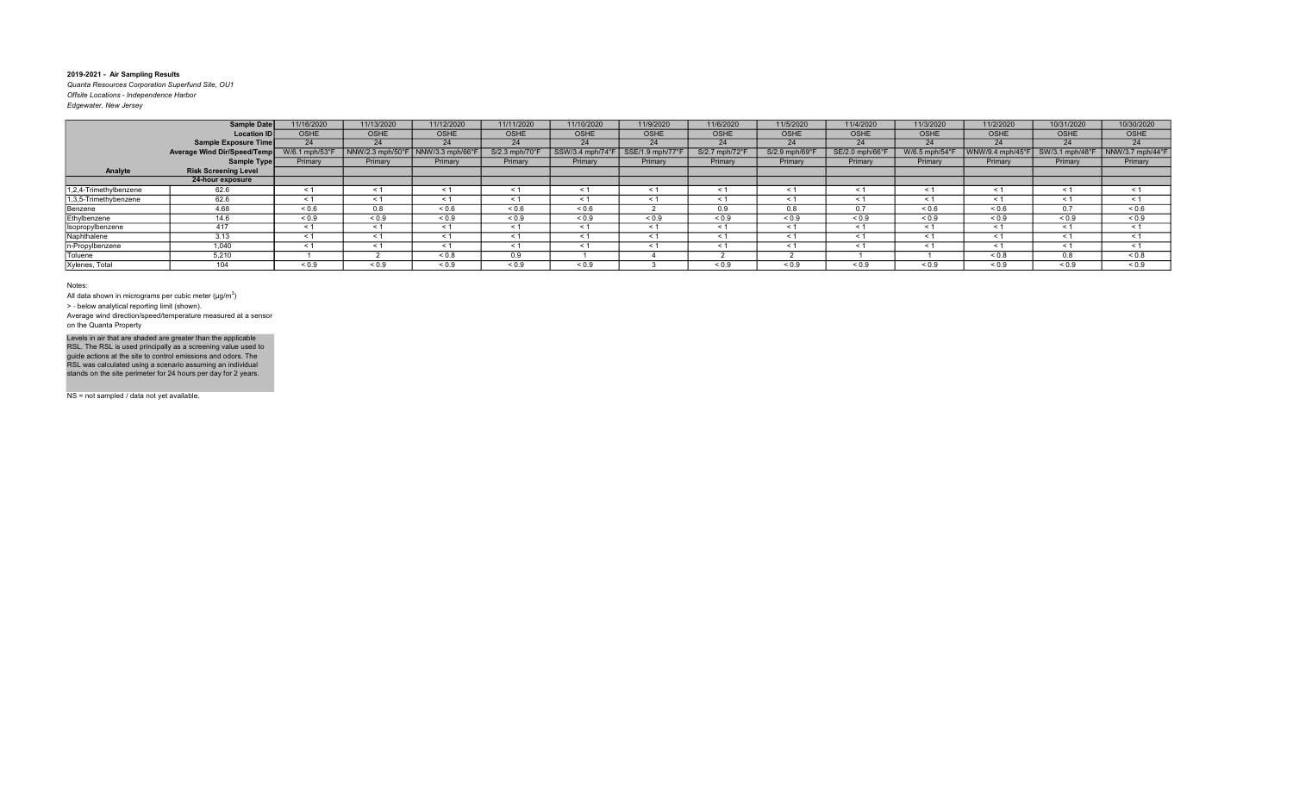Quanta Resources Corporation Superfund Site, OU1 Offsite Locations - Independence Harbor

| Edgewater, New Jersey |  |  |
|-----------------------|--|--|
|                       |  |  |

|                        | <b>Sample Date</b>          | 11/16/2020     | 11/13/2020      | 11/12/2020       | 11/11/2020                | 11/10/2020       | 11/9/2020        | 11/6/2020      | 11/5/2020      | 11/4/2020       | 11/3/2020      | 11/2/2020       | 10/31/2020      | 10/30/2020       |
|------------------------|-----------------------------|----------------|-----------------|------------------|---------------------------|------------------|------------------|----------------|----------------|-----------------|----------------|-----------------|-----------------|------------------|
|                        | <b>Location ID</b>          | <b>OSHE</b>    | <b>OSHE</b>     | <b>OSHE</b>      | <b>OSHE</b>               | OSHE             | <b>OSHE</b>      | <b>OSHE</b>    | <b>OSHE</b>    | <b>OSHE</b>     | <b>OSHE</b>    | <b>OSHE</b>     | <b>OSHE</b>     | OSHE             |
|                        | <b>Sample Exposure Time</b> | 24             | 24              | 24               | 24                        | 24               | 24               | 24             | 24             | 24              | 24             | 24              | 24              | 24               |
|                        | Average Wind Dir/Speed/Temp | W/6.1 mph/53°F | NNW/2.3 mph/50° | NNW/3.3 mph/66°l | $S/2.3$ mph/70 $^{\circ}$ | SSW/3.4 mph/74°F | SSE/1.9 mph/77°F | S/2.7 mph/72°F | S/2.9 mph/69°F | SE/2.0 mph/66°F | W/6.5 mph/54°F | NW/9.4 mph/45°F | SW/3.1 mph/48°F | NNW/3.7 mph/44°F |
|                        | Sample Type                 | Primary        | Primary         | Primary          | Primary                   | Primary          | Primary          | Primary        | Primary        | Primary         | Primary        | Primary         | Primary         | Primary          |
| Analyte                | <b>Risk Screening Level</b> |                |                 |                  |                           |                  |                  |                |                |                 |                |                 |                 |                  |
|                        | 24-hour exposure            |                |                 |                  |                           |                  |                  |                |                |                 |                |                 |                 |                  |
| 1,2,4-Trimethylbenzene | 62.6                        | < 1            | $\leq$ 1        |                  | $\leq 1$                  | $\leq$ 1         |                  | $\leq$ 1       | $\leq$ 1       | $\leq$          | < 1            | < 1             | $\leq$          | < 1              |
| 1,3,5-Trimethybenzene  | 62.6                        | < 1            | $\leq$ 1        | < 1              | < 1                       | $\leq 1$         | < 1              | < 1            | $\leq 1$       | $\leq$ 1        | < 1            | $\leq 1$        | $\leq$ 1        | < 1              |
| Benzene                | 4.68                        | ${}_{0.6}$     | 0.8             | ${}_{0.6}$       | ${}^{5}$ 0.6              | ${}_{0.6}$       |                  | 0.9            | 0.8            | 0.7             | ${}_{0.6}$     | ${}^{5}$ 0.6    | 0.7             | ${}_{0.6}$       |
| Ethylbenzene           | 14.6                        | ${}_{0.9}$     | ${}_{0.9}$      | ${}_{0.9}$       | ${}_{0.9}$                | ${}_{0.9}$       | ${}_{0.9}$       | ${}_{0.9}$     | ${}_{0.9}$     | ${}_{0.9}$      | ${}_{0.9}$     | ${}_{0.9}$      | ${}_{0.9}$      | ${}_{0.9}$       |
| Isopropylbenzene       | 417                         | < 1            | $\leq 1$        | < 1              | < 1                       | < 1              | < 1              | < 1            | < 1            | < 1             | $\leq$ 1       | $\leq 1$        | < 1             | < 1              |
| Naphthalene            | 3.13                        | < 1            | < 1             | < 1              | < 1                       | $\leq 1$         | < 1              | $\leq 1$       | $\leq 1$       | $\leq$ 1        | $\leq$ 1       | $\leq 1$        | $\leq$ 1        | $\leq$ 1         |
| n-Propylbenzene        | 1.040                       | < 1            | < 1             | < 1              | $\leq 1$                  | < 1              | < 1              | < 1            | < 1            | < 1             | < 1            | < 1             | < 1             | < 1              |
| Toluene                | 5,210                       |                |                 | ${}_{0.8}$       | 0.9                       |                  |                  |                |                |                 |                | 0.8             | 0.8             | ${}_{0.8}$       |
| Xylenes, Total         | 104                         | ${}_{0.9}$     | ${}_{0.9}$      | ${}_{0.9}$       | ${}_{0.9}$                | ${}_{0.9}$       |                  | ${}_{0.9}$     | ${}_{0.9}$     | ${}_{0.9}$      | ${}_{0.9}$     | ${}_{0.9}$      | ${}_{0.9}$      | ${}_{0.9}$       |

#### Notes:

All data shown in micrograms per cubic meter ( $\mu$ g/m $^3$ )

> ‐ below analytical reporting limit (shown).

Average wind direction/speed/temperature measured at a sensor on the Quanta Property

Levels in air that are shaded are greater than the applicable<br>RSL. The RSL is used principally as a screening value used to<br>guide actions at the site to control emissions and odors. The<br>RSL was calculated using a scenario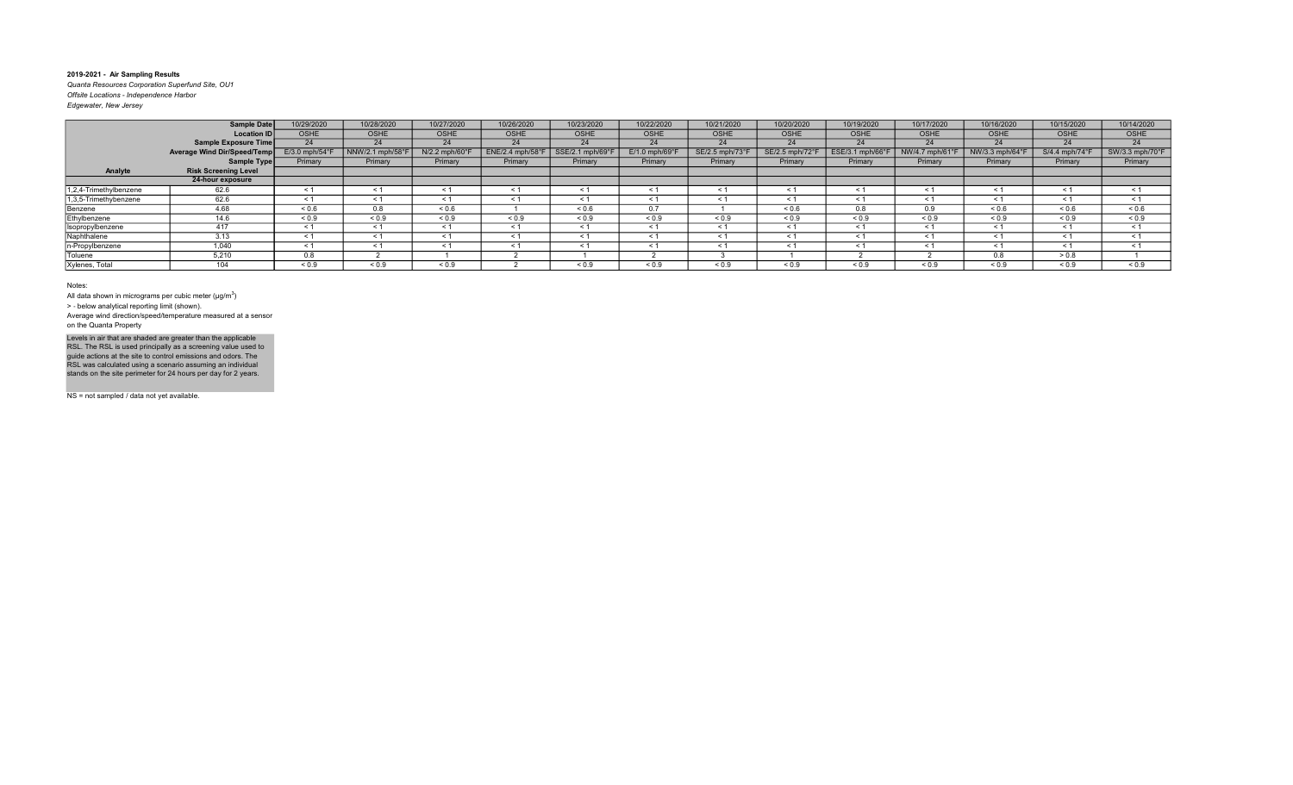Quanta Resources Corporation Superfund Site, OU1 Offsite Locations - Independence Harbor

| Edgewater, New Jersey |  |  |
|-----------------------|--|--|
|                       |  |  |

|                        | <b>Sample Date</b>          | 10/29/2020                 | 10/28/2020       | 10/27/2020                 | 10/26/2020        | 10/23/2020       | 10/22/2020                 | 10/21/2020          | 10/20/2020      | 10/19/2020       | 10/17/2020        | 10/16/2020      | 10/15/2020     | 10/14/2020      |
|------------------------|-----------------------------|----------------------------|------------------|----------------------------|-------------------|------------------|----------------------------|---------------------|-----------------|------------------|-------------------|-----------------|----------------|-----------------|
|                        | Location ID                 | <b>OSHE</b>                | <b>OSHE</b>      | OSHE                       | <b>OSHE</b>       | <b>OSHE</b>      | OSHE                       | <b>OSHE</b>         | <b>OSHE</b>     | <b>OSHE</b>      | <b>OSHE</b>       | <b>OSHE</b>     | <b>OSHE</b>    | <b>OSHE</b>     |
|                        | Sample Exposure Time        | 24                         | 24               | 24                         | 24                | 24               | 24                         | 24                  | 24              | 24               | 24                | 24              | 24             | 24              |
|                        | Average Wind Dir/Speed/Temp | $E/3.0$ mph/54 $\degree$ F | NNW/2.1 mph/58°F | $N/2.2$ mph/60 $\degree$ F | $ENE/2.4$ mph/58° | SSE/2.1 mph/69°I | $E/1.0$ mph/69 $\degree$ F | SE/2.5 mph/73       | SE/2.5 mph/72°F | ESE/3.1 mph/66°F | NW/4.7 mph/61°    | NW/3.3 mph/64°F | S/4.4 mph/74°F | SW/3.3 mph/70°F |
|                        | Sample Type                 | Primary                    | Primary          | Primary                    | Primary           | Primary          | Primary                    | Primary             | Primary         | Primary          | Primary           | Primary         | Primary        | Primary         |
| Analyte                | <b>Risk Screening Level</b> |                            |                  |                            |                   |                  |                            |                     |                 |                  |                   |                 |                |                 |
|                        | 24-hour exposure            |                            |                  |                            |                   |                  |                            |                     |                 |                  |                   |                 |                |                 |
| 1,2,4-Trimethylbenzene | 62.6                        | < 1                        | < 1              | $\leq$ 1                   | < 1               | < 1              | < 1                        | < 1                 | $\leq 1$        | < 1              | < 1               | $\leq 1$        | < 1            | < 1             |
| 1,3,5-Trimethybenzene  | 62.6                        | $\leq$ 1                   | $\leq 1$         | < 1                        | $\leq 1$          | $\leq 1$         | < 1                        | $\leq 1$            | $\leq 1$        | < 1              | $\leq 1$          | $\leq 1$        | < 1            | $\leq$ 1        |
| Benzene                | 4.68                        | ${}_{0.6}$                 | 0.8              | ${}_{0.6}$                 |                   | ${}^{5}$ 0.6     | 0.7                        |                     | ${}^{5}$ 0.6    | 0.8              | 0.9               | 0.6             | 0.6            | ${}_{0.6}$      |
| Ethylbenzene           | 14.6                        | ${}_{0.9}$                 | ${}_{0.9}$       | ${}_{0.9}$                 | ${}_{0.9}$        | ${}_{0.9}$       | ${}_{0.9}$                 | ${}_{0.9}$          | ${}_{0.9}$      | ${}_{0.9}$       | ${}^{5}$ < 0.9    | ${}_{0.9}$      | ${}_{0.9}$     | ${}_{0.9}$      |
| Isopropylbenzene       | 417                         | < 1                        | $\leq 1$         | $\leq$ 1                   | < 1               | $\leq 1$         | < 1                        | < 1                 | $\leq 1$        | < 1              | $\leq$ 1          | $\leq 1$        | $\leq$ 1       | $\leq$ 1        |
| Naphthalene            | 3.13                        | < 1                        | < 1              | $\leq$                     | < 1               | < 1              | $\leq$                     | < 1                 | $\leq 1$        | < 1              | < 1               | < 1             | < 1            | < 1             |
| n-Propylbenzene        | 1.040                       | < 1                        | $\leq 1$         | $\leq 1$                   | $\leq 1$          | $\leq 1$         | $\leq 1$                   | $\leq 1$            | $\leq 1$        | $\leq 1$         | < 1               | $\leq 1$        | < 1            | $\leq$ 1        |
| Toluene                | 5,210                       | 0.8                        |                  |                            |                   |                  |                            |                     |                 |                  |                   | 0.8             | > 0.8          |                 |
| Xylenes, Total         | 104                         | ${}_{0.9}$                 | ${}_{0.9}$       | ${}_{0.9}$                 |                   | ${}_{0.9}$       | ${}_{0.9}$                 | ${}^{5}$ ${}^{0.9}$ | ${}_{0.9}$      | ${}_{0.9}$       | ${}^{5}$ ${}^{6}$ | ${}_{0.9}$      | ${}_{0.9}$     | ${}_{0.9}$      |

#### Notes:

All data shown in micrograms per cubic meter ( $\mu$ g/m $^3$ )

> ‐ below analytical reporting limit (shown).

Average wind direction/speed/temperature measured at a sensor on the Quanta Property

Levels in air that are shaded are greater than the applicable<br>RSL. The RSL is used principally as a screening value used to<br>guide actions at the site to control emissions and odors. The<br>RSL was calculated using a scenario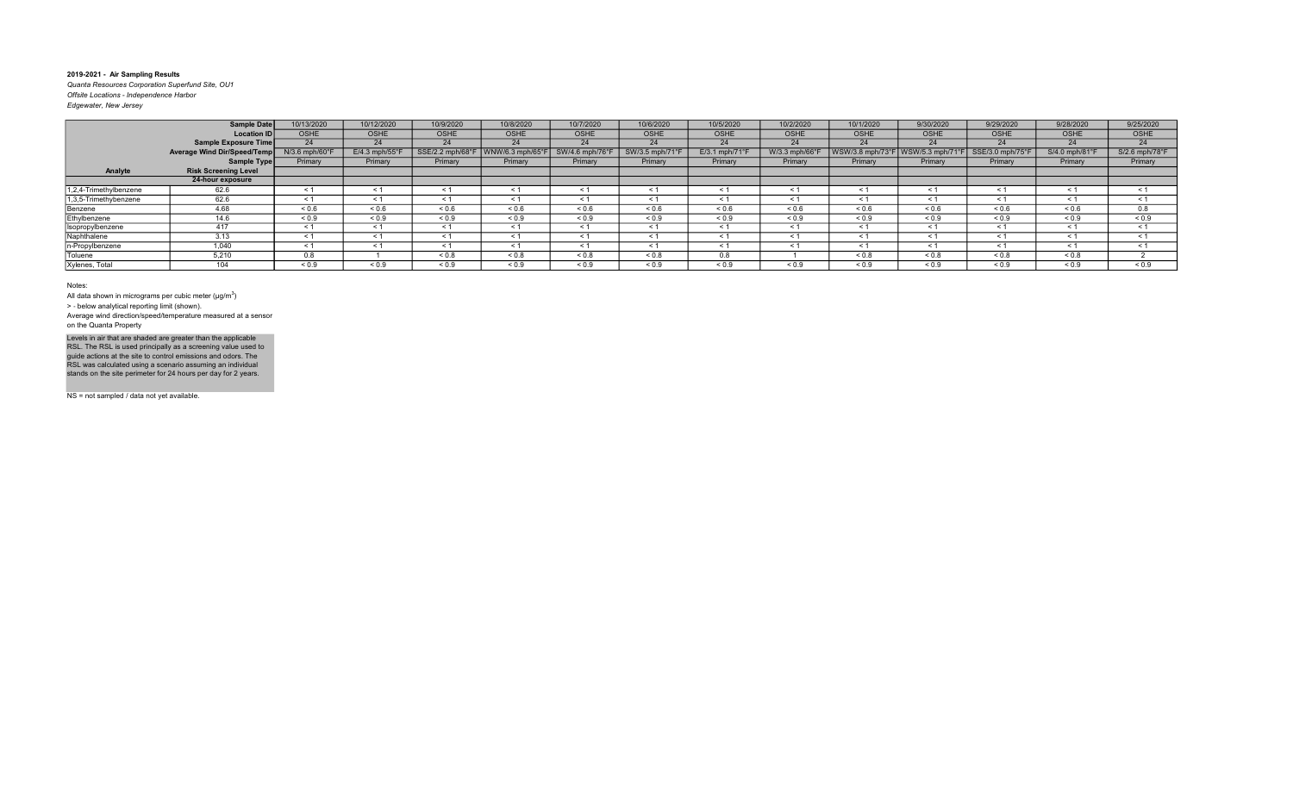Quanta Resources Corporation Superfund Site, OU1 Offsite Locations - Independence Harbor Edgewater, New Jersey

|                        | Sample Date                 | 10/13/2020                 | 10/12/2020       | 10/9/2020        | 10/8/2020        | 10/7/2020       | 10/6/2020       | 10/5/2020                  | 10/2/2020      | 10/1/2020        | 9/30/2020        | 9/29/2020        | 9/28/2020      | 9/25/2020      |
|------------------------|-----------------------------|----------------------------|------------------|------------------|------------------|-----------------|-----------------|----------------------------|----------------|------------------|------------------|------------------|----------------|----------------|
|                        | Location ID                 | <b>OSHE</b>                | <b>OSHE</b>      | <b>OSHE</b>      | OSHE             | <b>OSHE</b>     | <b>OSHE</b>     | OSHE                       | OSHE           | <b>OSHE</b>      | <b>OSHE</b>      | <b>OSHE</b>      | <b>OSHE</b>    | <b>OSHE</b>    |
|                        | Sample Exposure Time        | 24                         | 24               | 24               | 24               | 24              | 24              | 24                         | 24             | 24               | 24               | 24               | 24             | 24             |
|                        | Average Wind Dir/Speed/Temp | $N/3.6$ mph/60 $\degree$ F | $E/4.3$ mph/55°F | SSE/2.2 mph/68°F | WNW/6.3 mph/65°F | SW/4.6 mph/76°F | SW/3.5 mph/71°F | $E/3.1$ mph/71 $\degree$ F | W/3.3 mph/66°F | WSW/3.8 mph/73°F | WSW/5.3 mph/71°F | SSE/3.0 mph/75°F | S/4.0 mph/81°F | S/2.6 mph/78°F |
|                        | Sample Type                 | Primary                    | Primary          | Primary          | Primary          | Primary         | Primary         | Primary                    | Primary        | Primary          | Primary          | Primary          | Primary        | Primary        |
| Analyte                | <b>Risk Screening Level</b> |                            |                  |                  |                  |                 |                 |                            |                |                  |                  |                  |                |                |
|                        | 24-hour exposure            |                            |                  |                  |                  |                 |                 |                            |                |                  |                  |                  |                |                |
| 1,2,4-Trimethylbenzene | 62.6                        | $\leq$ 1                   | $\leq 1$         | $\leq 1$         | - < 1            | ≺ 1             | < 1             | $\leq 1$                   | $\leq 1$       | $\leq 1$         | < 1              | $\leq$ 1         | $\leq$ 1       |                |
| 1,3,5-Trimethybenzene  | 62.6                        | < 1                        | < 1              | $\leq 1$         | $\leq$ 1         | $\leq 1$        | < 1             | < 1                        | < 1            | $\leq 1$         | $\leq 1$         | < 1              | < 1            | < 1            |
| Benzene                | 4.68                        | ${}^{5}$ 0.6               | 0.6              | ${}_{0.6}$       | ${}^{5}$ 0.6     | ${}_{0.6}$      | 0.6             | ${}^{5}$ 0.6               | ${}_{0.6}$     | ${}_{0.6}$       | < 0.6            | ${}_{0.6}$       | ${}_{0.6}$     | 0.8            |
| Ethylbenzene           | 14.6                        | ${}_{0.9}$                 | ${}_{0.9}$       | ${}_{0.9}$       | ${}_{0.9}$       | ${}_{0.9}$      | ${}_{0.9}$      | ${}_{0.9}$                 | ${}_{0.9}$     | ${}_{0.9}$       | ${}_{0.9}$       | ${}_{0.9}$       | ${}_{0.9}$     | ${}_{0.9}$     |
| Isopropylbenzene       | 417                         | < 1                        | < 1              | < 1              | < 1              | < 1             | $\leq 1$        | $\leq$ 1                   | < 1            | < 1              | < 1              | < 1              | < 1            | < 1            |
| Naphthalene            | 3.13                        | < 1                        | < 1              | < 1              | < 1              | < 1             | < 1             | < 1                        | < 1            | < 1              | < 1              | < 1              | < 1            | < 1            |
| n-Propylbenzene        | 1.040                       | < 1                        | < 1              | < 1              | < 1              | < 1             | < 1             | < 1                        | < 1            | $\leq 1$         | < 1              | < 1              | < 1            |                |
| <b>Toluene</b>         | 5,210                       | 0.8                        |                  | 0.8              | ${}_{0.8}$       | ${}_{0.8}$      | ${}_{0.8}$      | 0.8                        |                | ${}_{0.8}$       | 0.8              | ${}_{0.8}$       | ${}_{0.8}$     |                |
| Xylenes, Total         | 104                         | ${}_{0.9}$                 | ${}_{0.9}$       | ${}_{0.9}$       | ${}_{0.9}$       | ${}_{0.9}$      | ${}_{0.9}$      | ${}_{0.9}$                 | ${}_{0.9}$     | ${}_{0.9}$       | ${}_{0.9}$       | ${}_{0.9}$       | ${}_{0.9}$     | ${}_{0.9}$     |

Notes:

All data shown in micrograms per cubic meter ( $\mu$ g/m $^3$ )

> ‐ below analytical reporting limit (shown).

Average wind direction/speed/temperature measured at a sensor on the Quanta Property

Levels in air that are shaded are greater than the applicable<br>RSL. The RSL is used principally as a screening value used to<br>guide actions at the site to control emissions and odors. The<br>RSL was calculated using a scenario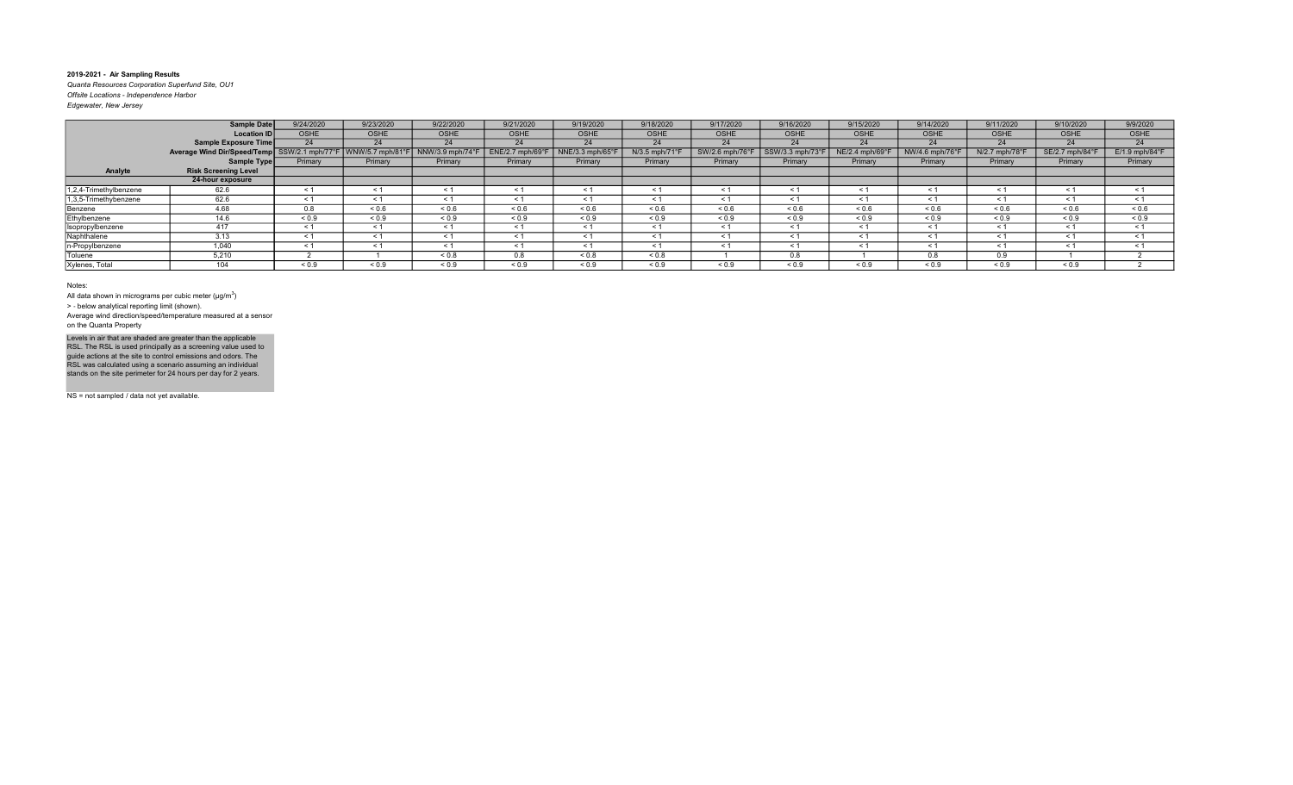Quanta Resources Corporation Superfund Site, OU1 Offsite Locations - Independence Harbor Edgewater, New Jersey

|                        | Sample Date                 | 9/24/2020                | 9/23/2020      | 9/22/2020        | 9/21/2020        | 9/19/2020      | 9/18/2020      | 9/17/2020         | 9/16/2020    | 9/15/2020       | 9/14/2020       | 9/11/2020      | 9/10/2020       | 9/9/2020                   |
|------------------------|-----------------------------|--------------------------|----------------|------------------|------------------|----------------|----------------|-------------------|--------------|-----------------|-----------------|----------------|-----------------|----------------------------|
|                        | <b>Location ID</b>          | <b>OSHE</b>              | <b>OSHE</b>    | OSHE             | OSHE             | <b>OSHE</b>    | <b>OSHE</b>    | <b>OSHE</b>       | <b>OSHE</b>  | <b>OSHE</b>     | <b>OSHE</b>     | <b>OSHE</b>    | <b>OSHE</b>     | OSHE                       |
|                        | Sample Exposure Time        | 24                       | 24             | 24               | 24               | 24             | 24             | 24                | 24           | 24              | 24              | 24             | 24              | 24                         |
|                        | Average Wind Dir/Speed/Temp | $\vert$ SSW/2.1 mph/77°F | WNW/5.7 mph/81 | NNW/3.9 mph/74°F | ENE/2.7 mph/69°l | NNE/3.3 mph/65 | N/3.5 mph/71°F | SW/2.6<br>mph/76° |              | NE/2.4 mph/69°F | NW/4.6 mph/76°F | N/2.7 mph/78°F | SE/2.7 mph/84°F | $E/1.9$ mph/84 $\degree$ F |
|                        | Sample Type                 | Primary                  | Primary        | Primary          | Primary          | Primary        | Primary        | Primary           | Primary      | Primary         | Primary         | Primary        | Primary         | Primary                    |
| Analyte                | <b>Risk Screening Level</b> |                          |                |                  |                  |                |                |                   |              |                 |                 |                |                 |                            |
|                        | 24-hour exposure            |                          |                |                  |                  |                |                |                   |              |                 |                 |                |                 |                            |
| 1,2,4-Trimethylbenzene | 62.6                        | $\leq$ 1                 | $\leq 1$       |                  | $\leq 1$         | $\leq$ 1       |                | $\leq 1$          | $\leq$ 1     | < 1             | $\leq$ 1        | $\leq 1$       | < 1             | $\leq 1$                   |
| 1,3,5-Trimethybenzene  | 62.6                        | < 1                      |                |                  | $\leq 1$         | $\leq$ 1       |                | $\prec$           | $\leq$ 1     |                 | $\leq$ 1        | < 1            |                 | $\leq 1$                   |
| Benzene                | 4.68                        | 0.8                      | ${}^{5}$ 0.6   | 0.6              | < 0.6            | ${}^{5}$ 0.6   | 0.6            | ${}^{5}$ ${}^{6}$ | ${}^{5}$ 0.6 | ${}^{5}$ 0.6    | 0.6             | ${}_{0.6}$     | ${}^{5}$ 0.6    | ${}_{0.6}$                 |
| Ethylbenzene           | 14.6                        | ${}_{0.9}$               | ${}_{0.9}$     | ${}_{0.9}$       | ${}_{0.9}$       | ${}_{0.9}$     | ${}_{0.9}$     | ${}_{0.9}$        | ${}_{0.9}$   | ${}_{0.9}$      | ${}_{0.9}$      | ${}_{0.9}$     | ${}_{0.9}$      | ${}_{0.9}$                 |
| Isopropylbenzene       | 417                         | < 1                      | $\leq 1$       |                  | $\leq$ 1         | < 1            |                | $\leq 1$          | $\leq$ 1     | < 1             | < 1             | $\leq 1$       | < 1             | < 1                        |
| Naphthalene            | 3.13                        | $\leq$ 1                 | $\leq 1$       | $\leq 1$         | $\leq$ 1         | < 1            |                | < 1               | < 1          | < 1             | $\leq$ 1        | < 1            | < 1             | < 1                        |
| n-Propylbenzene        | 1,040                       | $\leq$ 1                 | ≺ 1            |                  | $\leq 1$         | < 1            |                | $\leq$ 1          | $\leq$ 1     |                 | $\leq$ 1        | < 1            |                 | < 1                        |
| Toluene                | 5,210                       |                          |                | ${}_{0.8}$       | 0.8              | ${}_{0.8}$     | ${}_{0.8}$     |                   | 0.8          |                 | 0.8             | 0.9            |                 |                            |
| Xylenes, Total         | 104                         | ${}_{0.9}$               | ${}_{0.9}$     | ${}_{0.9}$       | ${}_{0.9}$       | ${}_{0.9}$     | ${}_{0.9}$     | ${}_{0.9}$        | ${}_{0.9}$   | ${}_{0.9}$      | ${}_{0.9}$      | ${}_{0.9}$     | ${}_{0.9}$      |                            |

#### Notes:

All data shown in micrograms per cubic meter ( $\mu$ g/m $^3$ )

> ‐ below analytical reporting limit (shown).

Average wind direction/speed/temperature measured at a sensor on the Quanta Property

Levels in air that are shaded are greater than the applicable<br>RSL. The RSL is used principally as a screening value used to<br>guide actions at the site to control emissions and odors. The<br>RSL was calculated using a scenario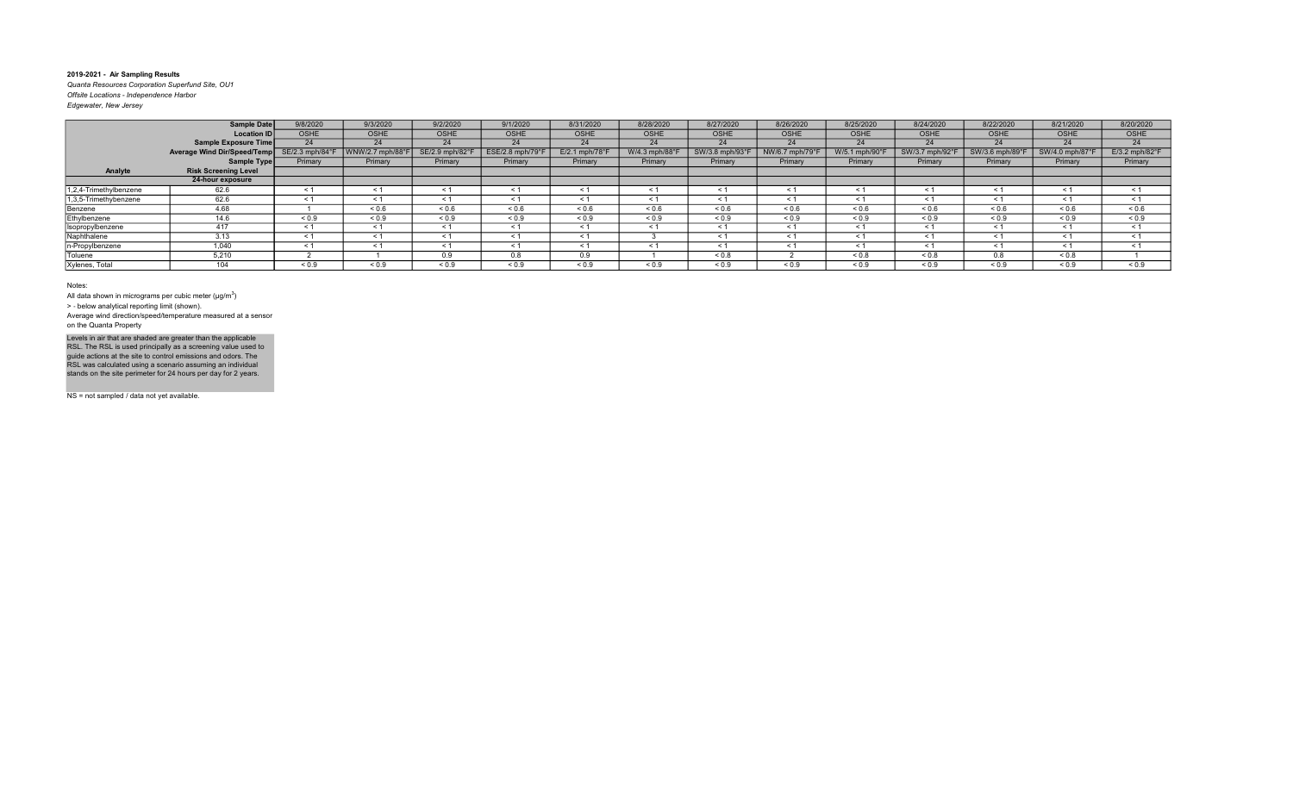Quanta Resources Corporation Superfund Site, OU1 Offsite Locations - Independence Harbor Edgewater, New Jersey

| Edgewater, New Jersey |  |  |
|-----------------------|--|--|
|                       |  |  |

|                        | <b>Sample Date</b>          | 9/8/2020        | 9/3/2020       | 9/2/2020        | 9/1/2020        | 8/31/2020        | 8/28/2020      | 8/27/2020     | 8/26/2020      | 8/25/2020      | 8/24/2020      | 8/22/2020       | 8/21/2020       | 8/20/2020                  |
|------------------------|-----------------------------|-----------------|----------------|-----------------|-----------------|------------------|----------------|---------------|----------------|----------------|----------------|-----------------|-----------------|----------------------------|
|                        | <b>Location ID</b>          | <b>OSHE</b>     | <b>OSHE</b>    | <b>OSHE</b>     | <b>OSHE</b>     | <b>OSHE</b>      | <b>OSHE</b>    | <b>OSHE</b>   | <b>OSHE</b>    | <b>OSHE</b>    | <b>OSHE</b>    | <b>OSHE</b>     | OSHE            | <b>OSHE</b>                |
|                        | Sample Exposure Time        | 24              | 24             | 24              | 24              | 24               | 24             | 24            | 24             | 24             | 24             | 24              | 24              | 24                         |
|                        | Average Wind Dir/Speed/Temp | SE/2.3 mph/84°F | WNW/2.7 mph/88 | SE/2.9 mph/82°F | ESE/2.8 mph/79° | $E/2.1$ mph/78°F | W/4.3 mph/88°F | SW/3.8 mph/93 | NW/6.7 mph/79° | W/5.1 mph/90°  | SW/3.7 mph/92  | SW/3.6 mph/89°F | SW/4.0 mph/87°F | $E/3.2$ mph/82 $\degree$ F |
|                        | Sample Type                 | Primary         | Primary        | Primary         | Primary         | Primary          | Primary        | Primary       | Primary        | Primary        | Primary        | Primary         | Primary         | Primary                    |
| Analyte                | <b>Risk Screening Level</b> |                 |                |                 |                 |                  |                |               |                |                |                |                 |                 |                            |
|                        | 24-hour exposure            |                 |                |                 |                 |                  |                |               |                |                |                |                 |                 |                            |
| 1,2,4-Trimethylbenzene | 62.6                        | $\leq 1$        | $\leq$ 1       | $\leq 1$        | $\leq 1$        | $\leq 1$         | < 1            | - 31          | - 1            | $\leq$ 1       | $\leq 1$       | $\leq 1$        | - < 1           | < 1                        |
| 1,3,5-Trimethybenzene  | 62.6                        | $\leq$ 1        | $\leq 1$       |                 | < 1             |                  | $\leq 1$       |               |                | $\prec$        | < 1            | $\leq$          | $\leq$ 1        | $\leq 1$                   |
| Benzene                | 4.68                        |                 | ${}^{5}$ 0.6   | 0.6             | ${}_{0.6}$      | 0.6              | ${}_{0.6}$     | < 0.6         | ${}_{0.6}$     | ${}_{0.6}$     | 0.6            | 0.6             | ${}_{0.6}$      | 0.6                        |
| Ethylbenzene           | 14.6                        | ${}_{0.9}$      | ${}_{0.9}$     | ${}_{0.9}$      | ${}_{0.9}$      | ${}_{0.9}$       | ${}_{0.9}$     | ${}_{0.9}$    | ${}_{0.9}$     | ${}_{0.9}$     | ${}_{0.9}$     | ${}_{0.9}$      | ${}_{0.9}$      | ${}_{0.9}$                 |
| Isopropylbenzene       | 417                         | < 1             | < 1            | $\leq$ 1        | < 1             | < 1              | < 1            | < 1           | < 1            | $\leq 1$       | < 1            | < 1             | $\leq 1$        | < 1                        |
| Naphthalene            | 3.13                        | $\leq 1$        | < 1            | < 1             | < 1             | < 1              |                | < 1           | $\leq$         | $\leq 1$       | < 1            | < 1             | < 1             | < 1                        |
| n-Propylbenzene        | 1,040                       | $\leq 1$        | < 1            | $\leq$          | $\leq$ 1        | $\leq$ 1         | - < 1          | < 1           | $\leq$         | $\prec$ $\sim$ | < 1            | < 1             | < 1             | < 1                        |
| Toluene                | 5,210                       |                 |                | 0.9             | 0.8             | 0.9              |                | 0.8           |                | ${}_{0.8}$     | ${}_{0.8}$     | 0.8             | ${}_{0.8}$      |                            |
| Xylenes, Total         | 40A                         | ${}_{0.9}$      | ${}_{0.9}$     | ${}_{0.9}$      | ${}_{0.9}$      | ${}_{0.9}$       | ${}_{0.9}$     | ${}_{0.9}$    | ${}_{0.9}$     | ${}_{0.9}$     | ${}^{5}$ < 0.9 | ${}_{0.9}$      | ${}_{0.9}$      | ${}_{0.9}$                 |

#### Notes:

All data shown in micrograms per cubic meter ( $\mu$ g/m $^3$ )

> ‐ below analytical reporting limit (shown).

Average wind direction/speed/temperature measured at a sensor on the Quanta Property

Levels in air that are shaded are greater than the applicable<br>RSL. The RSL is used principally as a screening value used to<br>guide actions at the site to control emissions and odors. The<br>RSL was calculated using a scenario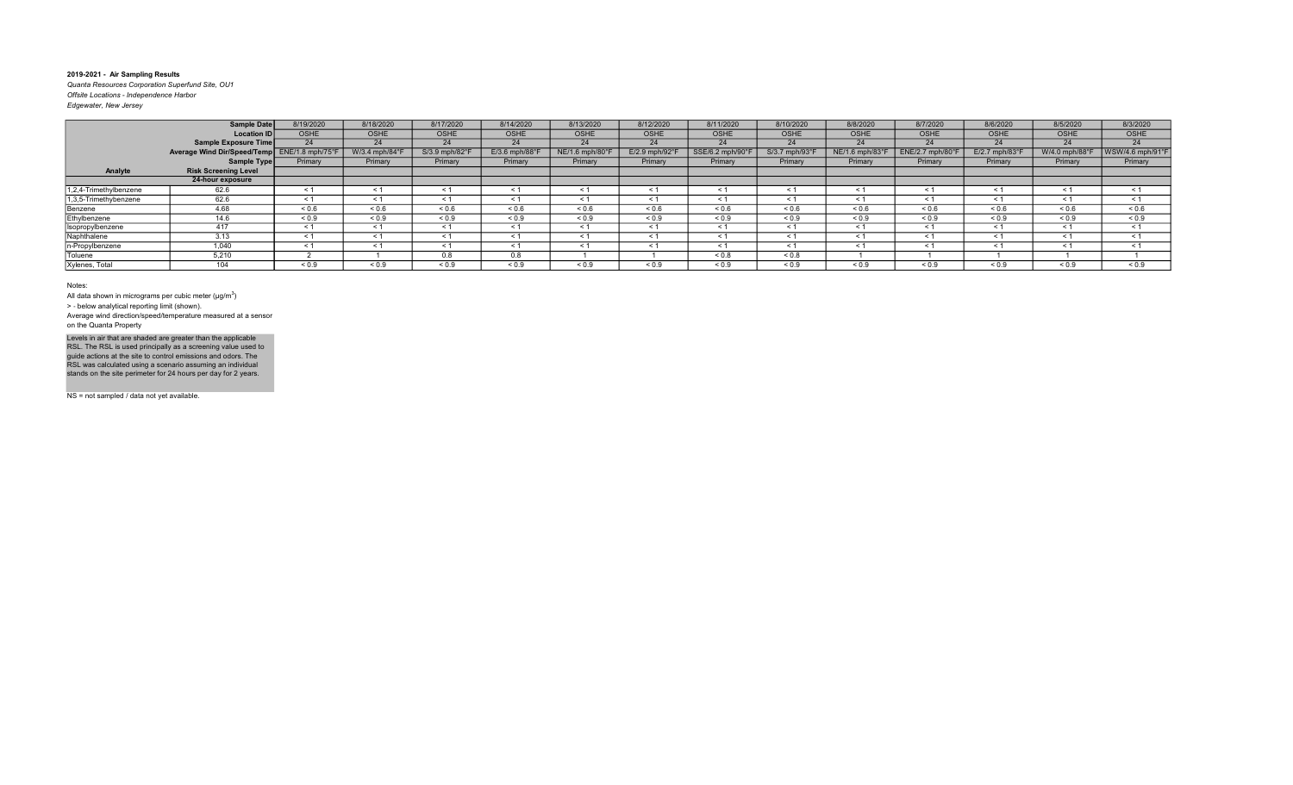Quanta Resources Corporation Superfund Site, OU1 Offsite Locations - Independence Harbor

| Edgewater, New Jersey |  |  |
|-----------------------|--|--|
|                       |  |  |

|                        | Sample Date                                  | 8/19/2020   | 8/18/2020      | 8/17/2020      | 8/14/2020                 | 8/13/2020      | 8/12/2020     | 8/11/2020       | 8/10/2020      | 8/8/2020                    | 8/7/2020        | 8/6/2020       | 8/5/2020       | 8/3/2020         |
|------------------------|----------------------------------------------|-------------|----------------|----------------|---------------------------|----------------|---------------|-----------------|----------------|-----------------------------|-----------------|----------------|----------------|------------------|
|                        | <b>Location ID</b>                           | <b>OSHE</b> | <b>OSHE</b>    | <b>OSHE</b>    | OSHE                      | <b>OSHE</b>    | <b>OSHE</b>   | <b>OSHE</b>     | <b>OSHE</b>    | <b>OSHE</b>                 | <b>OSHE</b>     | <b>OSHE</b>    | <b>OSHE</b>    | OSHE             |
|                        | Sample Exposure Time                         | 24          | 24             | 24             | 24                        | 24             | 24            | 24              | 24             | 24                          | 24              | 24             | 24             | 24               |
|                        | Average Wind Dir/Speed/Temp ENE/1.8 mph/75°F |             | W/3.4 mph/84°F | S/3.9 mph/82°F | $E/3.6$ mph/88 $^{\circ}$ | NE/1.6 mph/80° | E/2.9 mph/92° | SSE/6.2 mph/90° | S/3.7 mph/93°F | $NE/1.6$ mph/83 $\degree$ F | ENE/2.7 mph/80° | E/2.7 mph/83°F | W/4.0 mph/88°F | WSW/4.6 mph/91°F |
|                        | Sample Type                                  | Primary     | Primary        | Primary        | Primary                   | Primary        | Primary       | Primary         | Primary        | Primary                     | Primary         | Primary        | Primary        | Primary          |
| Analyte                | <b>Risk Screening Level</b>                  |             |                |                |                           |                |               |                 |                |                             |                 |                |                |                  |
|                        | 24-hour exposure                             |             |                |                |                           |                |               |                 |                |                             |                 |                |                |                  |
| 1,2,4-Trimethylbenzene | 62.6                                         | $\leq$ 1    | $\leq 1$       | ≺ 1            | < 1                       | $\leq 1$       | ≺ 1           | < 1             | $\leq 1$       | $\leq 1$                    | $\leq$ 1        | $\leq 1$       | $\leq 1$       | $\leq$ 1         |
| 1,3,5-Trimethybenzene  | 62.6                                         | $\leq$ 1    | $\leq 1$       |                | $\leq 1$                  | < 1            | $\leq 1$      | $\leq 1$        | $\leq 1$       |                             | $\leq$ 1        | $\leq 1$       | $\tilde{}$     | $\leq$ 1         |
| Benzene                | 4.68                                         | ${}_{0.6}$  | ${}_{0.6}$     | ${}_{0.6}$     | ${}^{5}$ ${}^{6}$         | ${}_{0.6}$     | 0.6           | ${}^{5}$ 0.6    | ${}_{0.6}$     | 0.6                         | ${}_{0.6}$      | ${}^{5}$ 0.6   | 0.6            | ${}_{0.6}$       |
| Ethylbenzene           | 14.6                                         | ${}_{0.9}$  | ${}_{0.9}$     | ${}_{0.9}$     | ${}_{0.9}$                | ${}_{0.9}$     | ${}_{0.9}$    | ${}_{0.9}$      | ${}_{0.9}$     | ${}_{0.9}$                  | ${}_{0.9}$      | ${}_{0.9}$     | ${}_{0.9}$     | ${}_{0.9}$       |
| Isopropylbenzene       | 417                                          | $\leq 1$    | $\leq 1$       |                | < 1                       | $\leq 1$       | < 1           | $\leq 1$        | $\leq 1$       | < 1                         | $\leq 1$        | $\leq 1$       | < 1            | $\leq$ 1         |
| Naphthalene            | 3.13                                         | $\leq$ 1    | < 1            | < 1            | < 1                       | < 1            | < 1           | < 1             | < 1            | < 1                         | < 1             | < 1            | $\leq$ 1       | $\leq$ 1         |
| In-Propylbenzene       | 1.040                                        | < 1         | < 1            | < 1            | < 1                       | < 1            | < 1           | < 1             | < 1            | < 1                         | $\leq$ 1        | < 1            | < 1            | < 1              |
| Toluene                | 5,210                                        |             |                | 0.8            | 0.8                       |                |               | ${}_{0.8}$      | ${}_{0.8}$     |                             |                 |                |                |                  |
| Xylenes, Total         | 104                                          | ${}_{0.9}$  | ${}_{0.9}$     | ${}_{0.9}$     | ${}^{5}$ ${}^{0.9}$       | ${}_{0.9}$     | ${}_{0.9}$    | ${}_{0.9}$      | ${}_{0.9}$     | ${}_{0.9}$                  | ${}_{0.9}$      | ${}_{0.9}$     | ${}_{0.9}$     | ${}_{0.9}$       |

Notes:

All data shown in micrograms per cubic meter ( $\mu$ g/m $^3$ )

> ‐ below analytical reporting limit (shown).

Average wind direction/speed/temperature measured at a sensor on the Quanta Property

Levels in air that are shaded are greater than the applicable<br>RSL. The RSL is used principally as a screening value used to<br>guide actions at the site to control emissions and odors. The<br>RSL was calculated using a scenario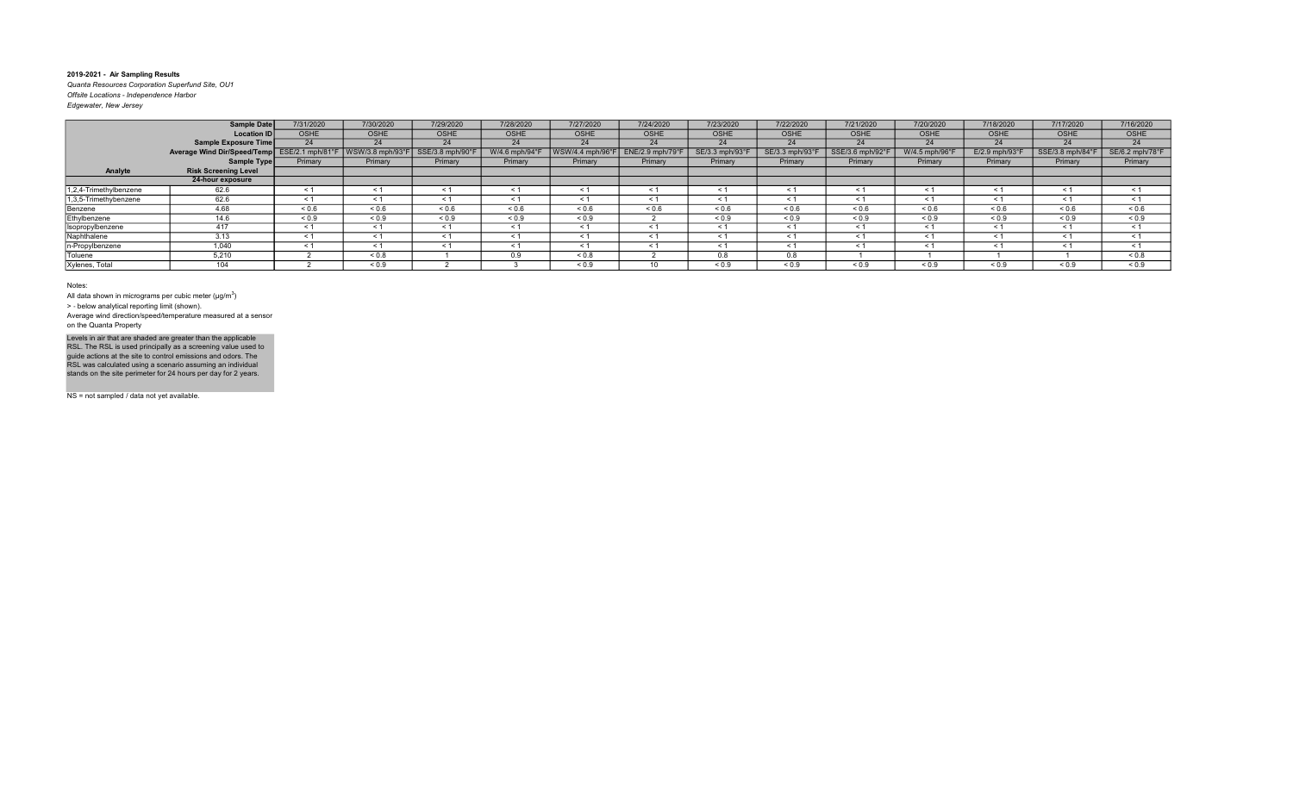Quanta Resources Corporation Superfund Site, OU1 Offsite Locations - Independence Harbor Edgewater, New Jersey

|                        | <b>Sample Date</b>                           | 7/31/2020   | 7/30/2020                         | 7/29/2020        | 7/28/2020    | 7/27/2020        | 7/24/2020        | 7/23/2020     | 7/22/2020         | 7/21/2020       | 7/20/2020      | 7/18/2020      | 7/17/2020        | 7/16/2020       |
|------------------------|----------------------------------------------|-------------|-----------------------------------|------------------|--------------|------------------|------------------|---------------|-------------------|-----------------|----------------|----------------|------------------|-----------------|
|                        | <b>Location ID</b>                           | <b>OSHE</b> | <b>OSHE</b>                       | <b>OSHE</b>      | <b>OSHE</b>  | <b>OSHE</b>      | OSHE             | <b>OSHE</b>   | <b>OSHE</b>       | <b>OSHE</b>     | <b>OSHE</b>    | <b>OSHE</b>    | <b>OSHE</b>      | OSHE            |
|                        | <b>Sample Exposure Time</b>                  | 24          | 24                                | 24               | 24           | 24               | 24               | 24            | 24                | 24              | 24             | 24             | 24               | 24              |
|                        | Average Wind Dir/Speed/Temp ESE/2.1 mph/81°F |             | $\sqrt{\text{WSW}}$ /3.8 mph/93°F | SSE/3.8 mph/90°F | W/4.6 mph/94 | WSW/4.4 mph/96°F | ENE/2.9 mph/79°F | SE/3.3 mph/93 | SE/3.3 mph/93°F   | SSE/3.6 mph/92° | W/4.5 mph/96°l | E/2.9 mph/93°F | SSE/3.8 mph/84°F | SE/6.2 mph/78°F |
|                        | Sample Type                                  | Primary     | Primary                           | Primary          | Primary      | Primary          | Primary          | Primary       | Primary           | Primary         | Primary        | Primary        | Primary          | Primary         |
| Analyte                | <b>Risk Screening Level</b>                  |             |                                   |                  |              |                  |                  |               |                   |                 |                |                |                  |                 |
|                        | 24-hour exposure                             |             |                                   |                  |              |                  |                  |               |                   |                 |                |                |                  |                 |
| 1,2,4-Trimethylbenzene | 62.6                                         | $\leq 1$    | $\leq 1$                          | $\leq 1$         | $\leq 1$     | $\leq 1$         | $\leq 1$         | $\leq$ 1      | $\leq 1$          | ≺ 1             | $\leq 1$       | $\leq 1$       | $\leq 1$         | $\leq$ 1        |
| 1,3,5-Trimethybenzene  | 62.6                                         | $\leq$ 1    | $\leq 1$                          |                  | $\leq 1$     | $\leq 1$         |                  | $\leq$ 1      | $\leq 1$          |                 | $\leq 1$       | $\leq 1$       | $<$ 1            | $\leq$ 1        |
| Benzene                | 4.68                                         | ${}_{0.6}$  | ${}_{0.6}$                        | 0.6              | ${}^{5}$ 0.6 | ${}_{0.6}$       | 0.6              | ${}^{5}$ 0.6  | ${}^{5}$ ${}^{6}$ | 0.6             | ${}_{0.6}$     | 0.6            | 0.6              | ${}^{5}$ 0.6    |
| Ethylbenzene           | 14.6                                         | ${}_{0.9}$  | ${}_{0.9}$                        | ${}_{0.9}$       | ${}_{0.9}$   | ${}_{0.9}$       |                  | ${}_{0.9}$    | ${}_{0.9}$        | ${}_{0.9}$      | ${}_{0.9}$     | ${}_{0.9}$     | ${}_{0.9}$       | ${}_{0.9}$      |
| Isopropylbenzene       | 417                                          | < 1         | < 1                               | < 1              | < 1          | < 1              | < 1              | < 1           | < 1               | $\leq$ 1        | < 1            | < 1            | $\leq$ 1         | < 1             |
| Naphthalene            | 3.13                                         | < 1         | $\leq 1$                          | < 1              | < 1          | < 1              | < 1              | < 1           | < 1               | < 1             | $\leq 1$       | $\leq 1$       | < 1              | $\leq$ 1        |
| n-Propylbenzene        | 1,040                                        | < 1         | < 1                               |                  | $\leq 1$     | $\leq 1$         |                  | $\leq$ 1      | $\leq 1$          |                 | $\leq$ 1       | $\leq 1$       | $\tilde{}$       | $\leq$ 1        |
| Toluene                | 5,210                                        |             | ${}_{0.8}$                        |                  | 0.9          | ${}_{0.8}$       |                  | 0.8           | 0.8               |                 |                |                |                  | ${}_{0.8}$      |
| Xylenes, Total         | 104                                          |             | ${}_{0.9}$                        |                  |              | ${}_{0.9}$       | 10               | ${}_{0.9}$    | ${}_{0.9}$        | ${}_{0.9}$      | ${}_{0.9}$     | 0.9            | ${}_{0.9}$       | ${}_{0.9}$      |

Notes:

All data shown in micrograms per cubic meter ( $\mu$ g/m $^3$ )

> ‐ below analytical reporting limit (shown).

Average wind direction/speed/temperature measured at a sensor on the Quanta Property

Levels in air that are shaded are greater than the applicable<br>RSL. The RSL is used principally as a screening value used to<br>guide actions at the site to control emissions and odors. The<br>RSL was calculated using a scenario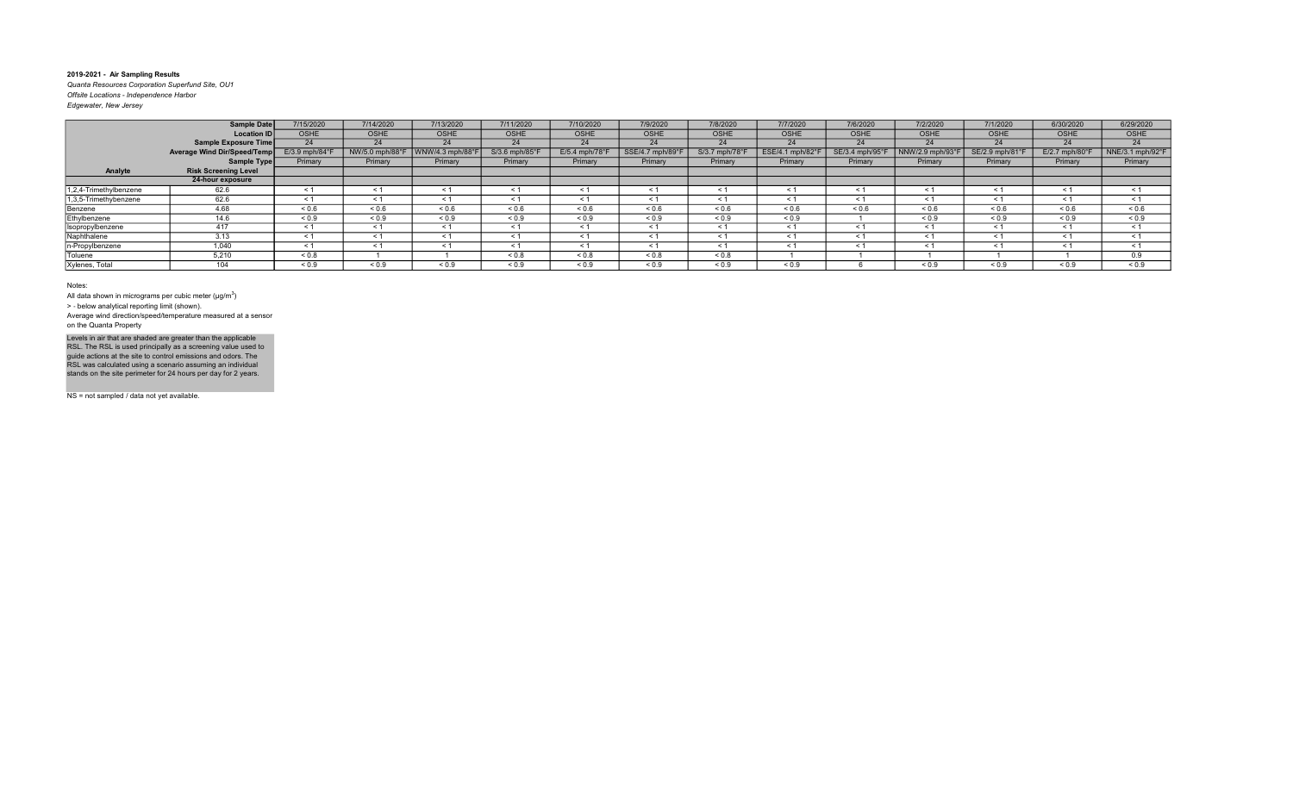Quanta Resources Corporation Superfund Site, OU1 Offsite Locations - Independence Harbor Edgewater, New Jersey

|                        | Sample Date                 | 7/15/2020                  | 7/14/2020       | 7/13/2020        | 7/11/2020         | 7/10/2020        | 7/9/2020         | 7/8/2020       | 7/7/2020        | 7/6/2020        | 7/2/2020         | 7/1/2020        | 6/30/2020                  | 6/29/2020        |
|------------------------|-----------------------------|----------------------------|-----------------|------------------|-------------------|------------------|------------------|----------------|-----------------|-----------------|------------------|-----------------|----------------------------|------------------|
|                        | <b>Location ID</b>          | <b>OSHE</b>                | <b>OSHE</b>     | <b>OSHE</b>      | OSHE              | <b>OSHE</b>      | <b>OSHE</b>      | <b>OSHE</b>    | OSHE            | <b>OSHE</b>     | <b>OSHE</b>      | <b>OSHE</b>     | <b>OSHE</b>                | OSHE             |
|                        | Sample Exposure Time        | 24                         | 24              | 24               | 24                | 24               | 24               | 24             | 24              | 24              | 24               | 24              | 24                         | 24               |
|                        | Average Wind Dir/Speed/Temp | $E/3.9$ mph/84 $\degree$ F | NW/5.0 mph/88°F | WNW/4.3 mph/88°l | S/3.6 mph/85°l    | $E/5.4$ mph/78°F | SSE/4.7 mph/89°F | S/3.7 mph/78°i | ESE/4.1 mph/82° | SE/3.4 mph/95°F | NNW/2.9 mph/93°F | SE/2.9 mph/81°F | $E/2.7$ mph/80 $\degree$ F | NNE/3.1 mph/92°F |
|                        | Sample Type                 | Primary                    | Primary         | Primary          | Primary           | Primary          | Primary          | Primary        | Primary         | Primary         | Primary          | Primary         | Primary                    | Primary          |
| Analyte                | <b>Risk Screening Level</b> |                            |                 |                  |                   |                  |                  |                |                 |                 |                  |                 |                            |                  |
|                        | 24-hour exposure            |                            |                 |                  |                   |                  |                  |                |                 |                 |                  |                 |                            |                  |
| 1,2,4-Trimethylbenzene | 62.6                        | $\leq$ 1                   | $\leq 1$        | ≺ 1              | < 1               | $\leq 1$         | ≺ 1              | $\leq 1$       | $\leq 1$        | $\leq 1$        | $\leq$ 1         | $\leq 1$        | $\leq 1$                   | $\leq$ 1         |
| 1,3,5-Trimethybenzene  | 62.6                        | $\leq$ 1                   | $\leq 1$        |                  | $\leq 1$          | < 1              | $\leq 1$         | $\leq 1$       | $\leq 1$        |                 | $\leq$ 1         | $\leq 1$        | $\tilde{}$                 | $\leq$ 1         |
| Benzene                | 4.68                        | ${}_{0.6}$                 | ${}_{0.6}$      | ${}_{0.6}$       | ${}^{5}$ ${}^{6}$ | ${}_{0.6}$       | ${}_{0.6}$       | ${}^{5}$ 0.6   | ${}_{0.6}$      | 0.6             | ${}_{0.6}$       | ${}^{5}$ 0.6    | 0.6                        | ${}_{0.6}$       |
| Ethylbenzene           | 14.6                        | ${}_{0.9}$                 | ${}_{0.9}$      | ${}_{0.9}$       | ${}_{0.9}$        | ${}_{0.9}$       | ${}_{0.9}$       | ${}_{0.9}$     | ${}_{0.9}$      |                 | ${}_{0.9}$       | ${}_{0.9}$      | ${}_{0.9}$                 | ${}_{0.9}$       |
| Isopropylbenzene       | 417                         | $\leq 1$                   | $\leq 1$        |                  | $\leq 1$          | $\leq 1$         | < 1              | $\leq 1$       | $\leq 1$        | < 1             | $\leq 1$         | $\leq 1$        | < 1                        | $\leq$ 1         |
| Naphthalene            | 3.13                        | $\leq$ 1                   | < 1             | < 1              | < 1               | < 1              | < 1              | < 1            | < 1             | < 1             | $\leq$ 1         | < 1             | $\leq$ 1                   | $\leq$ 1         |
| In-Propylbenzene       | 1.040                       | < 1                        | < 1             | < 1              | < 1               | < 1              | < 1              | < 1            | < 1             | < 1             | $\leq$ 1         | < 1             | < 1                        | < 1              |
| Toluene                | 5,210                       | ${}_{0.8}$                 |                 |                  | 0.8               | ${}_{0.8}$       | ${}_{0.8}$       | ${}_{0.8}$     |                 |                 |                  |                 |                            | 0.9              |
| Xylenes, Total         | 104                         | ${}_{0.9}$                 | ${}_{0.9}$      | ${}_{0.9}$       | ${}_{0.9}$        | ${}_{0.9}$       | ${}_{0.9}$       | ${}_{0.9}$     | ${}_{0.9}$      |                 | ${}_{0.9}$       | ${}_{0.9}$      | ${}_{0.9}$                 | ${}_{0.9}$       |

Notes:

All data shown in micrograms per cubic meter ( $\mu$ g/m $^3$ )

> ‐ below analytical reporting limit (shown).

Average wind direction/speed/temperature measured at a sensor on the Quanta Property

Levels in air that are shaded are greater than the applicable<br>RSL. The RSL is used principally as a screening value used to<br>guide actions at the site to control emissions and odors. The<br>RSL was calculated using a scenario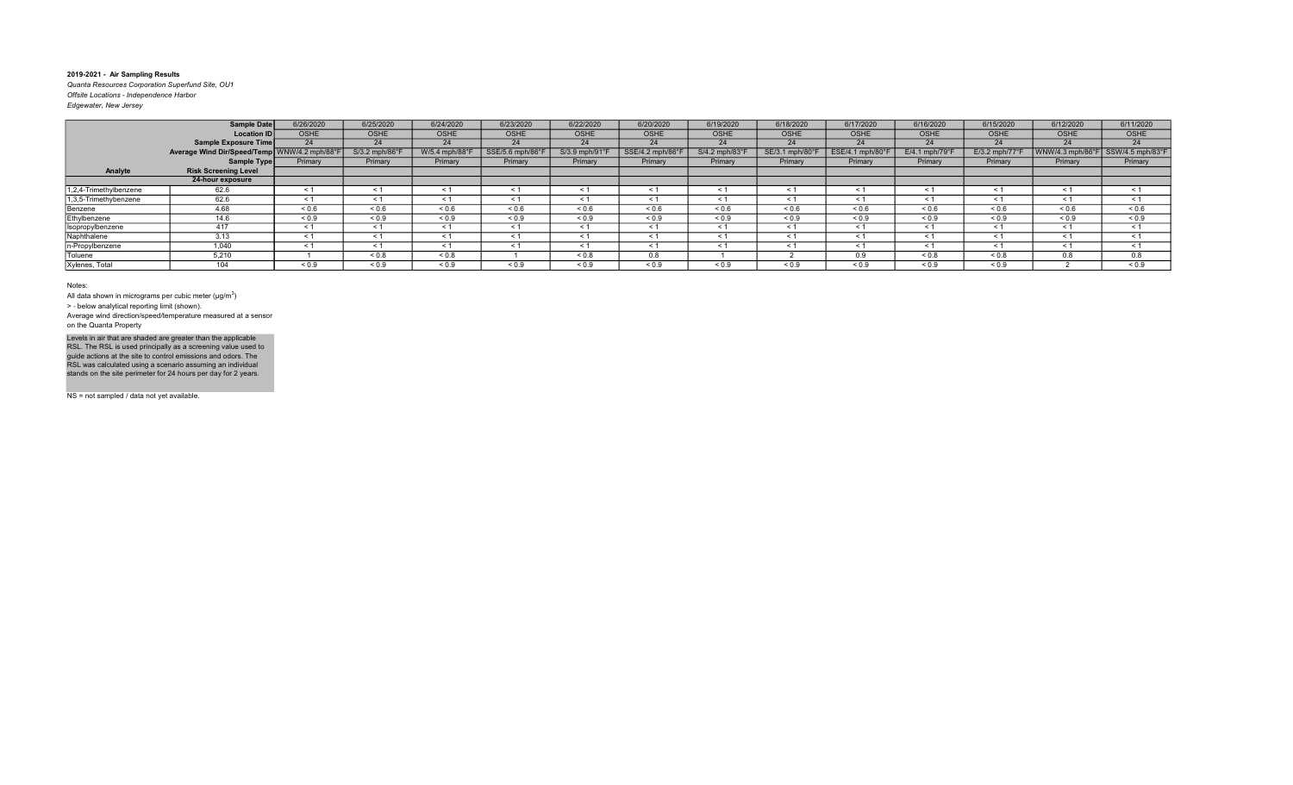Quanta Resources Corporation Superfund Site, OU1 Offsite Locations - Independence Harbor

| Edgewater, New Jersey |  |
|-----------------------|--|
|                       |  |

|                        | Sample Date                 | 6/26/2020        | 6/25/2020      | 6/24/2020         | 6/23/2020       | 6/22/2020      | 6/20/2020         | 6/19/2020      | 6/18/2020       | 6/17/2020         | 6/16/2020      | 6/15/2020                  | 6/12/2020   | 6/11/2020                         |
|------------------------|-----------------------------|------------------|----------------|-------------------|-----------------|----------------|-------------------|----------------|-----------------|-------------------|----------------|----------------------------|-------------|-----------------------------------|
|                        | Location ID                 | OSHE             | <b>OSHE</b>    | <b>OSHE</b>       | <b>OSHE</b>     | <b>OSHE</b>    | <b>OSHE</b>       | <b>OSHE</b>    | <b>OSHE</b>     | <b>OSHE</b>       | <b>OSHE</b>    | <b>OSHE</b>                | <b>OSHE</b> | <b>OSHE</b>                       |
|                        | Sample Exposure Time        | 24               | 24             | 24                | 24              | 24             | 24                | 24             | 24              | 24                | 24             | 24                         | 24          | 24                                |
|                        | Average Wind Dir/Speed/Temp | WNW/4.2 mph/88°F | S/3.2 mph/86°F | W/5.4 mph/88°F    | SSE/5.6 mph/86° | S/3.9 mph/91°F | SSE/4.2 mph/86°F  | S/4.2 mph/83°l | SE/3.1 mph/80°F | ESE/4.1 mph/80°F  | E/4.1 mph/79°l | $E/3.2$ mph/77 $\degree$ F |             | WNW/4.3 mph/86°F SSW/4.5 mph/83°F |
|                        | Sample Type                 | Primary          | Primary        | Primary           | Primary         | Primary        | Primary           | Primary        | Primary         | Primary           | Primary        | Primary                    | Primary     | Primary                           |
| Analyte                | <b>Risk Screening Level</b> |                  |                |                   |                 |                |                   |                |                 |                   |                |                            |             |                                   |
|                        | 24-hour exposure            |                  |                |                   |                 |                |                   |                |                 |                   |                |                            |             |                                   |
| 1,2,4-Trimethylbenzene | 62.6                        | < 1              | <              | $\leq$ 1          | < 1             | $\checkmark$ : | < 1               |                | < '             | < 1               | ≺ 1            |                            | < 1         | < 1                               |
| 1,3,5-Trimethybenzene  | 62.6                        | $\leq 1$         | < 1            | $\leq 1$          | $\leq 1$        | $\leq 1$       | $\leq 1$          | < 1            | < 1             | < 1               | $\leq 1$       | < 1                        | < 1         | $\leq 1$                          |
| Benzene                | 4.68                        | ${}_{0.6}$       | 0.6            | ${}^{5}$ ${}^{6}$ | ${}_{0.6}$      | 0.6            | ${}^{5}$ ${}^{6}$ | ${}^{5}$ 0.6   | 0.6             | ${}^{5}$ ${}^{6}$ | 0.6            | 0.6                        | 0.6         | ${}_{0.6}$                        |
| Ethylbenzene           | 14.6                        | ${}_{0.9}$       | ${}_{0.9}$     | ${}_{0.9}$        | ${}_{0.9}$      | ${}_{0.9}$     | ${}_{0.9}$        | ${}_{0.9}$     | ${}_{0.9}$      | ${}_{0.9}$        | ${}_{0.9}$     | ${}_{0.9}$                 | ${}_{0.9}$  | ${}_{0.9}$                        |
| Isopropylbenzene       | 417                         | < 1              | < 1            | $\leq$ 1          | < 1             | < 1            | $\leq 1$          | < 1            | < 1             | $\leq 1$          | < 1            | $\overline{\phantom{a}}$   | $\leq 1$    | $\leq 1$                          |
| Naphthalene            | 3.13                        | < 1              | $\leq$         | $\leq$ 1          | < 1             | $\leq$ 1       | < 1               | < 1            | $\leq 1$        | < 1               | < 1            | $\overline{\phantom{a}}$   | < 1         | $\leq 1$                          |
| n-Propylbenzene        | 1,040                       | $\leq 1$         | < 1            | $\leq 1$          | $\leq 1$        | < 1            | < 1               | < 1            | < 1             | < 1               | $\leq 1$       | $\leq 1$                   | $\leq 1$    | $\leq 1$                          |
| Toluene                | 5,210                       |                  | 0.8            | ${}_{0.8}$        |                 | 0.8            | 0.8               |                |                 | 0.9               | ${}_{0.8}$     | 0.8                        | 0.8         | 0.8                               |
| Xylenes, Total         | 104                         | ${}_{0.9}$       | ${}_{0.9}$     | ${}_{0.9}$        | ${}_{0.9}$      | ${}_{0.9}$     | ${}_{0.9}$        | ${}_{0.9}$     | ${}_{0.9}$      | ${}_{0.9}$        | ${}_{0.9}$     | ${}_{0.9}$                 |             | ${}_{0.9}$                        |

#### Notes:

All data shown in micrograms per cubic meter ( $\mu$ g/m $^3$ )

> ‐ below analytical reporting limit (shown). Average wind direction/speed/temperature measured at a sensor on the Quanta Property

Levels in air that are shaded are greater than the applicable<br>RSL. The RSL is used principally as a screening value used to<br>guide actions at the site to control emissions and odors. The<br>RSL was calculated using a scenario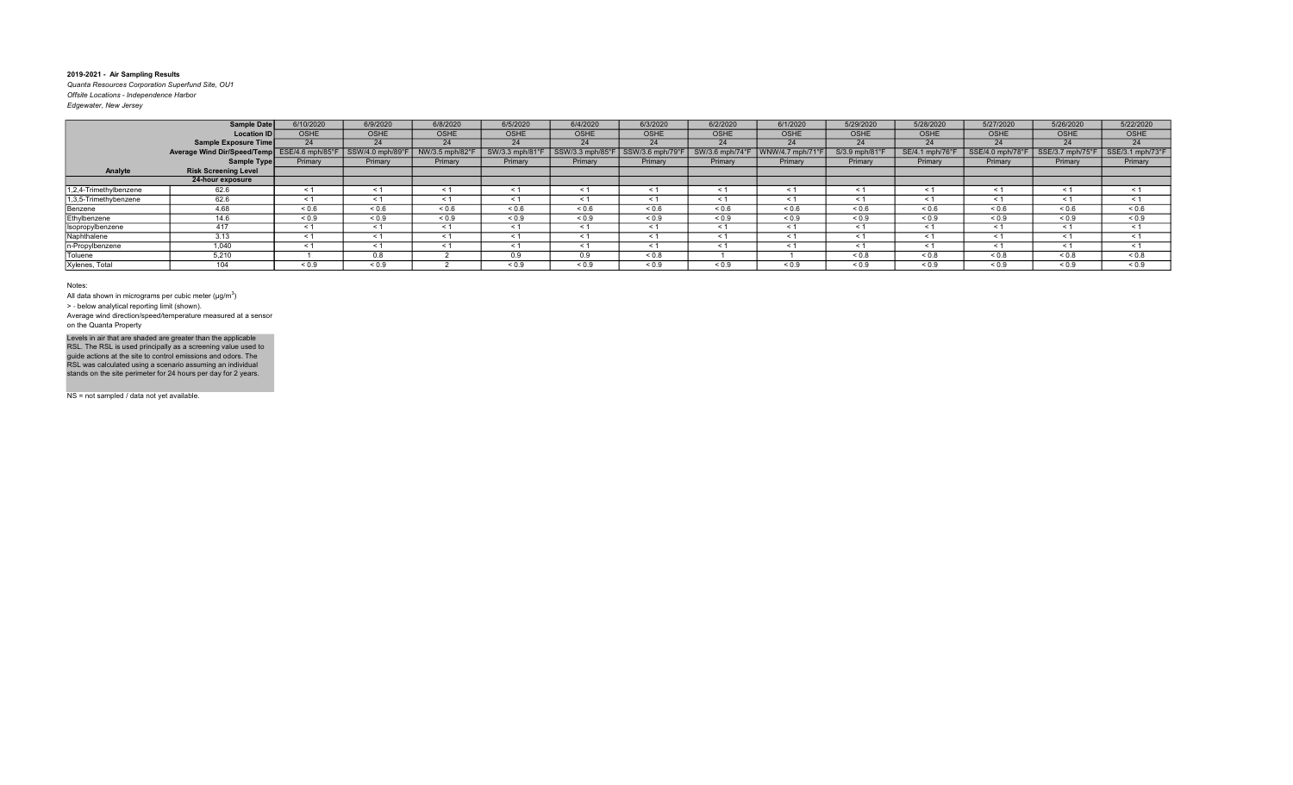Quanta Resources Corporation Superfund Site, OU1 Offsite Locations - Independence Harbor Edgewater, New Jersey

| Edgewater, New Jersey |             |          |
|-----------------------|-------------|----------|
|                       | Sample Date | 6/10/202 |
|                       |             |          |

|                        | Sample Date                 | 6/10/2020        | 6/9/2020              | 6/8/2020        | 6/5/2020       | 6/4/2020         | 6/3/2020         | 6/2/2020            | 6/1/2020        | 5/29/2020         | 5/28/2020           | 5/27/2020       | 5/26/2020        | 5/22/2020        |
|------------------------|-----------------------------|------------------|-----------------------|-----------------|----------------|------------------|------------------|---------------------|-----------------|-------------------|---------------------|-----------------|------------------|------------------|
|                        | <b>Location ID</b>          | <b>OSHE</b>      | OSHE                  | <b>OSHE</b>     | <b>OSHE</b>    | <b>OSHE</b>      | <b>OSHE</b>      | <b>OSHE</b>         | OSHE            | <b>OSHE</b>       | <b>OSHE</b>         | <b>OSHE</b>     | <b>OSHE</b>      | <b>OSHE</b>      |
|                        | Sample Exposure Time        | 24               | 24                    | 24              | 24             | 24               | 24               | 24                  | 24              | 24                | 24                  | 24              | 24               | 24               |
|                        | Average Wind Dir/Speed/Temp | ESE/4.6 mph/85°F | SSW/4.0 mph/89°F      | NW/3.5 mph/82°F | SW/3.3 mph/81° | SSW/3.3 mph/85°l | SSW/3.6 mph/79°F | SW/3.6 mph/74°      | WNW/4.7 mph/71° | S/3.9 mph/81°F    | SE/4.1 mph/76°F     | SSE/4.0 mph/78° | SSE/3.7 mph/75°F | SSE/3.1 mph/73°F |
|                        | Sample Type                 | Primary          | Primary               | Primary         | Primary        | Primary          | Primary          | Primary             | Primary         | Primary           | Primary             | Primary         | Primary          | Primary          |
| Analyte                | <b>Risk Screening Level</b> |                  |                       |                 |                |                  |                  |                     |                 |                   |                     |                 |                  |                  |
|                        | 24-hour exposure            |                  |                       |                 |                |                  |                  |                     |                 |                   |                     |                 |                  |                  |
| 1,2,4-Trimethylbenzene | 62.6                        | $\leq 1$         | $\leq$                | < 1             | $\leq 1$       | ≺ 1              | $\leq 1$         | < 1                 | < 1             | $\leq$ 1          | < 1                 | $\leq$ $\leq$   | $\leq 1$         | $\leq 1$         |
| 1,3,5-Trimethybenzene  | 62.6                        | $\leq 1$         |                       | < 1             | < 1            | < 1              | < 1              | < 1                 |                 | $\leq$ 1          | < 1                 | $\leq$ $\leq$   | < 1              | $\leq 1$         |
| Benzene                | 4.68                        | ${}_{0.6}$       | ${}_{0.6}$            | ${}^{5}$ 0.6    | 0.6            | ${}_{0.6}$       | ${}_{0.6}$       | ${}^{5}$ $\leq$ 0.6 | 0.6             | ${}^{5}$ ${}^{6}$ | ${}^{5}$ $\leq$ 0.6 | 0.6             | ${}_{0.6}$       | ${}_{0.6}$       |
| Ethylbenzene           | 14.6                        | ${}_{0.9}$       | ${}_{0.9}$            | ${}_{0.9}$      | ${}^{5}$ < 0.9 | ${}_{0.9}$       | ${}_{0.9}$       | ${}_{0.9}$          | ${}_{0.9}$      | ${}_{0.9}$        | ${}_{0.9}$          | ${}_{0.9}$      | ${}_{0.9}$       | ${}_{0.9}$       |
| Isopropylbenzene       | 417                         | $\leq 1$         | $\leq$                | $\leq$ 1        | < 1            | $\leq 1$         | $\leq 1$         | < 1                 | < 1             | $\leq$ 1          | < 1                 | $\leq 1$        | $\leq$ 1         | < 1              |
| Naphthalene            | 3.13                        | < 1              | $\leq$                | < 1             | < 1            | $\leq$           | $\leq 1$         | < 1                 | $\prec$         | $\leq$ 1          | < 1                 | $\leq$ $\leq$   | < 1              | < 1              |
| n-Propylbenzene        | 1.040                       | < 1              | $\tilde{\phantom{0}}$ | < 1             | < 1            | < 1              | < 1              | < 1                 | < 1             | $\leq$ 1          | $\leq 1$            | < 1             | $\leq$ 1         | < 1              |
| Toluene                | 5,210                       |                  | 0.8                   |                 | 0.9            | 0.9              | ${}_{0.8}$       |                     |                 | ${}_{0.8}$        | ${}_{0.8}$          | 0.8             | ${}_{0.8}$       | ${}_{0.8}$       |
| Xylenes, Total         | 104                         | ${}_{0.9}$       | ${}_{0.9}$            |                 | < 0.9          | ${}_{0.9}$       | ${}_{0.9}$       | ${}_{0.9}$          | ${}_{0.9}$      | ${}_{0.9}$        | ${}_{0.9}$          | ${}_{0.9}$      | ${}_{0.9}$       | ${}_{0.9}$       |

#### Notes:

All data shown in micrograms per cubic meter ( $\mu$ g/m $^3$ )

> ‐ below analytical reporting limit (shown).

Average wind direction/speed/temperature measured at a sensor on the Quanta Property

Levels in air that are shaded are greater than the applicable<br>RSL. The RSL is used principally as a screening value used to<br>guide actions at the site to control emissions and odors. The<br>RSL was calculated using a scenario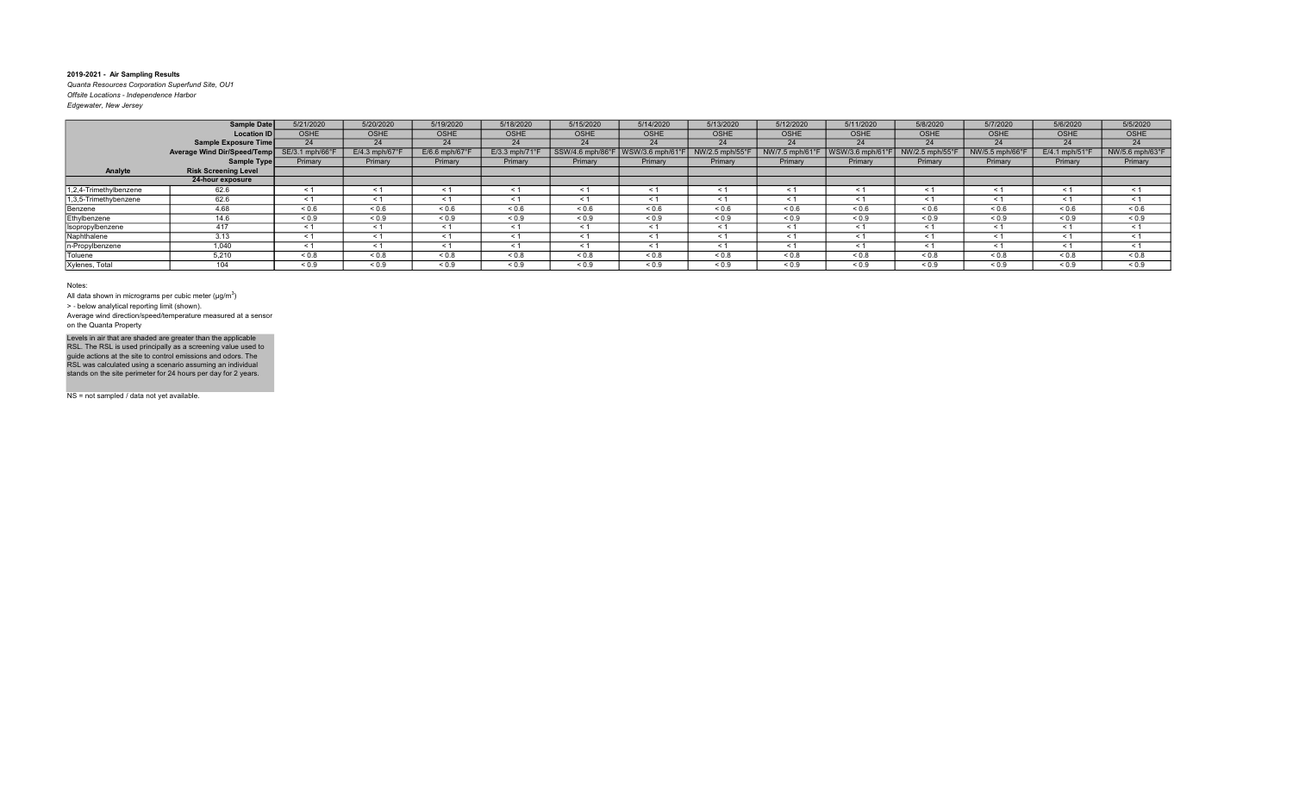Quanta Resources Corporation Superfund Site, OU1 Offsite Locations - Independence Harbor Edgewater, New Jersey

|                        | <b>Sample Date</b>          | 5/21/2020       | 5/20/2020                  | 5/19/2020                  | 5/18/2020                 | 5/15/2020        | 5/14/2020         | 5/13/2020      | 5/12/2020         | 5/11/2020        | 5/8/2020                | 5/7/2020       | 5/6/2020                   | 5/5/2020        |
|------------------------|-----------------------------|-----------------|----------------------------|----------------------------|---------------------------|------------------|-------------------|----------------|-------------------|------------------|-------------------------|----------------|----------------------------|-----------------|
|                        | <b>Location ID</b>          | <b>OSHE</b>     | <b>OSHE</b>                | <b>OSHE</b>                | <b>OSHE</b>               | <b>OSHE</b>      | OSHE              | <b>OSHE</b>    | <b>OSHE</b>       | <b>OSHE</b>      | <b>OSHE</b>             | <b>OSHE</b>    | <b>OSHE</b>                | OSHE            |
|                        | <b>Sample Exposure Time</b> | 24              | 24                         | 24                         | 24                        | 24               | 24                | 24             | 24                | 24               | 24                      | 24             | 24                         | 24              |
|                        | Average Wind Dir/Speed/Temp | SE/3.1 mph/66°F | $E/4.3$ mph/67 $\degree$ F | $E/6.6$ mph/67 $\degree$ F | $E/3.3$ mph/71 $^{\circ}$ | SSW/4.6 mph/86°F | WSW/3.6 mph/61°   | NW/2.5 mph/55° | NW/7.5 mph/61°F   | WSW/3.6 mph/61°F | NW/2.5 mph/55 $\degree$ | NW/5.5 mph/66° | $E/4.1$ mph/51 $\degree$ F | NW/5.6 mph/63°F |
|                        | Sample Type                 | Primary         | Primary                    | Primary                    | Primary                   | Primary          | Primary           | Primary        | Primary           | Primary          | Primary                 | Primary        | Primary                    | Primary         |
| Analyte                | <b>Risk Screening Level</b> |                 |                            |                            |                           |                  |                   |                |                   |                  |                         |                |                            |                 |
|                        | 24-hour exposure            |                 |                            |                            |                           |                  |                   |                |                   |                  |                         |                |                            |                 |
| 1,2,4-Trimethylbenzene | 62.6                        | < 1             | $\leq 1$                   | ≺ 1                        | < 1                       | $\leq 1$         | ≺ 1               | $\leq$ 1       | $\leq 1$          | - 1              | $\leq 1$                | $\leq 1$       | $\leq$ 1                   | $\leq$ 1        |
| 1,3,5-Trimethybenzene  | 62.6                        | $\leq$ 1        | $\leq 1$                   | $\leq 1$                   | $\leq 1$                  | $\leq 1$         |                   | $\leq$ 1       | $\leq 1$          |                  | $\leq 1$                | $\leq 1$       | $\tilde{}$                 | $\leq$ 1        |
| Benzene                | 4.68                        | ${}_{0.6}$      | ${}_{0.6}$                 | 0.6                        | ${}^{5}$ 0.6              | ${}_{0.6}$       | ${}^{5}$ ${}^{6}$ | ${}_{0.6}$     | ${}^{5}$ ${}^{6}$ | 0.6              | ${}^{5}$ 0.6            | ${}^{5}$ 0.6   | 0.6                        | ${}_{0.6}$      |
| Ethylbenzene           | 14.6                        | ${}_{0.9}$      | ${}_{0.9}$                 | ${}_{0.9}$                 | ${}_{0.9}$                | ${}_{0.9}$       | ${}_{0.9}$        | ${}_{0.9}$     | ${}_{0.9}$        | ${}_{0.9}$       | ${}_{0.9}$              | ${}_{0.9}$     | ${}_{0.9}$                 | ${}_{0.9}$      |
| Isopropylbenzene       | 417                         | $\leq 1$        | $\leq 1$                   | < 1                        | $\leq 1$                  | $\leq 1$         | < 1               | $\leq 1$       | $\leq 1$          | < 1              | $\leq 1$                | $\leq 1$       | < 1                        | $\leq$ 1        |
| Naphthalene            | 3.13                        | < 1             | < 1                        | < 1                        | < 1                       | < 1              | < 1               | < 1            | $\leq 1$          | $\leq$ 1         | < 1                     | $\leq 1$       | $\leq$ 1                   | < 1             |
| n-Propylbenzene        | 1.040                       | < 1             | < 1                        | < 1                        | < 1                       | < 1              | < 1               | $\leq 1$       | $\leq 1$          | < 1              | < 1                     | $\leq 1$       | < 1                        | < 1             |
| Toluene                | 5,210                       | ${}_{0.8}$      | ${}_{0.8}$                 | ${}_{0.8}$                 | ${}_{0.8}$                | ${}_{0.8}$       | ${}_{0.8}$        | ${}_{0.8}$     | ${}_{0.8}$        | $0.8 -$          | ${}_{0.8}$              | ${}_{0.8}$     | ${}_{0.8}$                 | ${}_{0.8}$      |
| Xylenes, Total         | 104                         | ${}_{0.9}$      | ${}_{0.9}$                 | ${}_{0.9}$                 | ${}_{0.9}$                | ${}_{0.9}$       | ${}_{0.9}$        | ${}_{0.9}$     | ${}_{0.9}$        | ${}_{0.9}$       | ${}_{0.9}$              | ${}_{0.9}$     | ${}_{0.9}$                 | ${}_{0.9}$      |

Notes:

All data shown in micrograms per cubic meter ( $\mu$ g/m $^3$ )

> ‐ below analytical reporting limit (shown).

Average wind direction/speed/temperature measured at a sensor on the Quanta Property

Levels in air that are shaded are greater than the applicable<br>RSL. The RSL is used principally as a screening value used to<br>guide actions at the site to control emissions and odors. The<br>RSL was calculated using a scenario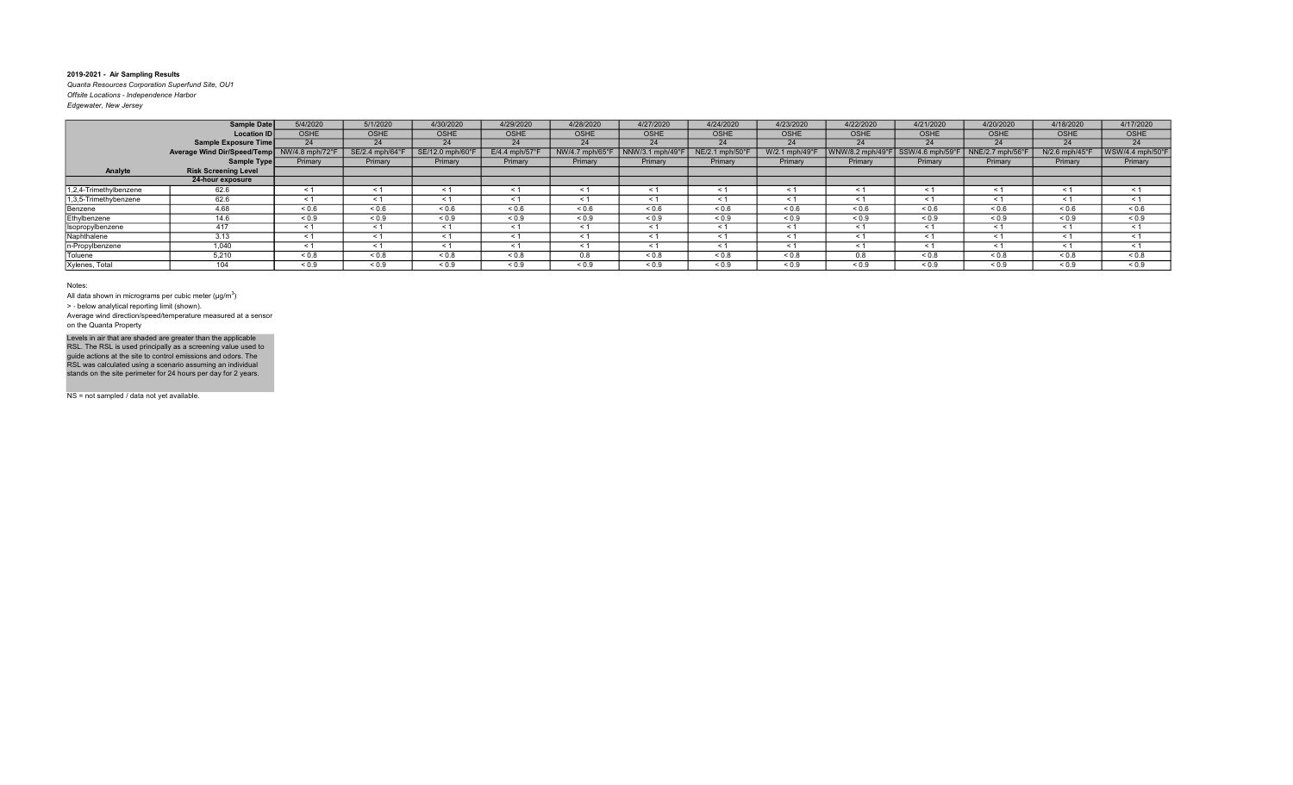Quanta Resources Corporation Superfund Site, OU1 Offsite Locations - Independence Harbor Edgewater, New Jersey

|                        | Sample Date                                 | 5/4/2020   | 5/1/2020        | 4/30/2020        | 4/29/2020         | 4/28/2020   | 4/27/2020                          | 4/24/2020       | 4/23/2020      | 4/22/2020         | 4/21/2020                                              | 4/20/2020   | 4/18/2020        | 4/17/2020        |
|------------------------|---------------------------------------------|------------|-----------------|------------------|-------------------|-------------|------------------------------------|-----------------|----------------|-------------------|--------------------------------------------------------|-------------|------------------|------------------|
|                        | Location ID                                 | OSHE       | <b>OSHE</b>     | <b>OSHE</b>      | <b>OSHE</b>       | <b>OSHE</b> | <b>OSHE</b>                        | <b>OSHE</b>     | <b>OSHE</b>    | <b>OSHE</b>       | OSHE                                                   | <b>OSHE</b> | OSHE             | OSHE             |
|                        | Sample Exposure Time                        | 24         | 24              | 24               | 24                | 24          | 24                                 | 24              | 24             | 24                | 24                                                     | 24          | 24               | 24               |
|                        | Average Wind Dir/Speed/Temp NW/4.8 mph/72°F |            | SE/2.4 mph/64°F | SE/12.0 mph/60°F | $E/4.4$ mph/57°   |             | NW/4.7 mph/65°F   NNW/3.1 mph/49°F | NE/2.1 mph/50°F | W/2.1 mph/49°F |                   | WNW/8.2 mph/49°F   SSW/4.6 mph/59°F   NNE/2.7 mph/56°F |             | $N/2.6$ mph/45°F | WSW/4.4 mph/50°F |
|                        | Sample Type                                 | Primary    | Primary         | Primary          | Primary           | Primary     | Primary                            | Primary         | Primary        | Primary           | Primary                                                | Primary     | Primary          | Primary          |
| Analyte                | <b>Risk Screening Level</b>                 |            |                 |                  |                   |             |                                    |                 |                |                   |                                                        |             |                  |                  |
|                        | 24-hour exposure                            |            |                 |                  |                   |             |                                    |                 |                |                   |                                                        |             |                  |                  |
| 1,2,4-Trimethylbenzene | 62.6                                        | < 1        |                 |                  | $\leq 1$          |             |                                    | $\leq 1$        | - 31           |                   | ≺ 1                                                    | - 31        | < 1              | $\leq 1$         |
| 1,3,5-Trimethybenzene  | 62.6                                        | < 1        | - 1             |                  | < 1               | - 31        |                                    | < 1             | - 31           |                   | ≺ 1                                                    | - 31        |                  | $\leq 1$         |
| Benzene                | 4.68                                        | ${}_{0.6}$ | 0.6             | ${}^{5}$ 0.6     | ${}^{5}$ ${}^{6}$ | 0.6         | 0.6                                | ${}^{5}$ 0.6    | 0.6            | ${}^{5}$ ${}^{6}$ | ${}^{5}$ 0.6                                           | ${}_{0.6}$  | 0.6              | ${}^{5}$ 0.6     |
| Ethylbenzene           | 14.6                                        | ${}_{0.9}$ | ${}_{0.9}$      | ${}_{0.9}$       | ${}_{0.9}$        | ${}_{0.9}$  | ${}_{0.9}$                         | ${}_{0.9}$      | ${}_{0.9}$     | ${}_{0.9}$        | ${}_{0.9}$                                             | ${}_{0.9}$  | ${}_{0.9}$       | ${}^{5}$ < 0.9   |
| Isopropylbenzene       | 417                                         | < 1        |                 |                  | < 1               |             |                                    | $\leq 1$        |                |                   | ≺ 1                                                    |             |                  | < 1              |

< 0.9  $\vert$  < 0.9  $\vert$  < 0.9  $\vert$  < 0.9  $\vert$  < 0.9  $\vert$  < 0.9  $\vert$  < 0.9  $\vert$  < 0.9  $\vert$  < 0.9  $\vert$  < 0.9  $\vert$  < 0.9  $\vert$  < 0.9  $\vert$  < 0.9  $\vert$  < 0.9  $\vert$  < 0.9  $\vert$  < 0.9 < 1 < 1 < 1 < 1 < 1 < 1 < 1 < 1 < 1 < 1 < 1 < 1 < 1 < 1 < 1 < 1 < 1 < 1 < 1 < 1 < 1 < 1 < 1 < 1 < 1 < 1 < 1 < 1 < 1 < 1 < 1 < 1 < 1 < 1 < 1 < 1 < 1 < 1 < 1 < 0.8 | < 0.8 | < 0.8 | < 0.8 | < 0.8 | < 0.8 | < 0.8 | < 0.8 | < 0.8 | < 0.8 | < 0.8 | < 0.8 | < 0.8 | < 0.8 | < 0.8 | < 0.8 | < 0.8 | < 0.8 | < 0.8 | < 0.8 | < 0.8 | < 0.8 | < 0.8 | < 0.8 | < 0.8 | < 0.8 | < 0.8 | < 0.8 < 0.9 | < 0.9 | < 0.9 | < 0.9 | < 0.9 | < 0.9 | < 0.9 | < 0.9 | < 0.9 | < 0.9 | < 0.9 | < 0.9 | < 0.9 | < 0.9 | < 0.9 | < 0.9 | < 0.9 | < 0.9 | < 0.9 | < 0.9 | < 0.9 | < 0.9 | < 0.9 | < 0.9 | < 0.9 | < 0.9 | < 0.9 | < 0.9

Notes:

Xylenes, Total 104

All data shown in micrograms per cubic meter ( $\mu$ g/m $^3$ )

<u>Isopropylbenzene 417</u><br>
Naphthalene 3.13 Naphthalene 3.13<br>
n-Propylbenzene 1,040 n-Propylbenzene 1,040<br>Toluene 5,210 Toluene 5,210<br>Xylenes. Total 5,210

> ‐ below analytical reporting limit (shown).

Average wind direction/speed/temperature measured at a sensor on the Quanta Property

Levels in air that are shaded are greater than the applicable<br>RSL. The RSL is used principally as a screening value used to<br>guide actions at the site to control emissions and odors. The<br>RSL was calculated using a scenario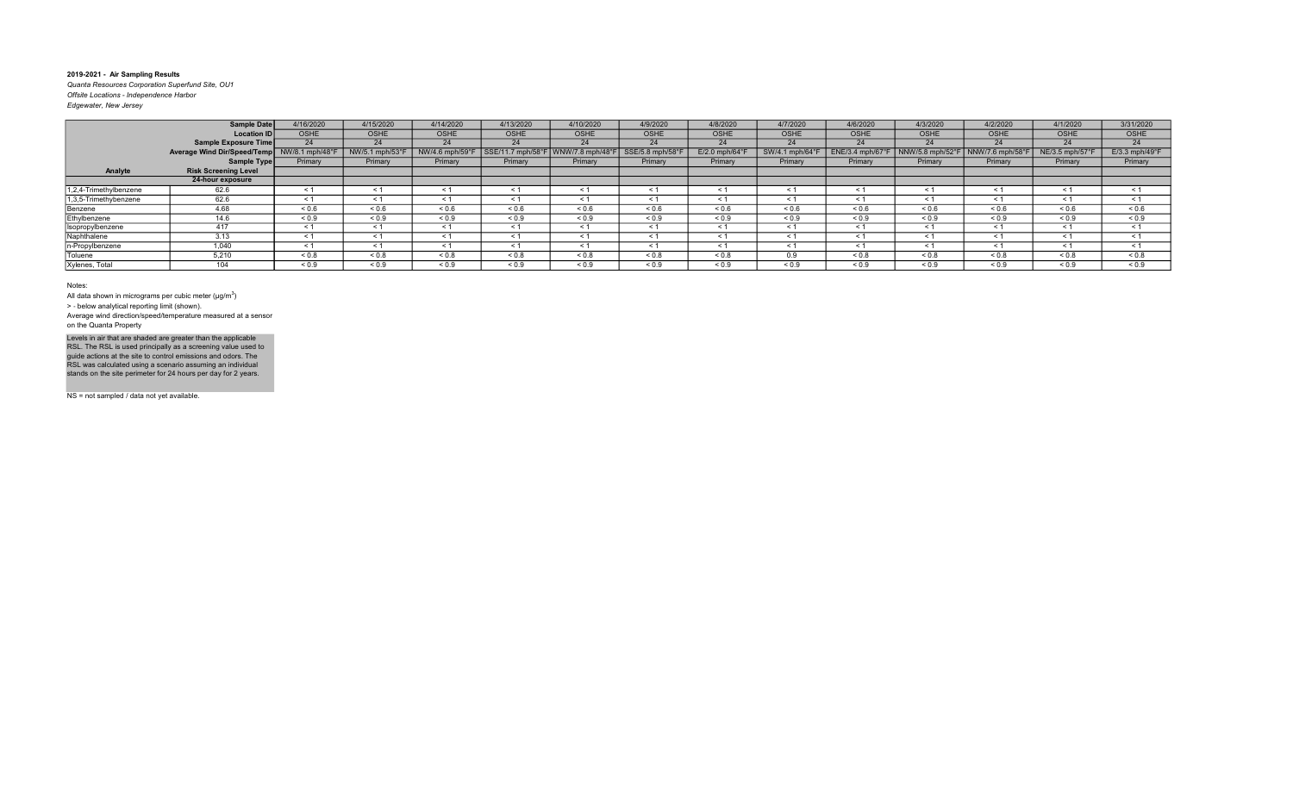Quanta Resources Corporation Superfund Site, OU1 Offsite Locations - Independence Harbor Edgewater, New Jersey

|                        | <b>Sample Date</b>          | 4/16/2020       | 4/15/2020       | 4/14/2020       | 4/13/2020         | 4/10/2020        | 4/9/2020         | 4/8/2020                  | 4/7/2020          | 4/6/2020         | 4/3/2020         | 4/2/2020        | 4/1/2020                    | 3/31/2020                  |
|------------------------|-----------------------------|-----------------|-----------------|-----------------|-------------------|------------------|------------------|---------------------------|-------------------|------------------|------------------|-----------------|-----------------------------|----------------------------|
|                        | <b>Location ID</b>          | <b>OSHE</b>     | <b>OSHE</b>     | <b>OSHE</b>     | <b>OSHE</b>       | <b>OSHE</b>      | <b>OSHE</b>      | <b>OSHE</b>               | <b>OSHE</b>       | <b>OSHE</b>      | <b>OSHE</b>      | <b>OSHE</b>     | <b>OSHE</b>                 | OSHE                       |
|                        | <b>Sample Exposure Time</b> | 24              | 24              | 24              | 24                | 24               | 24               | 24                        | 24                | 24               | 24               | 24              | 24                          | 24                         |
|                        | Average Wind Dir/Speed/Temp | NW/8.1 mph/48°F | NW/5.1 mph/53°F | NW/4.6 mph/59°F | SSE/11.7 mph/58°F | WNW/7.8 mph/48°I | SSE/5.8 mph/58°F | $E/2.0$ mph/64 $^{\circ}$ | SW/4.1 mph/64°F   | ENE/3.4 mph/67°F | NNW/5.8 mph/52°F | NNW/7.6 mph/58° | $NE/3.5$ mph/57 $\degree$ F | $E/3.3$ mph/49 $\degree$ F |
|                        | Sample Type                 | Primary         | Primary         | Primary         | Primary           | Primary          | Primary          | Primary                   | Primary           | Primary          | Primary          | Primary         | Primary                     | Primary                    |
| Analyte                | <b>Risk Screening Level</b> |                 |                 |                 |                   |                  |                  |                           |                   |                  |                  |                 |                             |                            |
|                        | 24-hour exposure            |                 |                 |                 |                   |                  |                  |                           |                   |                  |                  |                 |                             |                            |
| 1,2,4-Trimethylbenzene | 62.6                        | < 1             | $\leq 1$        | ≺ 1             | < 1               | $\leq 1$         | ≺ 1              | $\leq 1$                  | $\leq 1$          | $\leq$ 1         | $\leq$ 1         | $\leq 1$        | $\leq$ 1                    | $\leq$ 1                   |
| 1,3,5-Trimethybenzene  | 62.6                        | $\leq 1$        | $\leq 1$        | $\leq 1$        | $\leq 1$          | $\leq 1$         | < 1              | $\leq$ 1                  | $\leq 1$          |                  | $\leq 1$         | $\leq 1$        | $\tilde{}$                  | $\leq$ 1                   |
| Benzene                | 4.68                        | ${}_{0.6}$      | ${}_{0.6}$      | 0.6             | ${}^{5}$ 0.6      | ${}_{0.6}$       | 0.6              | ${}^{5}$ 0.6              | ${}^{5}$ ${}^{6}$ | 0.6              | ${}^{5}$ 0.6     | ${}^{5}$ 0.6    | 0.6                         | ${}_{0.6}$                 |
| Ethylbenzene           | 14.6                        | ${}_{0.9}$      | ${}_{0.9}$      | ${}_{0.9}$      | ${}_{0.9}$        | ${}_{0.9}$       | ${}_{0.9}$       | ${}_{0.9}$                | ${}_{0.9}$        | ${}_{0.9}$       | ${}_{0.9}$       | ${}_{0.9}$      | ${}_{0.9}$                  | ${}_{0.9}$                 |
| Isopropylbenzene       | 417                         | $\leq 1$        | $\leq 1$        | < 1             | $\leq 1$          | $\leq 1$         | < 1              | $\leq 1$                  | $\leq 1$          | < 1              | $\leq 1$         | $\leq 1$        | < 1                         | $\leq$ 1                   |
| Naphthalene            | 3.13                        | < 1             | < 1             | < 1             | < 1               | < 1              | < 1              | < 1                       | $\leq 1$          | $\leq$ 1         | < 1              | $\leq 1$        | $\leq$ 1                    | < 1                        |
| n-Propylbenzene        | 1.040                       | < 1             | < 1             | < 1             | < 1               | < 1              | < 1              | $\leq 1$                  | $\leq 1$          | < 1              | < 1              | $\leq 1$        | < 1                         | < 1                        |
| Toluene                | 5,210                       | ${}_{0.8}$      | ${}_{0.8}$      | ${}_{0.8}$      | ${}_{0.8}$        | ${}_{0.8}$       | ${}_{0.8}$       | ${}_{0.8}$                | 0.9               | ${}_{0.8}$       | ${}_{0.8}$       | ${}_{0.8}$      | ${}_{0.8}$                  | ${}_{0.8}$                 |
| Xylenes, Total         | 104                         | ${}_{0.9}$      | ${}_{0.9}$      | ${}_{0.9}$      | ${}_{0.9}$        | ${}_{0.9}$       | ${}_{0.9}$       | ${}_{0.9}$                | ${}_{0.9}$        | ${}_{0.9}$       | ${}_{0.9}$       | ${}_{0.9}$      | ${}_{0.9}$                  | ${}_{0.9}$                 |

Notes:

All data shown in micrograms per cubic meter ( $\mu$ g/m $^3$ )

> ‐ below analytical reporting limit (shown).

Average wind direction/speed/temperature measured at a sensor on the Quanta Property

Levels in air that are shaded are greater than the applicable<br>RSL. The RSL is used principally as a screening value used to<br>guide actions at the site to control emissions and odors. The<br>RSL was calculated using a scenario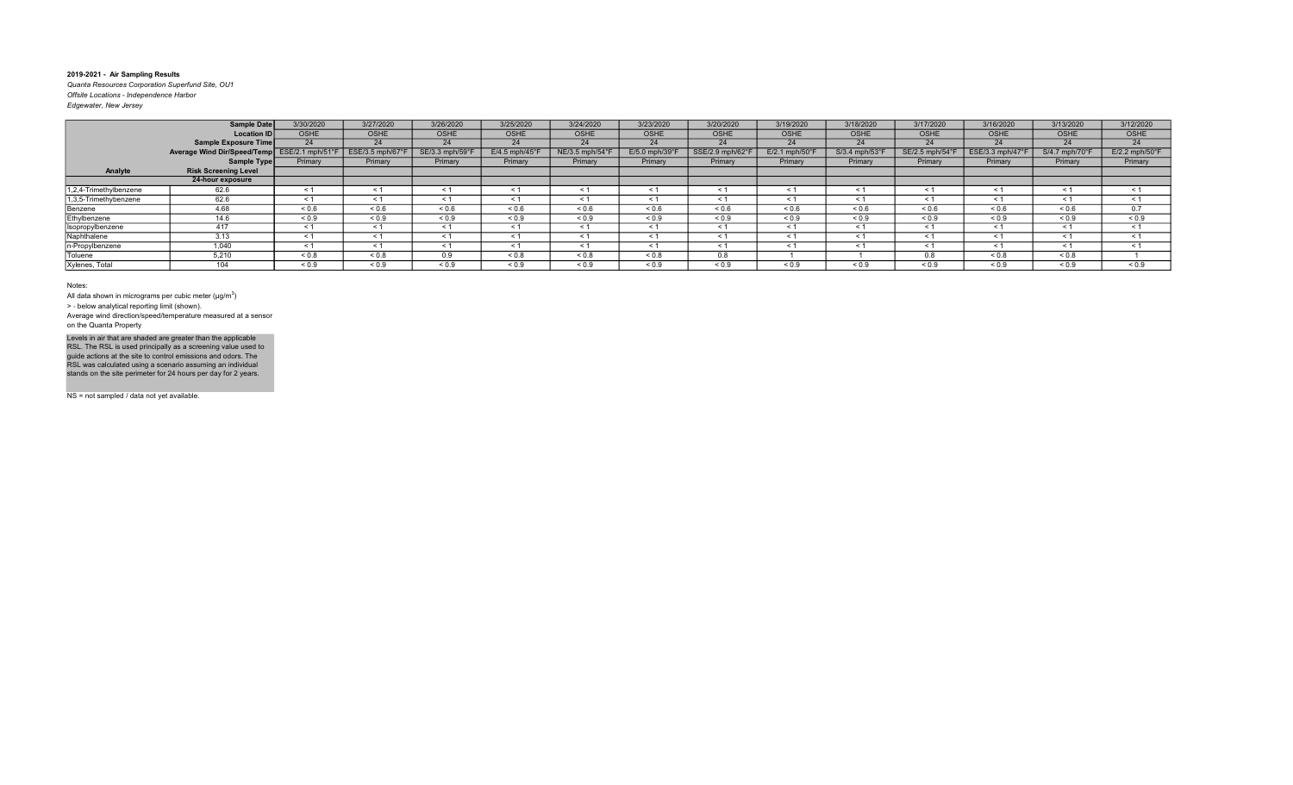Quanta Resources Corporation Superfund Site, OU1 Offsite Locations - Independence Harbor Edgewater, New Jersey

|                        | <b>Sample Date</b>          | 3/30/2020        | 3/27/2020       | 3/26/2020       | 3/25/2020                 | 3/24/2020      | 3/23/2020                 | 3/20/2020        | 3/19/2020         | 3/18/2020             | 3/17/2020     | 3/16/2020       | 3/13/2020                  | 3/12/2020                  |
|------------------------|-----------------------------|------------------|-----------------|-----------------|---------------------------|----------------|---------------------------|------------------|-------------------|-----------------------|---------------|-----------------|----------------------------|----------------------------|
|                        | <b>Location ID</b>          | <b>OSHE</b>      | <b>OSHE</b>     | <b>OSHE</b>     | <b>OSHE</b>               | <b>OSHE</b>    | OSHE                      | <b>OSHE</b>      | <b>OSHE</b>       | <b>OSHE</b>           | <b>OSHE</b>   | <b>OSHE</b>     | <b>OSHE</b>                | OSHE                       |
|                        | <b>Sample Exposure Time</b> | 24               | 24              | 24              | 24                        | 24             | 24                        | 24               | 24                | 24                    | 24            | 24              | 24                         | 24                         |
|                        | Average Wind Dir/Speed/Temp | ESE/2.1 mph/51°F | ESE/3.5 mph/67° | SE/3.3 mph/59°F | $E/4.5$ mph/45 $^{\circ}$ | NE/3.5 mph/54° | $E/5.0$ mph/39 $^{\circ}$ | SSE/2.9 mph/62°I | E/2.1 mph/50°F    | S/3.4 mph/53°F        | SE/2.5 mph/54 | ESE/3.3 mph/47° | $S/4.7$ mph/70 $\degree$ F | $E/2.2$ mph/50 $\degree$ F |
|                        | Sample Type                 | Primary          | Primary         | Primary         | Primary                   | Primary        | Primary                   | Primary          | Primary           | Primary               | Primary       | Primary         | Primary                    | Primary                    |
| Analyte                | <b>Risk Screening Level</b> |                  |                 |                 |                           |                |                           |                  |                   |                       |               |                 |                            |                            |
|                        | 24-hour exposure            |                  |                 |                 |                           |                |                           |                  |                   |                       |               |                 |                            |                            |
| 1,2,4-Trimethylbenzene | 62.6                        | < 1              | $\leq 1$        | ≺ 1             | < 1                       | $\leq 1$       | ≺ 1                       | $\leq$ 1         | $\leq 1$          | $\tilde{\phantom{0}}$ | $\leq 1$      | $\leq 1$        | $\leq$ 1                   | $\leq$ 1                   |
| 1,3,5-Trimethybenzene  | 62.6                        | $\leq 1$         | < 1             |                 | $\leq 1$                  | $\leq 1$       |                           | $\leq$ 1         | $\leq 1$          |                       | $\leq 1$      | $\leq 1$        | $\tilde{}$                 | $\leq$ 1                   |
| Benzene                | 4.68                        | ${}_{0.6}$       | ${}_{0.6}$      | ${}^{5}$ 0.6    | ${}^{5}$ 0.6              | ${}_{0.6}$     | ${}^{5}$ ${}^{6}$         | ${}_{0.6}$       | ${}^{5}$ ${}^{6}$ | 0.6                   | ${}^{5}$ 0.6  | ${}^{5}$ 0.6    | 0.6                        | 0.7                        |
| Ethylbenzene           | 14.6                        | ${}_{0.9}$       | ${}_{0.9}$      | ${}_{0.9}$      | ${}_{0.9}$                | ${}_{0.9}$     | ${}_{0.9}$                | ${}_{0.9}$       | ${}_{0.9}$        | ${}_{0.9}$            | ${}_{0.9}$    | ${}_{0.9}$      | ${}_{0.9}$                 | ${}_{0.9}$                 |
| Isopropylbenzene       | 417                         | $\leq 1$         | $\leq 1$        | < 1             | $\leq 1$                  | $\leq 1$       | < 1                       | $\leq 1$         | $\leq 1$          | < 1                   | $\leq 1$      | $\leq 1$        | < 1                        | $\leq$ 1                   |
| Naphthalene            | 3.13                        | < 1              | < 1             | < 1             | < 1                       | < 1            | < 1                       | < 1              | $\leq 1$          | $\leq$ 1              | < 1           | $\leq 1$        | $\leq$ 1                   | $\leq$ 1                   |
| n-Propylbenzene        | 1,040                       | < 1              | < 1             | < 1             | < 1                       | < 1            | < 1                       | $\leq 1$         | < 1               | $\leq$ 1              | < 1           | $\leq 1$        | < 1                        | < 1                        |
| Toluene                | 5,210                       | ${}_{0.8}$       | ${}_{0.8}$      | 0.9             | ${}_{0.8}$                | ${}_{0.8}$     | ${}_{0.8}$                | 0.8              |                   |                       | 0.8           | 0.8             | ${}_{0.8}$                 |                            |
| Xylenes, Total         | 104                         | ${}_{0.9}$       | ${}_{0.9}$      | ${}_{0.9}$      | ${}_{0.9}$                | ${}_{0.9}$     | ${}_{0.9}$                | ${}_{0.9}$       | ${}_{0.9}$        | ${}_{0.9}$            | ${}_{0.9}$    | ${}_{0.9}$      | ${}_{0.9}$                 | ${}_{0.9}$                 |

Notes:

All data shown in micrograms per cubic meter ( $\mu$ g/m $^3$ )

> ‐ below analytical reporting limit (shown).

Average wind direction/speed/temperature measured at a sensor on the Quanta Property

Levels in air that are shaded are greater than the applicable<br>RSL. The RSL is used principally as a screening value used to<br>guide actions at the site to control emissions and odors. The<br>RSL was calculated using a scenario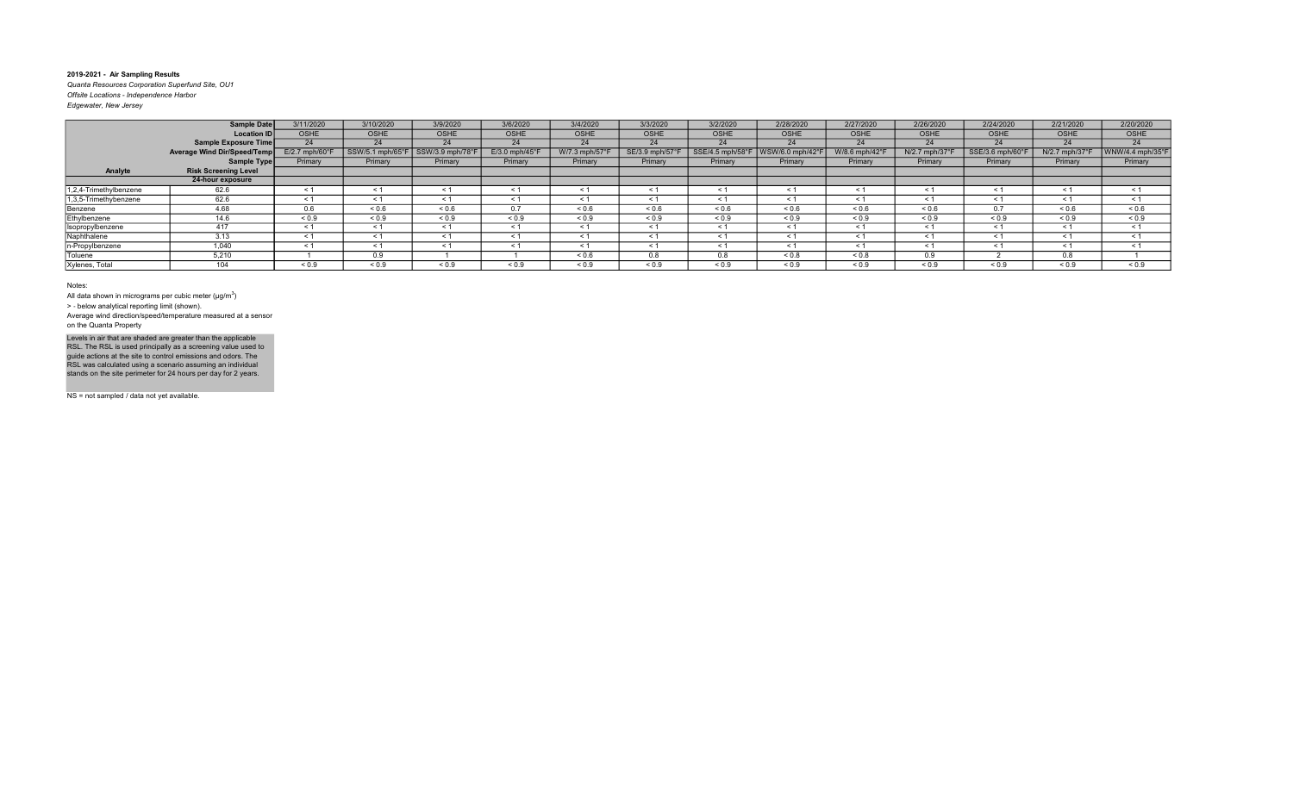Quanta Resources Corporation Superfund Site, OU1 Offsite Locations - Independence Harbor Edgewater, New Jersey

|                        | Sample Date                 | 3/11/2020                   | 3/10/2020        | 3/9/2020         | 3/6/2020        | 3/4/2020          | 3/3/2020        | 3/2/2020         | 2/28/2020       | 2/27/2020         | 2/26/2020      | 2/24/2020        | 2/21/2020     | 2/20/2020           |
|------------------------|-----------------------------|-----------------------------|------------------|------------------|-----------------|-------------------|-----------------|------------------|-----------------|-------------------|----------------|------------------|---------------|---------------------|
|                        | <b>Location ID</b>          | <b>OSHE</b>                 | <b>OSHE</b>      | <b>OSHE</b>      | <b>OSHE</b>     | <b>OSHE</b>       | OSHE            | <b>OSHE</b>      | <b>OSHE</b>     | OSHE              | <b>OSHE</b>    | <b>OSHE</b>      | <b>OSHE</b>   | OSHE                |
|                        | Sample Exposure Time        | 24                          | 24               | 24               | 24              | 24                | 24              | 24               | 24              | 24                | 24             | 24               | 24            | 24                  |
|                        | Average Wind Dir/Speed/Temp | $E/2.7$ mph/60 $^{\circ}$ F | SSW/5.1 mph/65°F | SSW/3.9 mph/78°F | $E/3.0$ mph/45° | W/7.3 mph/57°F    | SE/3.9 mph/57°F | SSE/4.5 mph/58°F | WSW/6.0 mph/42° | W/8.6 mph/42°F    | N/2.7 mph/37°  | SSE/3.6 mph/60°F | N/2.7 mph/37° | WNW/4.4 mph/35°F    |
|                        | Sample Type                 | Primary                     | Primary          | Primary          | Primary         | Primary           | Primary         | Primary          | Primary         | Primary           | Primary        | Primary          | Primary       | Primary             |
| Analyte                | <b>Risk Screening Level</b> |                             |                  |                  |                 |                   |                 |                  |                 |                   |                |                  |               |                     |
|                        | 24-hour exposure            |                             |                  |                  |                 |                   |                 |                  |                 |                   |                |                  |               |                     |
| 1,2,4-Trimethylbenzene | 62.6                        | < 1                         | $\leq 1$         | ≺ 1              | $\leq 1$        | $\leq 1$          | $\leq$          | $\leq$ 1         | ≺ 1             | $\leq 1$          | $\leq 1$       | $\tilde{}$       | < 1           | < 1                 |
| 1,3,5-Trimethybenzene  | 62.6                        | $\leq 1$                    | < 1              | $\leq 1$         | $\leq 1$        | $\leq 1$          | $\prec$         | $\leq$ 1         | $\leq$ 1        | - 1               | < 1            | $\tilde{}$       | $\leq 1$      | < 1                 |
| Benzene                | 4.68                        | 0.6                         | ${}_{0.6}$       | ${}^{5}$ 0.6     | 0.7             | ${}^{5}$ ${}^{6}$ | 0.6             | ${}_{0.6}$       | ${}^{5}$ 0.6    | ${}^{5}$ ${}^{6}$ | ${}^{5}$ 0.6   | $\sim$ $\sim$    | ${}_{0.6}$    | ${}^{5}$ $\leq$ 0.6 |
| Ethylbenzene           | 14.6                        | ${}_{0.9}$                  | ${}_{0.9}$       | ${}_{0.9}$       | ${}_{0.9}$      | ${}_{0.9}$        | ${}_{0.9}$      | ${}_{0.9}$       | ${}_{0.9}$      | ${}_{0.9}$        | ${}^{5}$ < 0.9 | ${}_{0.9}$       | ${}_{0.9}$    | ${}_{0.9}$          |
| Isopropylbenzene       | 417                         | < 1                         | $\leq 1$         | < 1              | $\leq 1$        | $\leq 1$          | < 1             | $\leq 1$         | $\leq 1$        | < 1               | < 1            | $\leq 1$         | < 1           | $\leq 1$            |
| Naphthalene            | 3.13                        | < 1                         | < 1              | < 1              | < 1             | $\leq 1$          | $\leq$ 1        | < 1              | < 1             | < 1               | < 1            | $\leq$           | < 1           | < 1                 |
| In-Propylbenzene       | 1.040                       | < 1                         | < 1              | < 1              | < 1             | < 1               | $\leq$ 1        | < 1              | < 1             | < 1               | < 1            | $\leq$           | < 1           | < 1                 |
| Toluene                | 5,210                       |                             | 0.9              |                  |                 | ${}^{5}$ ${}^{6}$ | 0.8             | 0.8              | ${}_{0.8}$      | ${}_{0.8}$        | 0.9            |                  | 0.8           |                     |
| Xylenes, Total         | 104                         | ${}_{0.9}$                  | ${}_{0.9}$       | ${}_{0.9}$       | ${}_{0.9}$      | ${}_{0.9}$        | ${}_{0.9}$      | ${}_{0.9}$       | ${}_{0.9}$      | ${}_{0.9}$        | < 0.9          | ${}_{0.9}$       | ${}_{0.9}$    | ${}_{0.9}$          |

Notes:

All data shown in micrograms per cubic meter ( $\mu$ g/m $^3$ )

> ‐ below analytical reporting limit (shown).

Average wind direction/speed/temperature measured at a sensor on the Quanta Property

Levels in air that are shaded are greater than the applicable<br>RSL. The RSL is used principally as a screening value used to<br>guide actions at the site to control emissions and odors. The<br>RSL was calculated using a scenario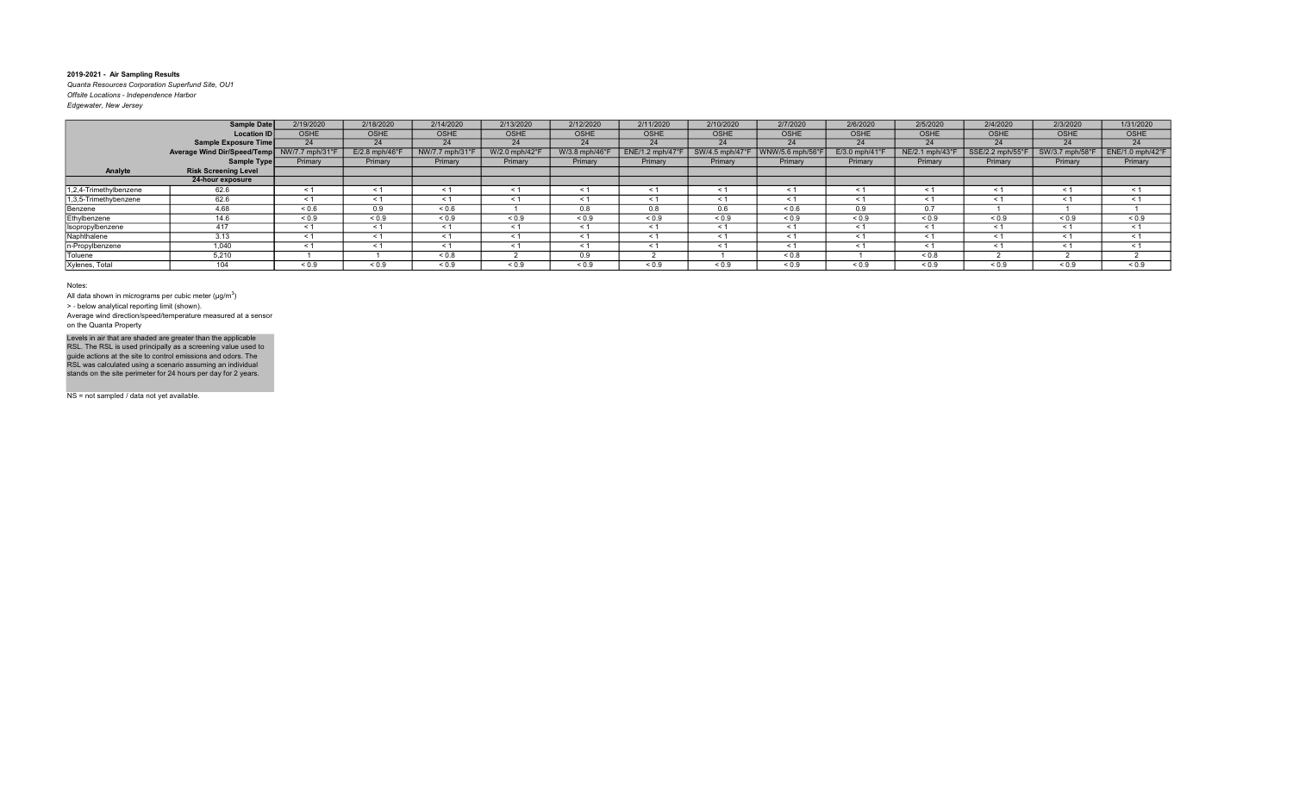Quanta Resources Corporation Superfund Site, OU1 Offsite Locations - Independence Harbor

| Edgewater, New Jersey |  |
|-----------------------|--|
|                       |  |

|                        | <b>Sample Date</b>          | 2/19/2020      | 2/18/2020        | 2/14/2020       | 2/13/2020     | 2/12/2020      | 2/11/2020       | 2/10/2020               | 2/7/2020        | 2/6/2020                   | 2/5/2020      | 2/4/2020         | 2/3/2020        | 1/31/2020        |
|------------------------|-----------------------------|----------------|------------------|-----------------|---------------|----------------|-----------------|-------------------------|-----------------|----------------------------|---------------|------------------|-----------------|------------------|
|                        | <b>Location IDI</b>         | <b>OSHE</b>    | <b>OSHE</b>      | <b>OSHE</b>     | <b>OSHE</b>   | <b>OSHE</b>    | <b>OSHE</b>     | <b>OSHE</b>             | <b>OSHE</b>     | <b>OSHE</b>                | <b>OSHE</b>   | <b>OSHE</b>      | <b>OSHE</b>     | OSHE             |
|                        | Sample Exposure Time        | 24             | 24               | 24              | 24            | 24             | 24              | 24                      | 24              | 24                         | 24            | 24               | 24              | 24               |
|                        | Average Wind Dir/Speed/Temp | NW/7.7 mph/31° | $E/2.8$ mph/46°F | NW/7.7 mph/31°F | W/2.0 mph/42° | W/3.8 mph/46°F | ENE/1.2 mph/47° | SW/4.5 mph/47 $\degree$ | WNW/5.6 mph/56° | $E/3.0$ mph/41 $\degree$ F | NE/2.1 mph/43 | SSE/2.2 mph/55°F | SW/3.7 mph/58°F | ENE/1.0 mph/42°F |
|                        | Sample Type                 | Primary        | Primary          | Primary         | Primary       | Primary        | Primary         | Primary                 | Primary         | Primary                    | Primary       | Primary          | Primary         | Primary          |
| Analyte                | <b>Risk Screening Level</b> |                |                  |                 |               |                |                 |                         |                 |                            |               |                  |                 |                  |
|                        | 24-hour exposure            |                |                  |                 |               |                |                 |                         |                 |                            |               |                  |                 |                  |
| 1,2,4-Trimethylbenzene | 62.6                        | < 1            | < 1              | < 1             | $\leq$ 1      | < 1            | $\leq$ 1        | < 1                     | < 1             | $\leq$ 1                   | < 1           | < 1              | $\leq$ 1        | < 1              |
| 1,3,5-Trimethybenzene  | 62.6                        | $\leq 1$       | $\leq 1$         | < 1             | $\leq 1$      | $\leq 1$       | < 1             | < 1                     | $\leq 1$        | $\tilde{\phantom{0}}$      | < 1           | < 1              | $\leq$ 1        | $\leq$ 1         |
| Benzene                | 4.68                        | ${}_{0.6}$     | 0.9              | 0.6             |               | 0.8            | 0.8             | 0.6                     | ${}^{5}$ 0.6    | 0.9                        | 0.7           |                  |                 |                  |
| Ethylbenzene           | 14.6                        | ${}_{0.9}$     | ${}_{0.9}$       | ${}_{0.9}$      | ${}_{0.9}$    | ${}_{0.9}$     | ${}_{0.9}$      | ${}_{0.9}$              | ${}_{0.9}$      | ${}_{0.9}$                 | ${}_{0.9}$    | ${}_{0.9}$       | ${}_{0.9}$      | ${}_{0.9}$       |
| Isopropylbenzene       | 417                         | < 1            | < 1              | $\leq 1$        | < 1           | $\leq 1$       | < 1             | < 1                     | $\leq 1$        | $\leq$ 1                   | $\leq$ 1      | $\leq 1$         | $\leq$ 1        | $\leq$ 1         |
| Naphthalene            | 3.13                        | $\leq 1$       | < 1              | < 1             | $\leq$ 1      | < 1            | $\leq$ 1        | $\leq$ 1                | $\leq 1$        | $\leq$                     | $\leq$ 1      | $\leq 1$         | $\leq$ 1        | $\leq$ 1         |
| n-Propylbenzene        | 1.040                       | $\leq 1$       | < 1              | < 1             | $\leq$ 1      | $\leq 1$       | < 1             | < 1                     | $\leq 1$        | < 1                        | < 1           | < 1              | $\leq$ 1        | $\leq$ 1         |
| Toluene                | 5,210                       |                |                  | ${}_{0.8}$      |               | 0.9            |                 |                         | ${}_{0.8}$      |                            | ${}_{0.8}$    |                  |                 |                  |
| Xylenes, Total         | 104                         | ${}_{0.9}$     | ${}_{0.9}$       | ${}_{0.9}$      | ${}_{0.9}$    | ${}_{0.9}$     | ${}_{0.9}$      | ${}_{0.9}$              | ${}_{0.9}$      | ${}_{0.9}$                 | ${}_{0.9}$    | ${}_{0.9}$       | ${}_{0.9}$      | ${}_{0.9}$       |

#### Notes:

All data shown in micrograms per cubic meter ( $\mu$ g/m $^3$ )

> ‐ below analytical reporting limit (shown).

Average wind direction/speed/temperature measured at a sensor on the Quanta Property

Levels in air that are shaded are greater than the applicable<br>RSL. The RSL is used principally as a screening value used to<br>guide actions at the site to control emissions and odors. The<br>RSL was calculated using a scenario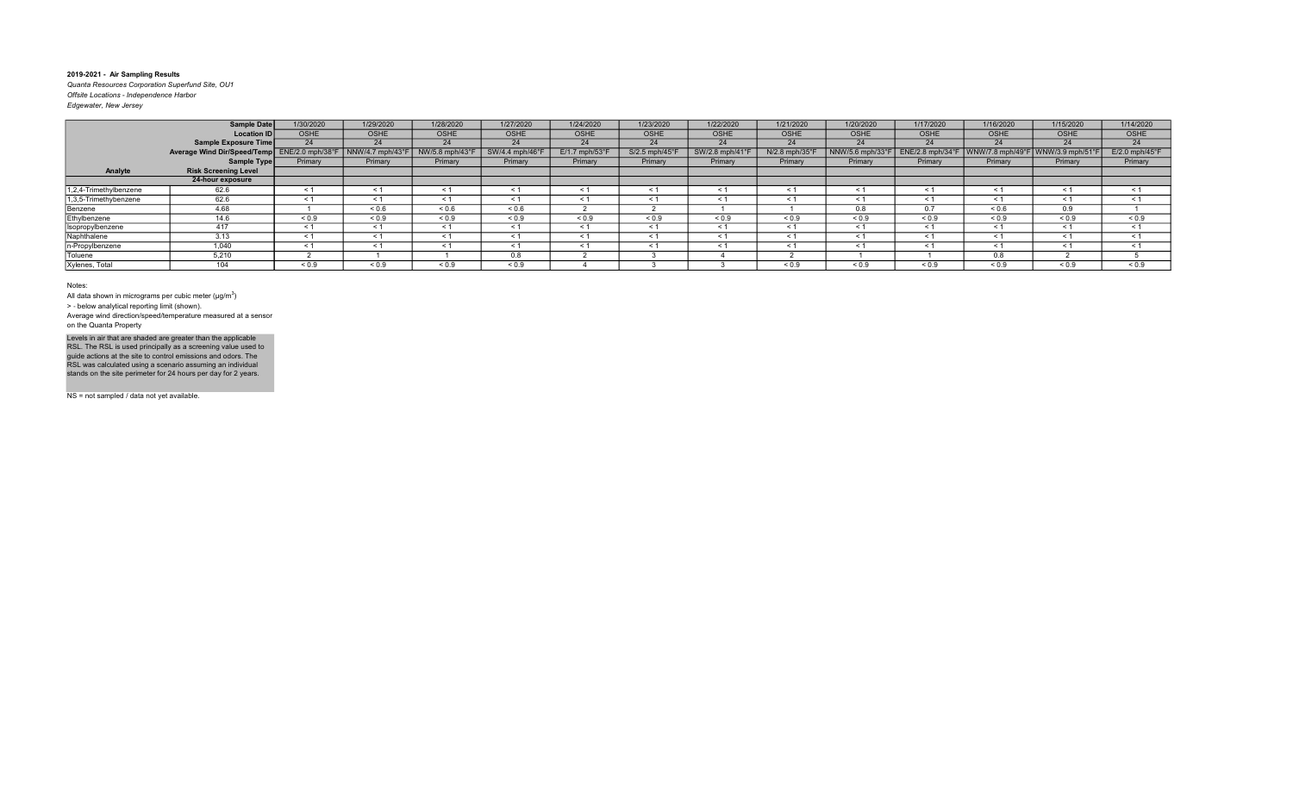Quanta Resources Corporation Superfund Site, OU1 Offsite Locations - Independence Harbor Edgewater, New Jersey

| Eagewater, ivew Jersey |  |  |
|------------------------|--|--|
|                        |  |  |

|                        | Sample Date                                  | 1/30/2020   | 1/29/2020       | 1/28/2020       | 1/27/2020           | 1/24/2020        | 1/23/2020                  | 1/22/2020     | 1/21/2020      | 1/20/2020        | 1/17/2020       | 1/16/2020             | 1/15/2020                     | 1/14/2020        |
|------------------------|----------------------------------------------|-------------|-----------------|-----------------|---------------------|------------------|----------------------------|---------------|----------------|------------------|-----------------|-----------------------|-------------------------------|------------------|
|                        | Location ID                                  | <b>OSHE</b> | <b>OSHE</b>     | <b>OSHE</b>     | <b>OSHE</b>         | <b>OSHE</b>      | OSHE                       | <b>OSHE</b>   | <b>OSHE</b>    | OSHE             | <b>OSHE</b>     | <b>OSHE</b>           | <b>OSHE</b>                   | OSHE             |
|                        | <b>Sample Exposure Time</b>                  | 24          | 24              | 24              | 24                  | 24               | 24                         | 24            | 24             | 24               | 24              | 24                    | 24                            | 24               |
|                        | Average Wind Dir/Speed/Temp ENE/2.0 mph/38°F |             | NNW/4.7 mph/43° | NW/5.8 mph/43°F | SW/4.4 mph/46°      | $E/1.7$ mph/53°F | $S/2.5$ mph/45 $\degree$ F | SW/2.8 mph/41 | N/2.8 mph/35°F | NNW/5.6 mph/33°F | ENE/2.8 mph/34° | WNW/7.8 mph/49°       | <code>WNW/3.9</code> mph/51°F | $E/2.0$ mph/45°F |
|                        | Sample Type                                  | Primary     | Primary         | Primary         | Primary             | Primary          | Primary                    | Primary       | Primary        | Primary          | Primary         | Primary               | Primary                       | Primary          |
| Analyte                | <b>Risk Screening Level</b>                  |             |                 |                 |                     |                  |                            |               |                |                  |                 |                       |                               |                  |
|                        | 24-hour exposure                             |             |                 |                 |                     |                  |                            |               |                |                  |                 |                       |                               |                  |
| 1,2,4-Trimethylbenzene | 62.6                                         | < 1         | $\leq$ 1        | - 1             | < 1                 | $\leq 1$         | $\leq$ 1                   | < 1           | $\leq$ 1       | < 1              |                 | $\tilde{\phantom{0}}$ | < 1                           | $\leq 1$         |
| 1,3,5-Trimethybenzene  | 62.6                                         | $\leq 1$    | < 1             | < 1             | $\leq 1$            | $\leq$ 1         |                            | < 1           |                | < 1              | < 1             |                       | $\leq 1$                      | $\leq 1$         |
| Benzene                | 4.68                                         |             | ${}^{5}$ 0.6    | ${}^{5}$ 0.6    | ${}^{5}$ ${}^{0.6}$ |                  |                            |               |                | 0.8              | 0.7             | 0.6                   | 0.9                           |                  |
| Ethylbenzene           | 14.6                                         | ${}_{0.9}$  | ${}_{0.9}$      | ${}_{0.9}$      | ${}_{0.9}$          | ${}_{0.9}$       | ${}_{0.9}$                 | ${}_{0.9}$    | ${}_{0.9}$     | ${}_{0.9}$       | ${}_{0.9}$      | ${}_{0.9}$            | ${}_{0.9}$                    | ${}_{0.9}$       |
| Isopropylbenzene       | 417                                          | < 1         | $\leq 1$        | < 1             | < 1                 | < 1              | $\prec$ $\sim$             | < 1           | $\leq$ 1       | < 1              | < 1             | $\tilde{\phantom{0}}$ | < 1                           | < 1              |
| Naphthalene            | 3.13                                         | < 1         | < 1             | < 1             | < 1                 | < 1              | < 1                        | < 1           | $\leq 1$       | < 1              | < 1             | < 1                   | $\leq 1$                      | < 1              |
| n-Propylbenzene        | 1,040                                        | < 1         | < 1             |                 | $\leq 1$            | < 1              | $\prec$                    | < 1           |                | < 1              |                 | $\tilde{}$            | $\leq 1$                      | < 1              |
| Toluene                | 5,210                                        |             |                 |                 | 0.8                 |                  |                            |               |                |                  |                 | $\sim$ $\sim$<br>U.ŏ  |                               |                  |
| Xylenes, Total         | 104                                          | ${}_{0.9}$  | ${}_{0.9}$      | ${}_{0.9}$      | ${}_{0.9}$          |                  |                            |               | 0.9            | ${}_{0.9}$       | ${}_{0.9}$      | ${}_{0.9}$            | ${}_{0.9}$                    | ${}_{0.9}$       |

#### Notes:

All data shown in micrograms per cubic meter ( $\mu$ g/m $^3$ )

> ‐ below analytical reporting limit (shown).

Average wind direction/speed/temperature measured at a sensor on the Quanta Property

Levels in air that are shaded are greater than the applicable<br>RSL. The RSL is used principally as a screening value used to<br>guide actions at the site to control emissions and odors. The<br>RSL was calculated using a scenario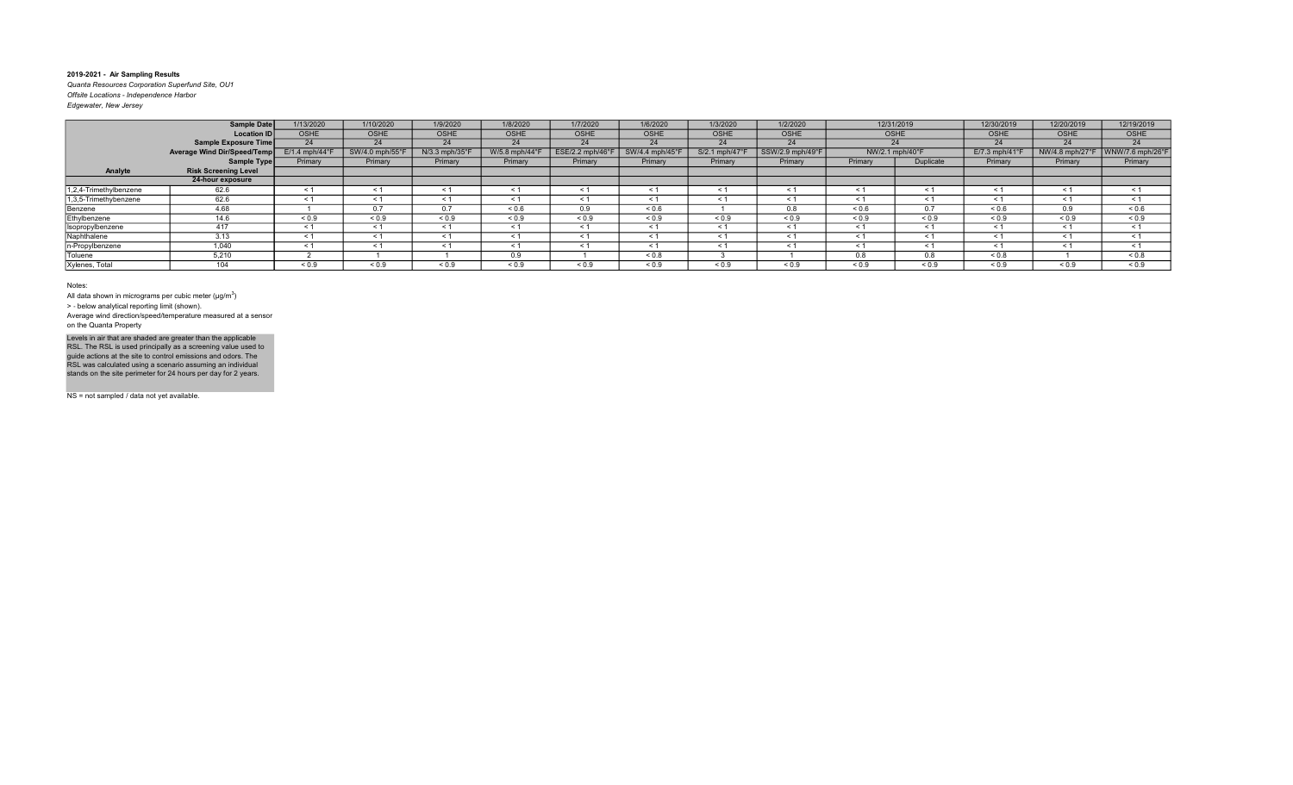Quanta Resources Corporation Superfund Site, OU1 Offsite Locations - Independence Harbor Edgewater, New Jersey

|                        | <b>Sample Date</b>          | 1/13/2020                  | 1/10/2020       | 1/9/2020       | 1/8/2020      | 1/7/2020           | 1/6/2020        | 1/3/2020      | 1/2/2020         |            | 12/31/2019      | 12/30/2019      | 12/20/2019      | 12/19/2019       |
|------------------------|-----------------------------|----------------------------|-----------------|----------------|---------------|--------------------|-----------------|---------------|------------------|------------|-----------------|-----------------|-----------------|------------------|
|                        | Location ID                 | OSHE                       | <b>OSHE</b>     | <b>OSHE</b>    | <b>OSHE</b>   | <b>OSHE</b>        | <b>OSHE</b>     | OSHE          | <b>OSHE</b>      |            | <b>OSHE</b>     | OSHE            | <b>OSHE</b>     | <b>OSHE</b>      |
|                        | Sample Exposure Time        | 24                         | 24              | 24             | 24            | 24                 | 24              | 24            | 24               |            | 24              | 24              | 24              | 24               |
|                        | Average Wind Dir/Speed/Temp | $E/1.4$ mph/44 $\degree$ F | SW/4.0 mph/55°l | N/3.3 mph/35°F | W/5.8 mph/44° | $ESE/2.2$ mph/46°F | SW/4.4 mph/45°F | S/2.1 mph/47° | SSW/2.9 mph/49°F |            | NW/2.1 mph/40°F | $E/7.3$ mph/41° | NW/4.8 mph/27°F | WNW/7.6 mph/26°F |
|                        | Sample Type                 | Primary                    | Primary         | Primary        | Primary       | Primary            | Primary         | Primary       | Primary          | Primary    | Duplicate       | Primary         | Primary         | Primary          |
| Analyte                | <b>Risk Screening Level</b> |                            |                 |                |               |                    |                 |               |                  |            |                 |                 |                 |                  |
|                        | 24-hour exposure            |                            |                 |                |               |                    |                 |               |                  |            |                 |                 |                 |                  |
| 1,2,4-Trimethylbenzene | 62.6                        | < 1                        | $\leq 1$        |                | < 1           | < 1                |                 | < 1           |                  |            |                 |                 | $\leq 1$        | < 1              |
| 1,3,5-Trimethybenzene  | 62.6                        | < 1                        | $\leq 1$        | < 1            | $\leq 1$      | $\leq 1$           | $\leq 1$        | < 1           | $\leq$ 1         | < 1        | < 1             | $\hat{~}$       | < 1             | < 1              |
| Benzene                | 4.68                        |                            | 0.7             | 0.7            | ${}_{0.6}$    | 0.9                | 0.6             |               | 0.8              | ${}_{0.6}$ | 0.7             | ${}_{0.6}$      | 0.9             | ${}_{0.6}$       |
| Ethylbenzene           | 14.6                        | ${}_{0.9}$                 | ${}_{0.9}$      | ${}_{0.9}$     | ${}_{0.9}$    | ${}_{0.9}$         | ${}_{0.9}$      | ${}_{0.9}$    | ${}_{0.9}$       | ${}_{0.9}$ | ${}^{5}$ < 0.9  | ${}_{0.9}$      | ${}_{0.9}$      | ${}_{0.9}$       |
| Isopropylbenzene       | 417                         | < 1                        | < 1             | < 1            | $\leq 1$      | < 1                | < 1             | < 1           | $\leq$ 1         | < 1        | < 1             | $\prec$         | < 1             | < 1              |
| Naphthalene            | 3.13                        | $\leq$ 1                   | < 1             | < 1            | < 1           | $\leq 1$           | $\leq$ 1        | < 1           | $<$ 1            | < 1        | < 1             |                 | $\leq$ 1        | < 1              |
| n-Propylbenzene        | 1.040                       | < 1                        | < 1             | < 1            | $\leq 1$      | < 1                | < 1             | < 1           | < 1              | < 1        | < 1             | $\leq$          | $\leq 1$        | < 1              |
| Toluene                | 5,210                       |                            |                 |                | 0.9           |                    | ${}_{0.8}$      |               |                  | 0.8        | 0.8             | 0.8             |                 | ${}_{0.8}$       |
| Xylenes, Total         | 104                         | ${}_{0.9}$                 | ${}_{0.9}$      | ${}_{0.9}$     | ${}_{0.9}$    | ${}_{0.9}$         | ${}_{0.9}$      | ${}_{0.9}$    | ${}_{0.9}$       | ${}_{0.9}$ | < 0.9           | ${}_{0.9}$      | ${}_{0.9}$      | ${}_{0.9}$       |

Notes:

All data shown in micrograms per cubic meter ( $\mu$ g/m $^3$ )

> ‐ below analytical reporting limit (shown).

Average wind direction/speed/temperature measured at a sensor on the Quanta Property

Levels in air that are shaded are greater than the applicable<br>RSL. The RSL is used principally as a screening value used to<br>guide actions at the site to control emissions and odors. The<br>RSL was calculated using a scenario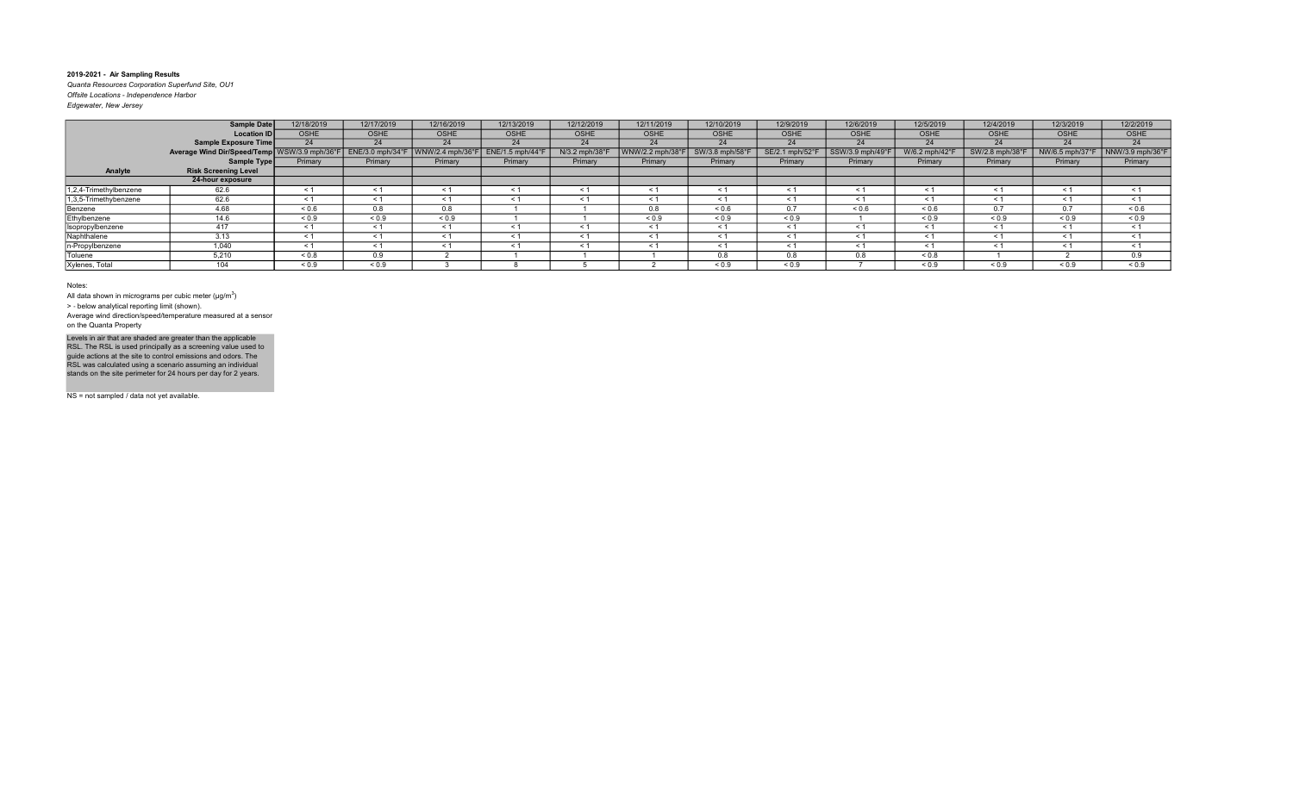Quanta Resources Corporation Superfund Site, OU1 Offsite Locations - Independence Harbor Edgewater, New Jersey

| Eagewater, ivew Jersey |  |  |
|------------------------|--|--|
|                        |  |  |

|                        | <b>Sample Date</b>                           | 12/18/2019 | 12/17/2019      | 12/16/2019      | 12/13/2019     | 12/12/2019     | 12/11/2019       | 12/10/2019     | 12/9/2019       | 12/6/2019        | 12/5/2019           | 12/4/2019      | 12/3/2019       | 12/2/2019           |
|------------------------|----------------------------------------------|------------|-----------------|-----------------|----------------|----------------|------------------|----------------|-----------------|------------------|---------------------|----------------|-----------------|---------------------|
|                        | <b>Location ID</b>                           | OSHE       | <b>OSHE</b>     | <b>OSHE</b>     | <b>OSHE</b>    | OSHE           | <b>OSHE</b>      | OSHE           | <b>OSHE</b>     | OSHE             | <b>OSHE</b>         | <b>OSHE</b>    | OSHE            | <b>OSHE</b>         |
|                        | Sample Exposure Time                         | 24         | 24              | 24              | 24             | 24             | 24               | 24             | 24              | 24               | 24                  | 24             | 24              | 24                  |
|                        | Average Wind Dir/Speed/Temp WSW/3.9 mph/36°F |            | ENE/3.0 mph/34° | WNW/2.4 mph/36° | ENE/1.5 mph/44 | N/3.2 mph/38°F | WNW/2.2 mph/38°l | SW/3.8 mph/58° | SE/2.1 mph/52°F | SSW/3.9 mph/49°F | W/6.2 mph/42°       | SW/2.8 mph/38° | NW/6.5 mph/37°F | NNW/3.9 mph/36°F    |
|                        | Sample Type                                  | Primary    | Primary         | Primary         | Primary        | Primary        | Primary          | Primary        | Primary         | Primary          | Primary             | Primary        | Primary         | Primary             |
| Analyte                | <b>Risk Screening Level</b>                  |            |                 |                 |                |                |                  |                |                 |                  |                     |                |                 |                     |
|                        | 24-hour exposure                             |            |                 |                 |                |                |                  |                |                 |                  |                     |                |                 |                     |
| 1,2,4-Trimethylbenzene | 62.6                                         | < 1        | $\leq 1$        | < 1             | $\leq 1$       | $\leq 1$       | < 1              | $\leq$ 1       | ≺ 1             | < 1              |                     | $\hat{~}$      | $\leq 1$        | $\leq 1$            |
| 1,3,5-Trimethybenzene  | 62.6                                         | < 1        | < 1             | < 1             | < 1            | < 1            | $\leq$ 1         | < 1            | < 1             | < 1              | < 1                 | $\prec$        | $\leq$ 1        | < 1                 |
| Benzene                | 4.68                                         | ${}_{0.6}$ | 0.8             | 0.8             |                |                | 0.8              | ${}_{0.6}$     |                 | ${}^{5}$ 0.6     | ${}^{5}$ ${}^{6}$   |                | 0.7             | ${}^{5}$ $\leq$ 0.6 |
| Ethylbenzene           | 14.6                                         | ${}_{0.9}$ | ${}_{0.9}$      | ${}_{0.9}$      |                |                | ${}_{0.9}$       | ${}_{0.9}$     | ${}_{0.9}$      |                  | ${}_{0.9}$          | ${}_{0.9}$     | ${}_{0.9}$      | < 0.9               |
| Isopropylbenzene       | 417                                          | < 1        | < 1             | $\leq$ 1        | < 1            | $\leq 1$       | $\leq$           | < 1            | $\leq$ 1        | < 1              | < 1                 | $\hat{~}$      | < 1             | < 1                 |
| Naphthalene            | 3.13                                         | < 1        | < 1             | < 1             | $\leq 1$       | < 1            | < 1              | < 1            | < 1             | < 1              | < 1                 | $\leq$         | < 1             | < 1                 |
| n-Propylbenzene        | 1,040                                        | < 1        | < 1             |                 | $\leq$ 1       | < 1            |                  | < 1            |                 | < 1              |                     |                | $\leq 1$        | < 1                 |
| Toluene                | 5,210                                        | ${}_{0.8}$ | 0.9             |                 |                |                |                  | 0.8            | 0.8             | 0.8              | ${}^{5}$ ${}^{0.8}$ |                |                 | 0.9                 |
| Xylenes, Total         | 104                                          | ${}_{0.9}$ | ${}_{0.9}$      |                 |                |                |                  | ${}_{0.9}$     | ${}_{0.9}$      |                  | ${}_{0.9}$          | ${}_{0.9}$     | ${}_{0.9}$      | ${}_{0.9}$          |

Notes:

All data shown in micrograms per cubic meter ( $\mu$ g/m $^3$ )

> ‐ below analytical reporting limit (shown).

Average wind direction/speed/temperature measured at a sensor on the Quanta Property

Levels in air that are shaded are greater than the applicable<br>RSL. The RSL is used principally as a screening value used to<br>guide actions at the site to control emissions and odors. The<br>RSL was calculated using a scenario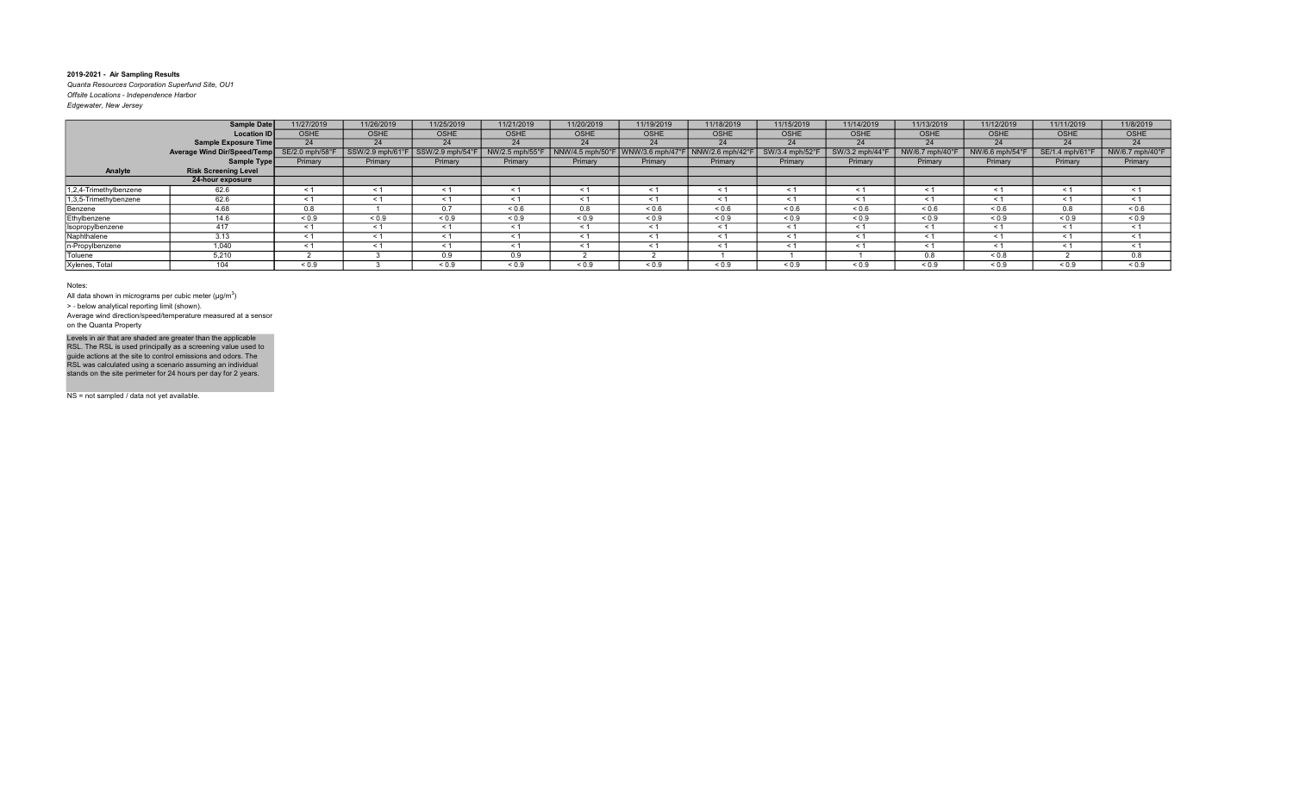Quanta Resources Corporation Superfund Site, OU1 Offsite Locations - Independence Harbor Edgewater, New Jersey

|                        | <b>Sample Date</b>          | 11/27/2019      | 11/26/2019       | 11/25/2019      | 11/21/2019     | 11/20/2019      | 11/19/2019        | 11/18/2019       | 11/15/2019        | 11/14/2019      | 11/13/2019     | 11/12/2019      | 11/11/2019      | 11/8/2019       |
|------------------------|-----------------------------|-----------------|------------------|-----------------|----------------|-----------------|-------------------|------------------|-------------------|-----------------|----------------|-----------------|-----------------|-----------------|
|                        | <b>Location ID</b>          | <b>OSHE</b>     | <b>OSHE</b>      | <b>OSHE</b>     | <b>OSHE</b>    | <b>OSHE</b>     | OSHE              | <b>OSHE</b>      | <b>OSHE</b>       | <b>OSHE</b>     | <b>OSHE</b>    | <b>OSHE</b>     | <b>OSHE</b>     | OSHE            |
|                        | <b>Sample Exposure Time</b> | 24              | 24               | 24              | 24             | 24              | 24                | 24               | 24                | 24              | 24             | 24              | 24              | 24              |
|                        | Average Wind Dir/Speed/Temp | SE/2.0 mph/58°F | SSW/2.9 mph/61°F | SSW/2.9 mph/54° | NW/2.5 mph/55° | NNW/4.5 mph/50° | WNW/3.6 mph/47°F  | NNW/2.6 mph/42°F | SW/3.4 mph/52°F   | SW/3.2 mph/44°F | NW/6.7 mph/40° | NW/6.6 mph/54°F | SE/1.4 mph/61°F | NW/6.7 mph/40°F |
|                        | Sample Type                 | Primary         | Primary          | Primary         | Primary        | Primary         | Primary           | Primary          | Primary           | Primary         | Primary        | Primary         | Primary         | Primary         |
| Analyte                | <b>Risk Screening Level</b> |                 |                  |                 |                |                 |                   |                  |                   |                 |                |                 |                 |                 |
|                        | 24-hour exposure            |                 |                  |                 |                |                 |                   |                  |                   |                 |                |                 |                 |                 |
| 1,2,4-Trimethylbenzene | 62.6                        | < 1             | $\leq 1$         | ≺ 1             | < 1            | $\leq 1$        | ≺ 1               | $\leq 1$         | $\leq 1$          | $\leq$ 1        | $\leq$ 1       | $\leq 1$        | $\leq$ 1        | $\leq$ 1        |
| 1,3,5-Trimethybenzene  | 62.6                        | $\leq$ 1        | < 1              | $\leq 1$        | $\leq 1$       | $\leq 1$        |                   | $\leq$ 1         | $\leq 1$          |                 | $\leq 1$       | $\leq 1$        | $\tilde{}$      | $\leq$ 1        |
| Benzene                | 4.68                        | 0.8             |                  | 0.7             | ${}^{5}$ 0.6   | 0.8             | ${}^{5}$ ${}^{6}$ | ${}^{5}$ 0.6     | ${}^{5}$ ${}^{6}$ | 0.6             | ${}^{5}$ 0.6   | ${}^{5}$ 0.6    | 0.8             | ${}_{0.6}$      |
| Ethylbenzene           | 14.6                        | ${}_{0.9}$      | ${}_{0.9}$       | ${}_{0.9}$      | ${}_{0.9}$     | ${}_{0.9}$      | ${}_{0.9}$        | ${}_{0.9}$       | ${}_{0.9}$        | ${}_{0.9}$      | ${}_{0.9}$     | ${}_{0.9}$      | ${}_{0.9}$      | ${}_{0.9}$      |
| Isopropylbenzene       | 417                         | $\leq 1$        | $\leq 1$         | < 1             | $\leq 1$       | $\leq 1$        | < 1               | $\leq 1$         | $\leq 1$          | < 1             | $\leq 1$       | $\leq 1$        | < 1             | $\leq$ 1        |
| Naphthalene            | 3.13                        | < 1             | < 1              | < 1             | < 1            | < 1             | < 1               | < 1              | $\leq 1$          | $\leq$ 1        | < 1            | $\leq 1$        | $\leq$ 1        | < 1             |
| n-Propylbenzene        | 1,040                       | < 1             | < 1              | < 1             | < 1            | < 1             | < 1               | $\leq 1$         | < 1               | $\leq$ 1        | < 1            | $\leq 1$        | < 1             | < 1             |
| Toluene                | 5,210                       |                 |                  | 0.9             | 0.9            |                 |                   |                  |                   |                 | 0.8            | ${}_{0.8}$      |                 | 0.8             |
| Xylenes, Total         | 104                         | ${}_{0.9}$      |                  | ${}_{0.9}$      | ${}_{0.9}$     | ${}_{0.9}$      | < 0.9             | ${}_{0.9}$       | ${}_{0.9}$        | ${}_{0.9}$      | ${}_{0.9}$     | ${}_{0.9}$      | ${}_{0.9}$      | ${}_{0.9}$      |

Notes:

All data shown in micrograms per cubic meter ( $\mu$ g/m $^3$ )

> ‐ below analytical reporting limit (shown).

Average wind direction/speed/temperature measured at a sensor on the Quanta Property

Levels in air that are shaded are greater than the applicable<br>RSL. The RSL is used principally as a screening value used to<br>guide actions at the site to control emissions and odors. The<br>RSL was calculated using a scenario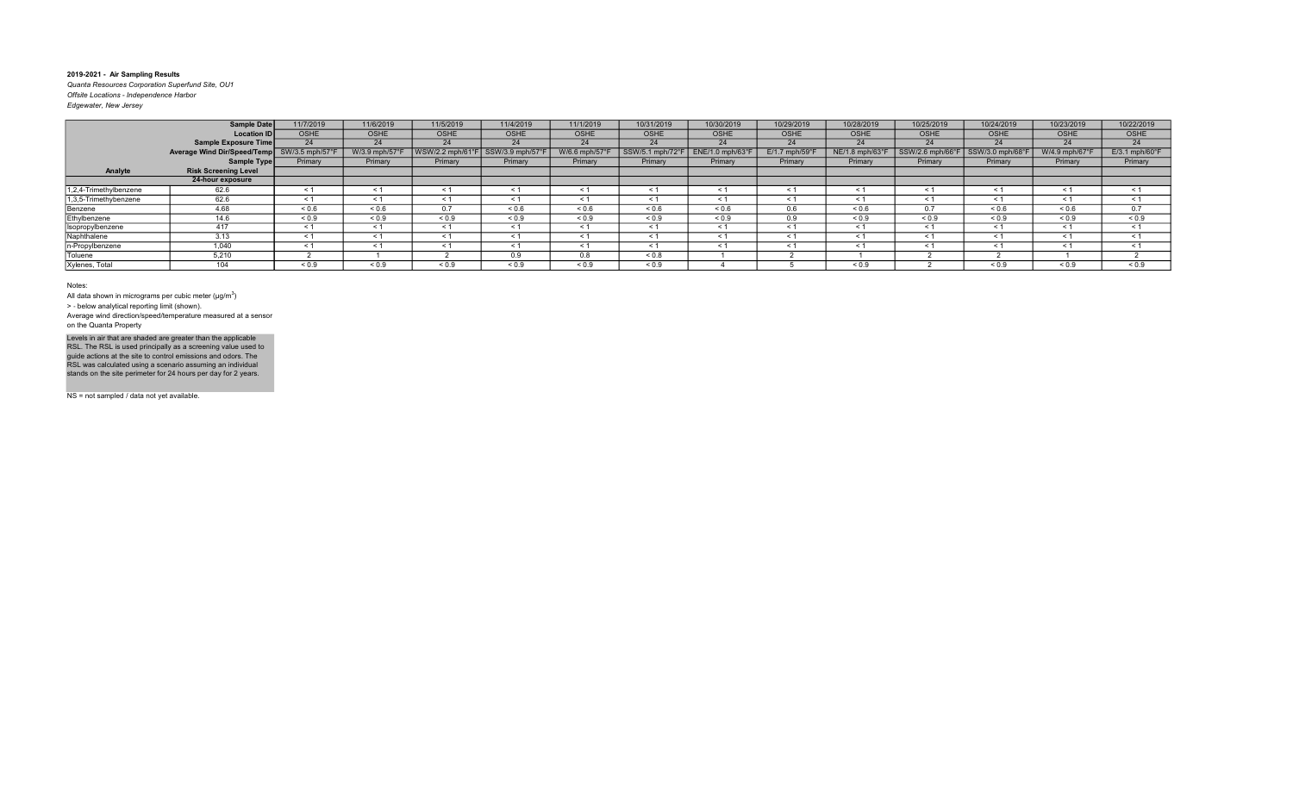Quanta Resources Corporation Superfund Site, OU1 Offsite Locations - Independence Harbor Edgewater, New Jersey

|                        | <b>Sample Date</b>          | 11/7/2019      | 11/6/2019     | 11/5/2019        | 11/4/2019    | 11/1/2019      | 10/31/2019        | 10/30/2019       | 10/29/2019     | 10/28/2019      | 10/25/2019       | 10/24/2019      | 10/23/2019     | 10/22/2019                 |
|------------------------|-----------------------------|----------------|---------------|------------------|--------------|----------------|-------------------|------------------|----------------|-----------------|------------------|-----------------|----------------|----------------------------|
|                        | <b>Location ID</b>          | <b>OSHE</b>    | <b>OSHE</b>   | <b>OSHE</b>      | <b>OSHE</b>  | <b>OSHE</b>    | OSHE              | <b>OSHE</b>      | <b>OSHE</b>    | <b>OSHE</b>     | <b>OSHE</b>      | <b>OSHE</b>     | <b>OSHE</b>    | OSHE                       |
|                        | <b>Sample Exposure Time</b> | 24             | 24            | 24               | 24           | 24             | 24                | 24               | 24             | 24              | 24               | 24              | 24             | 24                         |
|                        | Average Wind Dir/Speed/Temp | SW/3.5 mph/57° | W/3.9 mph/57° | WSW/2.2 mph/61°F | SSW/3.9 mph  | W/6.6 mph/57°I | SSW/5.1 mph/72°F  | ENE/1.0 mph/63°F | E/1.7 mph/59°F | NE/1.8 mph/63°F | SSW/2.6 mph/66°F | SSW/3.0 mph/68° | W/4.9 mph/67°F | $E/3.1$ mph/60 $\degree$ F |
|                        | Sample Type                 | Primary        | Primary       | Primary          | Primary      | Primary        | Primary           | Primary          | Primary        | Primary         | Primary          | Primary         | Primary        | Primary                    |
| Analyte                | <b>Risk Screening Level</b> |                |               |                  |              |                |                   |                  |                |                 |                  |                 |                |                            |
|                        | 24-hour exposure            |                |               |                  |              |                |                   |                  |                |                 |                  |                 |                |                            |
| 1,2,4-Trimethylbenzene | 62.6                        | < 1            | $\leq 1$      | ≺ 1              | < 1          | $\leq 1$       | ≺ 1               | $\leq$ 1         | $\leq 1$       | $\leq$ 1        | $\leq$ 1         | $\leq 1$        | $\leq$ 1       | $\leq$ 1                   |
| 1,3,5-Trimethybenzene  | 62.6                        | $\leq 1$       | $\leq 1$      | $\leq 1$         | $\leq 1$     | $\leq 1$       |                   | $\leq$ 1         | $\leq 1$       |                 | $\leq 1$         | $\leq 1$        | $\tilde{}$     | $\leq$ 1                   |
| Benzene                | 4.68                        | ${}_{0.6}$     | ${}_{0.6}$    | 0.7              | ${}^{5}$ 0.6 | ${}_{0.6}$     | ${}^{5}$ ${}^{6}$ | ${}_{0.6}$       | 0.6            | 0.6             | 0.7              | ${}^{5}$ 0.6    | 0.6            | 0.7                        |
| Ethylbenzene           | 14.6                        | ${}_{0.9}$     | ${}_{0.9}$    | ${}_{0.9}$       | ${}_{0.9}$   | ${}_{0.9}$     | ${}_{0.9}$        | ${}_{0.9}$       | 0.9            | ${}_{0.9}$      | ${}_{0.9}$       | ${}_{0.9}$      | ${}_{0.9}$     | ${}_{0.9}$                 |
| Isopropylbenzene       | 417                         | $\leq 1$       | $\leq 1$      | < 1              | $\leq 1$     | $\leq 1$       | < 1               | $\leq 1$         | $\leq 1$       | < 1             | $\leq 1$         | $\leq 1$        | < 1            | $\leq$ 1                   |
| Naphthalene            | 3.13                        | < 1            | < 1           | < 1              | < 1          | < 1            | < 1               | < 1              | $\leq 1$       | $\leq$ 1        | < 1              | $\leq 1$        | $\leq$ 1       | $\leq$ 1                   |
| n-Propylbenzene        | 1,040                       | < 1            | < 1           | < 1              | < 1          | < 1            | < 1               | < 1              | < 1            | $\leq$ 1        | < 1              | < 1             | < 1            | < 1                        |
| Toluene                | 5,210                       |                |               |                  | 0.9          | 0.8            | ${}_{0.8}$        |                  |                |                 |                  |                 |                |                            |
| Xylenes, Total         | 104                         | ${}_{0.9}$     | ${}_{0.9}$    | ${}_{0.9}$       | ${}_{0.9}$   | ${}_{0.9}$     | < 0.9             |                  |                | ${}_{0.9}$      |                  | ${}_{0.9}$      | ${}_{0.9}$     | ${}_{0.9}$                 |

#### Notes:

All data shown in micrograms per cubic meter ( $\mu$ g/m $^3$ )

> ‐ below analytical reporting limit (shown).

Average wind direction/speed/temperature measured at a sensor on the Quanta Property

Levels in air that are shaded are greater than the applicable<br>RSL. The RSL is used principally as a screening value used to<br>guide actions at the site to control emissions and odors. The<br>RSL was calculated using a scenario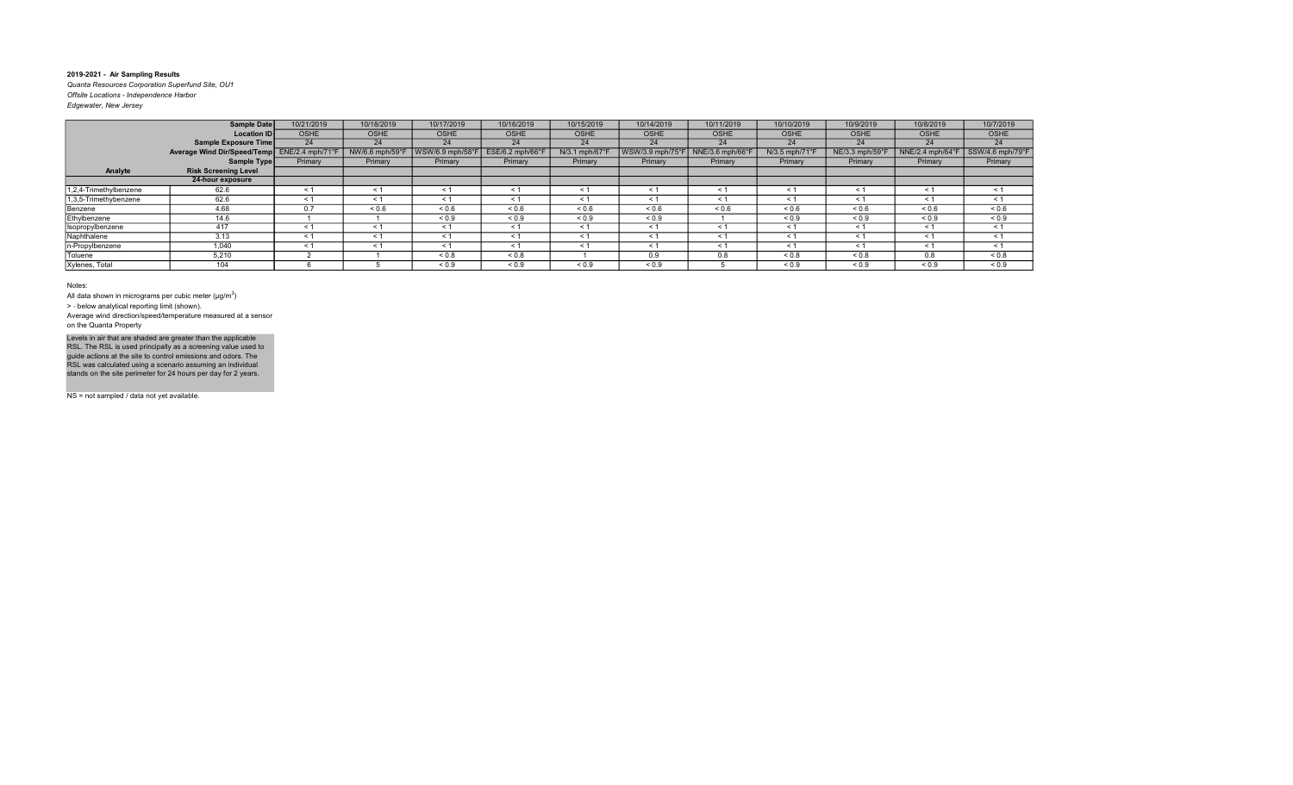Quanta Resources Corporation Superfund Site, OU1 Offsite Locations - Independence Harbor Edgewater, New Jersey

| Eagewater, ivew Jersey |  |  |
|------------------------|--|--|
|                        |  |  |

|                        | <b>Sample Date</b>                           | 10/21/2019  | 10/18/2019      | 10/17/2019       | 10/16/2019       | 10/15/2019       | 10/14/2019       | 10/11/2019       | 10/10/2019                    | 10/9/2019        | 10/8/2019                  | 10/7/2019                               |
|------------------------|----------------------------------------------|-------------|-----------------|------------------|------------------|------------------|------------------|------------------|-------------------------------|------------------|----------------------------|-----------------------------------------|
|                        | <b>Location IDI</b>                          | <b>OSHE</b> | OSHE            | <b>OSHE</b>      | <b>OSHE</b>      | <b>OSHE</b>      | <b>OSHE</b>      | <b>OSHE</b>      | <b>OSHE</b>                   | <b>OSHE</b>      | <b>OSHE</b>                | <b>OSHE</b>                             |
|                        | Sample Exposure Time                         | 24          | 24              | 24               | 24               | 24               | 24               | 24               | 24                            | 24               | 24                         | 24                                      |
|                        | Average Wind Dir/Speed/Temp ENE/2.4 mph/71°F |             | NW/6.6 mph/59°F | WSW/6.9 mph/58°F | ESE/6.2 mph/66°F | N/3.1 mph/67°F   | WSW/3.9 mph/75°F | NNE/3.6 mph/66°F | $N/3.5$ mph/71 $\degree$ F    | NE/3.3 mph/59°I  | NNE/2.4 mph/64 $\degree$ F | $\sqrt{\frac{1}{100}}$ SSW/4.6 mph/79°F |
|                        | Sample Type                                  | Primary     | Primary         | Primary          | Primary          | Primary          | Primary          | Primary          | Primary                       | Primary          | Primary                    | Primary                                 |
| Analyte                | <b>Risk Screening Level</b>                  |             |                 |                  |                  |                  |                  |                  |                               |                  |                            |                                         |
|                        | 24-hour exposure                             |             |                 |                  |                  |                  |                  |                  |                               |                  |                            |                                         |
| 1,2,4-Trimethylbenzene | 62.6                                         | < 1         |                 | $\leq$ 1         | $\leq$           | ≺                | ≺ 1              |                  | $\tilde{\phantom{0}}$         | <                | ≺                          | < 1                                     |
| 1,3,5-Trimethybenzene  | 62.6                                         | $\leq 1$    | ≺ 1             | $\leq 1$         | $\leq 1$         | $\leq 1$         | $\leq 1$         | - 1              | $\prec$ $\check{\phantom{a}}$ | $\leq 1$         | < 1                        | $\leq 1$                                |
| Benzene                | 4.68                                         | 0.7         | ${}_{0.6}$      | ${}_{0.6}$       | 0.6              | ${}_{0.6}$       | ${}_{0.6}$       | ${}_{0.6}$       | ${}_{0.6}$                    | ${}_{0.6}$       | ${}_{0.6}$                 | ${}_{0.6}$                              |
| Ethylbenzene           | 14.6                                         |             |                 | ${}_{0.9}$       | ${}_{0.9}$       | ${}_{0.9}$       | ${}_{0.9}$       |                  | ${}_{0.9}$                    | ${}_{0.9}$       | ${}_{0.9}$                 | ${}_{0.9}$                              |
| Isopropylbenzene       | 417                                          | < 1         |                 | $\leq 1$         | $\leq$ 1         | $\prec$          | < 1              | $\leq$ 1         | $\prec$                       | $\leq$           | < 1                        | < 1                                     |
| Naphthalene            | 3.13                                         | < 1         | ≺ 1             | < 1              | $\leq$ 1         | $\prec$ $\gamma$ | $\leq$ 1         | $\leq$ 1         | $\prec$                       | $\prec$ $\gamma$ | - 1                        | < 1                                     |
| n-Propylbenzene        | 1,040                                        | $\leq 1$    |                 | < 1              | $\leq 1$         | $\leq 1$         | < 1              | $\leq$ 1         | $\leq$                        | < 1              | < 1                        | < 1                                     |
| Toluene                | 5,210                                        |             |                 | ${}_{0.8}$       | ${}_{0.8}$       |                  | 0.9              | 0.8              | ${}_{0.8}$                    | ${}_{0.8}$       | 0.8                        | ${}_{0.8}$                              |
| Xylenes, Total         | 104                                          |             |                 | ${}_{0.9}$       | ${}_{0.9}$       | ${}_{0.9}$       | ${}_{0.9}$       |                  | ${}_{0.9}$                    | ${}_{0.9}$       | ${}_{0.9}$                 | ${}_{0.9}$                              |

#### Notes:

All data shown in micrograms per cubic meter ( $\mu$ g/m $^3$ )

> ‐ below analytical reporting limit (shown).

Average wind direction/speed/temperature measured at a sensor on the Quanta Property

Levels in air that are shaded are greater than the applicable<br>RSL. The RSL is used principally as a screening value used to<br>guide actions at the site to control emissions and odors. The<br>RSL was calculated using a scenario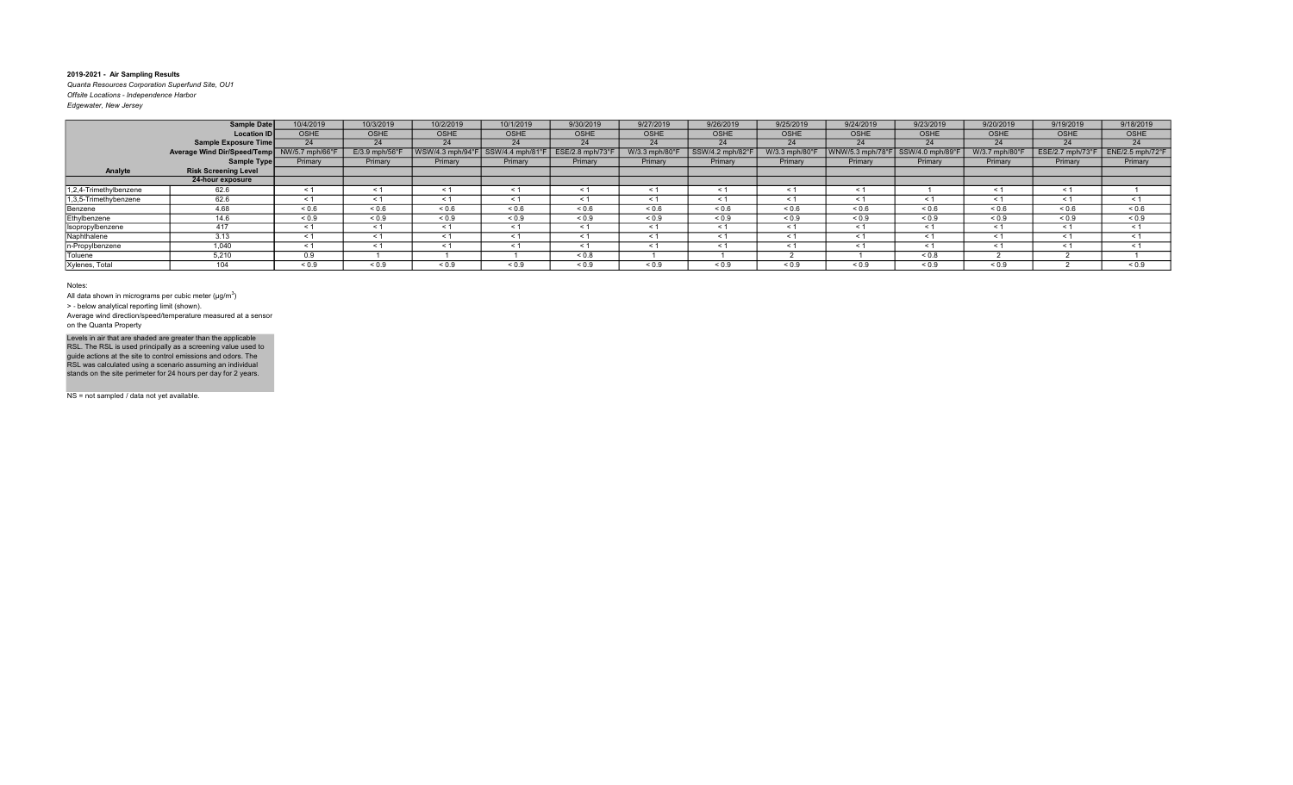Quanta Resources Corporation Superfund Site, OU1 Offsite Locations - Independence Harbor Edgewater, New Jersey

|                        | <b>Sample Date</b>          | 10/4/2019       | 10/3/2019        | 10/2/2019        | 10/1/2019        | 9/30/2019       | 9/27/2019         | 9/26/2019       | 9/25/2019         | 9/24/2019        | 9/23/2019      | 9/20/2019      | 9/19/2019        | 9/18/2019        |
|------------------------|-----------------------------|-----------------|------------------|------------------|------------------|-----------------|-------------------|-----------------|-------------------|------------------|----------------|----------------|------------------|------------------|
|                        | <b>Location ID</b>          | <b>OSHE</b>     | <b>OSHE</b>      | <b>OSHE</b>      | <b>OSHE</b>      | <b>OSHE</b>     | OSHE              | <b>OSHE</b>     | <b>OSHE</b>       | <b>OSHE</b>      | <b>OSHE</b>    | <b>OSHE</b>    | <b>OSHE</b>      | OSHE             |
|                        | <b>Sample Exposure Time</b> | 24              | 24               | 24               | 24               | 24              | 24                | 24              | 24                | 24               | 24             | 24             | 24               | 24               |
|                        | Average Wind Dir/Speed/Temp | NW/5.7 mph/66°F | $E/3.9$ mph/56°F | WSW/4.3 mph/94°F | SSW/4.4 mph/81°F | ESE/2.8 mph/73° | W/3.3 mph/80°F    | SSW/4.2 mph/82° | W/3.3 mph/80°F    | WNW/5.3 mph/78°F | SSW/4.0 mph/89 | W/3.7 mph/80°F | ESE/2.7 mph/73°F | ENE/2.5 mph/72°F |
|                        | Sample Type                 | Primary         | Primary          | Primary          | Primary          | Primary         | Primary           | Primary         | Primary           | Primary          | Primary        | Primary        | Primary          | Primary          |
| Analyte                | <b>Risk Screening Level</b> |                 |                  |                  |                  |                 |                   |                 |                   |                  |                |                |                  |                  |
|                        | 24-hour exposure            |                 |                  |                  |                  |                 |                   |                 |                   |                  |                |                |                  |                  |
| 1,2,4-Trimethylbenzene | 62.6                        | < 1             | $\leq 1$         | ≺ 1              | < 1              | $\leq 1$        | ≺ 1               | $\leq$ 1        | $\leq 1$          | $\leq$ 1         |                | $\leq 1$       | $\leq$ 1         |                  |
| 1,3,5-Trimethybenzene  | 62.6                        | $\leq 1$        | $\leq 1$         | $\leq 1$         | $\leq 1$         | $\leq 1$        |                   | $\leq$ 1        | $\leq 1$          |                  | $\leq 1$       | $\leq 1$       | $\tilde{}$       | $\leq$ 1         |
| Benzene                | 4.68                        | ${}_{0.6}$      | ${}_{0.6}$       | 0.6              | ${}^{5}$ 0.6     | ${}_{0.6}$      | ${}^{5}$ ${}^{6}$ | ${}_{0.6}$      | ${}^{5}$ ${}^{6}$ | 0.6              | ${}^{5}$ 0.6   | ${}^{5}$ 0.6   | 0.6              | ${}_{0.6}$       |
| Ethylbenzene           | 14.6                        | ${}_{0.9}$      | ${}_{0.9}$       | ${}_{0.9}$       | ${}_{0.9}$       | ${}_{0.9}$      | ${}_{0.9}$        | ${}_{0.9}$      | ${}_{0.9}$        | ${}_{0.9}$       | ${}_{0.9}$     | ${}_{0.9}$     | ${}_{0.9}$       | ${}_{0.9}$       |
| Isopropylbenzene       | 417                         | $\leq 1$        | $\leq 1$         | < 1              | $\leq 1$         | $\leq 1$        | < 1               | $\leq 1$        | $\leq 1$          | < 1              | $\leq 1$       | $\leq 1$       | < 1              | $\leq$ 1         |
| Naphthalene            | 3.13                        | < 1             | < 1              | < 1              | < 1              | < 1             | < 1               | < 1             | $\leq 1$          | $\leq$ 1         | < 1            | $\leq 1$       | $\leq$ 1         | $\leq$ 1         |
| n-Propylbenzene        | 1.040                       | < 1             | < 1              | < 1              | < 1              | < 1             | < 1               | < 1             | < 1               | < 1              | < 1            | < 1            | < 1              | < 1              |
| Toluene                | 5,210                       | 0.9             |                  |                  |                  | ${}_{0.8}$      |                   |                 |                   |                  | ${}_{0.8}$     |                |                  |                  |
| Xylenes, Total         | 104                         | ${}_{0.9}$      | ${}_{0.9}$       | ${}_{0.9}$       | ${}_{0.9}$       | ${}_{0.9}$      | ${}_{0.9}$        | ${}_{0.9}$      | ${}_{0.9}$        | ${}_{0.9}$       | ${}_{0.9}$     | ${}_{0.9}$     |                  | ${}_{0.9}$       |

Notes:

All data shown in micrograms per cubic meter ( $\mu$ g/m $^3$ )

> ‐ below analytical reporting limit (shown).

Average wind direction/speed/temperature measured at a sensor on the Quanta Property

Levels in air that are shaded are greater than the applicable<br>RSL. The RSL is used principally as a screening value used to<br>guide actions at the site to control emissions and odors. The<br>RSL was calculated using a scenario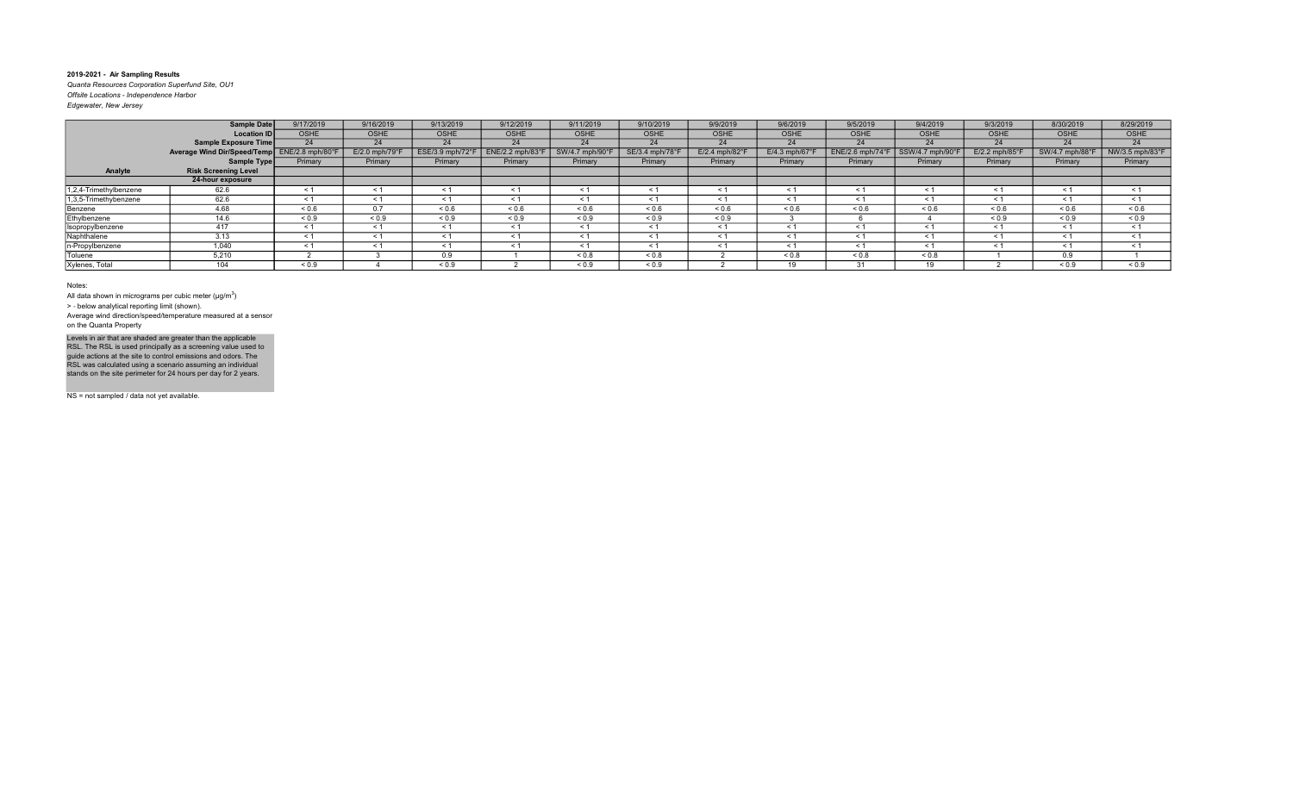Quanta Resources Corporation Superfund Site, OU1 Offsite Locations - Independence Harbor Edgewater, New Jersey

| Edgewater, New Jersey |  |  |
|-----------------------|--|--|
|                       |  |  |

|                        | <b>Sample Date</b>                           | 9/17/2019   | 9/16/2019                  | 9/13/2019        | 9/12/2019       | 9/11/2019       | 9/10/2019       | 9/9/2019                    | 9/6/2019                   | 9/5/2019                     | 9/4/2019        | 9/3/2019         | 8/30/2019       | 8/29/2019       |
|------------------------|----------------------------------------------|-------------|----------------------------|------------------|-----------------|-----------------|-----------------|-----------------------------|----------------------------|------------------------------|-----------------|------------------|-----------------|-----------------|
|                        | <b>Location ID</b>                           | <b>OSHE</b> | <b>OSHE</b>                | <b>OSHE</b>      | <b>OSHE</b>     | <b>OSHE</b>     | OSHE            | <b>OSHE</b>                 | <b>OSHE</b>                | <b>OSHE</b>                  | <b>OSHE</b>     | <b>OSHE</b>      | <b>OSHE</b>     | <b>OSHE</b>     |
|                        | Sample Exposure Time                         | 24          | 24                         | 24               | 24              | 24              | 24              | 24                          | 24                         | 24                           | 24              | 24               | 24              | 24              |
|                        | Average Wind Dir/Speed/Temp ENE/2.8 mph/80°F |             | $E/2.0$ mph/79 $\degree$ F | ESE/3.9 mph/72°F | ENE/2.2 mph/83° | SW/4.7 mph/90°F | SE/3.4 mph/78°F | $E/2.4$ mph/82 $^{\circ}$ F | $E/4.3$ mph/67 $\degree$ F | $ENE/2.6$ mph/74 $\degree$ F | SSW/4.7 mph/90° | $E/2.2$ mph/85°F | SW/4.7 mph/88°F | NW/3.5 mph/83°F |
|                        | Sample Type                                  | Primary     | Primary                    | Primary          | Primary         | Primary         | Primary         | Primary                     | Primary                    | Primary                      | Primary         | Primary          | Primary         | Primary         |
| Analyte                | <b>Risk Screening Level</b>                  |             |                            |                  |                 |                 |                 |                             |                            |                              |                 |                  |                 |                 |
|                        | 24-hour exposure                             |             |                            |                  |                 |                 |                 |                             |                            |                              |                 |                  |                 |                 |
| 1,2,4-Trimethylbenzene | 62.6                                         | < 1         | $\leq 1$                   | < 1              | $\leq 1$        | $\leq 1$        | $\leq 1$        | $\leq$ 1                    | $\leq 1$                   | ≺ 1                          | $\leq$ 1        | $\leq 1$         | $\leq 1$        | $\leq$ 1        |
| 1,3,5-Trimethybenzene  | 62.6                                         | < 1         | < 1                        |                  | < 1             | $\leq 1$        |                 | $\leq$ 1                    | $\leq 1$                   |                              | < 1             | $\leq 1$         | $\leq$ 1        | $\leq$ 1        |
| Benzene                | 4.68                                         | ${}_{0.6}$  | 0.7                        | ${}^{5}$ 0.6     | ${}^{5}$ 0.6    | ${}_{0.6}$      | 0.6             | ${}^{5}$ 0.6                | ${}^{5}$ ${}^{6}$          | 0.6                          | ${}_{0.6}$      | 0.6              | 0.6             | ${}_{0.6}$      |
| Ethylbenzene           | 14.6                                         | ${}_{0.9}$  | ${}_{0.9}$                 | ${}_{0.9}$       | ${}_{0.9}$      | ${}_{0.9}$      | ${}_{0.9}$      | ${}_{0.9}$                  |                            |                              |                 | ${}_{0.9}$       | ${}_{0.9}$      | ${}_{0.9}$      |
| Isopropylbenzene       | 417                                          | < 1         | < 1                        |                  | < 1             | < 1             | < 1             | $\leq$ 1                    | < 1                        |                              | < 1             | < 1              | $\leq$ 1        | $\leq$ 1        |
| Naphthalene            | 3.13                                         | < 1         | < 1                        | < 1              | < 1             | $\leq 1$        | < 1             | $\leq 1$                    | $\leq 1$                   | < 1                          | < 1             | $\leq 1$         | < 1             | $\leq$ 1        |
| n-Propylbenzene        | 1,040                                        | < 1         | < 1                        |                  | < 1             | < 1             |                 | $<$ 1                       | < 1                        | $\tilde{}$                   | < 1             | < 1              | $\tilde{}$      | $\leq$ 1        |
| Toluene                | 5,210                                        |             |                            | 0.9              |                 | ${}_{0.8}$      | ${}_{0.8}$      |                             | ${}_{0.8}$                 | ${}_{0.8}$                   | ${}_{0.8}$      |                  | 0.9             |                 |
| Xylenes, Total         | 104                                          | ${}_{0.9}$  |                            | ${}_{0.9}$       |                 | ${}_{0.9}$      | ${}_{0.9}$      |                             | 19                         | 31                           | 10              |                  | ${}_{0.9}$      | ${}_{0.9}$      |

#### Notes:

All data shown in micrograms per cubic meter ( $\mu$ g/m $^3$ )

> ‐ below analytical reporting limit (shown).

Average wind direction/speed/temperature measured at a sensor on the Quanta Property

Levels in air that are shaded are greater than the applicable<br>RSL. The RSL is used principally as a screening value used to<br>guide actions at the site to control emissions and odors. The<br>RSL was calculated using a scenario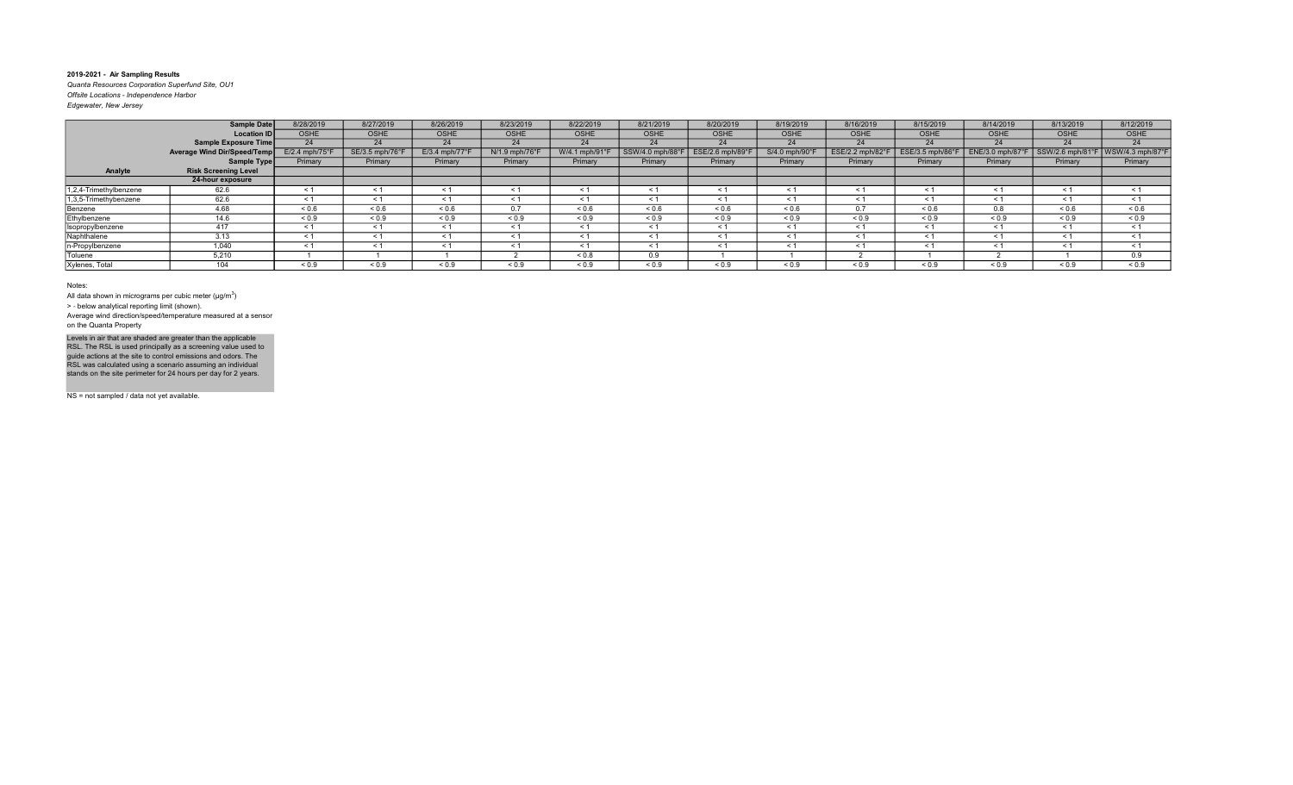Quanta Resources Corporation Superfund Site, OU1 Offsite Locations - Independence Harbor

| Edgewater, New Jersey |  |
|-----------------------|--|
|                       |  |

|                        | <b>Sample Date</b>          | 8/28/2019        | 8/27/2019       | 8/26/2019                  | 8/23/2019      | 8/22/2019      | 8/21/2019        | 8/20/2019       | 8/19/2019      | 8/16/2019        | 8/15/2019      | 8/14/2019        | 8/13/2019        | 8/12/2019                                        |
|------------------------|-----------------------------|------------------|-----------------|----------------------------|----------------|----------------|------------------|-----------------|----------------|------------------|----------------|------------------|------------------|--------------------------------------------------|
|                        | <b>Location ID</b>          | <b>OSHE</b>      | OSHE            | OSHE                       | <b>OSHE</b>    | <b>OSHE</b>    | <b>OSHE</b>      | <b>OSHE</b>     | <b>OSHE</b>    | <b>OSHE</b>      | <b>OSHE</b>    | <b>OSHE</b>      | <b>OSHE</b>      | <b>OSHE</b>                                      |
|                        | Sample Exposure Time        | 24               | 24              | 24                         | 24             | 24             | 24               | 24              | 24             | 24               | 24             | 24               | 24               | 24                                               |
|                        | Average Wind Dir/Speed/Temp | $E/2.4$ mph/75°F | SE/3.5 mph/76°F | $E/3.4$ mph/77 $\degree$ F | N/1.9 mph/76°F | W/4.1 mph/91°F | SSW/4.0 mph/88°F | ESE/2.6 mph/89° | S/4.0 mph/90°F | ESE/2.2 mph/82°F | ESE/3.5 mph/86 | ENE/3.0 mph/87°F | SSW/2.6 mph/81°F | $\sqrt{\text{WSW}}/4.3 \text{ mph}/87^{\circ}$ F |
|                        | Sample Type                 | Primary          | Primary         | Primary                    | Primary        | Primary        | Primary          | Primary         | Primary        | Primary          | Primary        | Primary          | Primary          | Primary                                          |
| Analyte                | <b>Risk Screening Level</b> |                  |                 |                            |                |                |                  |                 |                |                  |                |                  |                  |                                                  |
|                        | 24-hour exposure            |                  |                 |                            |                |                |                  |                 |                |                  |                |                  |                  |                                                  |
| 1,2,4-Trimethylbenzene | 62.6                        | < 1              | $\leq 1$        | < 1                        | < 1            | $\leq 1$       | < 1              | $\leq$ 1        | < 1            | < 1              | < 1            | $\leq 1$         | < 1              | $\leq$ 1                                         |
| 1,3,5-Trimethybenzene  | 62.6                        | < 1              | $\leq 1$        | < 1                        | < 1            | $\leq 1$       | < 1              | < 1             | $\leq 1$       | < 1              | < 1            | $\leq 1$         | $\leq 1$         | $\leq$ 1                                         |
| Benzene                | 4.68                        | ${}_{0.6}$       | ${}_{0.6}$      | 0.6                        | 0.7            | 0.6            | 0.6              | ${}_{0.6}$      | ${}_{0.6}$     | 0.7              | ${}_{0.6}$     | 0.8              | 0.6              | ${}_{0.6}$                                       |
| Ethylbenzene           | 14.6                        | ${}_{0.9}$       | ${}_{0.9}$      | ${}_{0.9}$                 | ${}_{0.9}$     | ${}_{0.9}$     | ${}_{0.9}$       | ${}_{0.9}$      | ${}_{0.9}$     | < 0.9            | ${}^{5}$ < 0.9 | ${}_{0.9}$       | ${}_{0.9}$       | ${}_{0.9}$                                       |
| Isopropylbenzene       | 417                         | < 1              | $\leq 1$        | $\leq 1$                   | < 1            | $\leq 1$       | $\leq 1$         | < 1             | $\leq 1$       | $\leq 1$         | < 1            | $\leq 1$         | $\leq$ 1         | < 1                                              |
| Naphthalene            | 3.13                        | < 1              | $\leq 1$        | < 1                        | < 1            | $\leq 1$       | < 1              | < 1             | < 1            | < 1              | < 1            | < 1              | < 1              | < 1                                              |
| n-Propylbenzene        | 1,040                       | $\leq 1$         | $\leq 1$        | $\leq 1$                   | < 1            | $\leq 1$       | $\leq 1$         | $\leq$ 1        | $\leq 1$       | $\leq 1$         | $\leq$ 1       | $\leq 1$         | $\leq 1$         | $\leq$ 1                                         |
| Toluene                | 5,210                       |                  |                 |                            |                | $0.8 -$        | 0.9              |                 |                |                  |                |                  |                  | 0.9                                              |
| Xylenes, Total         | 104                         | ${}_{0.9}$       | ${}_{0.9}$      | ${}_{0.9}$                 | ${}_{0.9}$     | ${}_{0.9}$     | ${}_{0.9}$       | ${}_{0.9}$      | ${}_{0.9}$     | ${}_{0.9}$       | ${}_{0.9}$     | ${}_{0.9}$       | ${}_{0.9}$       | ${}_{0.9}$                                       |

#### Notes:

All data shown in micrograms per cubic meter ( $\mu$ g/m $^3$ )

> ‐ below analytical reporting limit (shown).

Average wind direction/speed/temperature measured at a sensor on the Quanta Property

Levels in air that are shaded are greater than the applicable<br>RSL. The RSL is used principally as a screening value used to<br>guide actions at the site to control emissions and odors. The<br>RSL was calculated using a scenario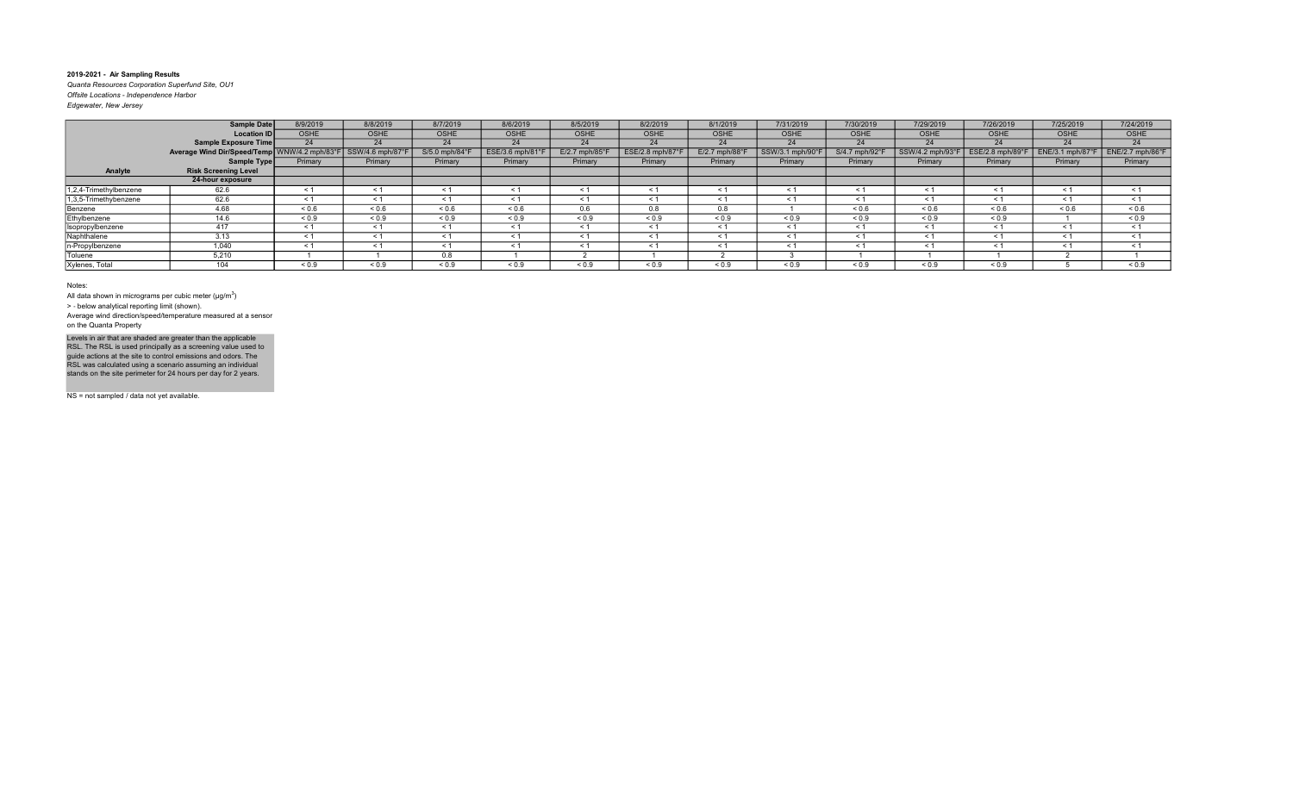Quanta Resources Corporation Superfund Site, OU1 Offsite Locations - Independence Harbor

| Edgewater, New Jersey |  |
|-----------------------|--|
|                       |  |

|                        | <b>Sample Date</b>                                           | 8/9/2019    | 8/8/2019    | 8/7/2019      | 8/6/2019        | 8/5/2019         | 8/2/2019                     | 8/1/2019      | 7/31/2019       | 7/30/2019      | 7/29/2019       | 7/26/2019        | 7/25/2019        | 7/24/2019        |
|------------------------|--------------------------------------------------------------|-------------|-------------|---------------|-----------------|------------------|------------------------------|---------------|-----------------|----------------|-----------------|------------------|------------------|------------------|
|                        | <b>Location ID</b>                                           | <b>OSHE</b> | <b>OSHE</b> | OSHE          | <b>OSHE</b>     | <b>OSHE</b>      | OSHE                         | <b>OSHE</b>   | <b>OSHE</b>     | <b>OSHE</b>    | <b>OSHE</b>     | <b>OSHE</b>      | <b>OSHE</b>      | OSHE             |
|                        | Sample Exposure Time                                         | 24          | 24          | 24            | 24              | 24               | 24                           | 24            | 24              | 24             | 24              | 24               | 24               | 24               |
|                        | Average Wind Dir/Speed/Temp WNW/4.2 mph/83°F SSW/4.6 mph/87° |             |             | S/5.0 mph/84° | ESE/3.6 mph/81° | $E/2.7$ mph/85°F | $ESE/2.8$ mph/87 $\degree$ F | E/2.7 mph/88° | SSW/3.1 mph/90° | S/4.7 mph/92°F | SSW/4.2 mph/93° | ESE/2.8 mph/89°F | ENE/3.1 mph/87°F | ENE/2.7 mph/86°F |
|                        | Sample Type                                                  | Primary     | Primary     | Primary       | Primary         | Primary          | Primary                      | Primary       | Primary         | Primary        | Primary         | Primary          | Primary          | Primary          |
| Analyte                | <b>Risk Screening Level</b>                                  |             |             |               |                 |                  |                              |               |                 |                |                 |                  |                  |                  |
|                        | 24-hour exposure                                             |             |             |               |                 |                  |                              |               |                 |                |                 |                  |                  |                  |
| 1,2,4-Trimethylbenzene | 62.6                                                         | < 1         | < 1         |               | $\leq 1$        | < 1              |                              | $\leq$ 1      | < 1             | $\leq$ 1       | $\leq 1$        | < 1              | $\leq$ 1         | < 1              |
| 1,3,5-Trimethybenzene  | 62.6                                                         | < 1         | $\leq 1$    | < 1           | $\leq 1$        | $\leq 1$         | < 1                          | $\leq 1$      | $\leq 1$        | < 1            | $\leq 1$        | $\leq 1$         | < 1              | $\leq$ 1         |
| Benzene                | 4.68                                                         | ${}_{0.6}$  | ${}_{0.6}$  | ${}_{0.6}$    | 0.6             | 0.6              | 0.8                          | 0.8           |                 | 0.6            | ${}_{0.6}$      | ${}_{0.6}$       | 0.6              | ${}_{0.6}$       |
| Ethylbenzene           | 14.6                                                         | ${}_{0.9}$  | ${}_{0.9}$  | <0.9          | ${}_{0.9}$      | ${}_{0.9}$       | < 0.9                        | ${}_{0.9}$    | ${}_{0.9}$      | < 0.9          | ${}_{0.9}$      | ${}_{0.9}$       |                  | ${}_{0.9}$       |
| Isopropylbenzene       | 417                                                          | < 1         | < 1         | < 1           | < 1             | < 1              | < 1                          | < 1           | < 1             | < 1            | < 1             | < 1              | $\leq$ 1         | < 1              |
| Naphthalene            | 3.13                                                         | < 1         | < 1         | < 1           | $\leq 1$        | $\leq 1$         | < 1                          | $\leq 1$      | $\leq 1$        | $\leq$ 1       | $\leq$ 1        | $\leq 1$         | $\leq$ 1         | $\leq$ 1         |
| n-Propylbenzene        | 1.040                                                        | < 1         | < 1         | < 1           | < 1             | $\leq 1$         | < 1                          | $\leq 1$      | $\leq 1$        | < 1            | < 1             | < 1              | < 1              | $\leq$ 1         |
| Toluene                | 5,210                                                        |             |             | 0.8           |                 |                  |                              |               |                 |                |                 |                  |                  |                  |
| Xylenes, Total         | 104                                                          | ${}_{0.9}$  | ${}_{0.9}$  | ${}_{0.9}$    | ${}_{0.9}$      | ${}_{0.9}$       | ${}_{0.9}$                   | ${}_{0.9}$    | ${}_{0.9}$      | ${}_{0.9}$     | ${}_{0.9}$      | ${}_{0.9}$       |                  | ${}_{0.9}$       |

Notes:

All data shown in micrograms per cubic meter ( $\mu$ g/m $^3$ )

> ‐ below analytical reporting limit (shown).

Average wind direction/speed/temperature measured at a sensor on the Quanta Property

Levels in air that are shaded are greater than the applicable<br>RSL. The RSL is used principally as a screening value used to<br>guide actions at the site to control emissions and odors. The<br>RSL was calculated using a scenario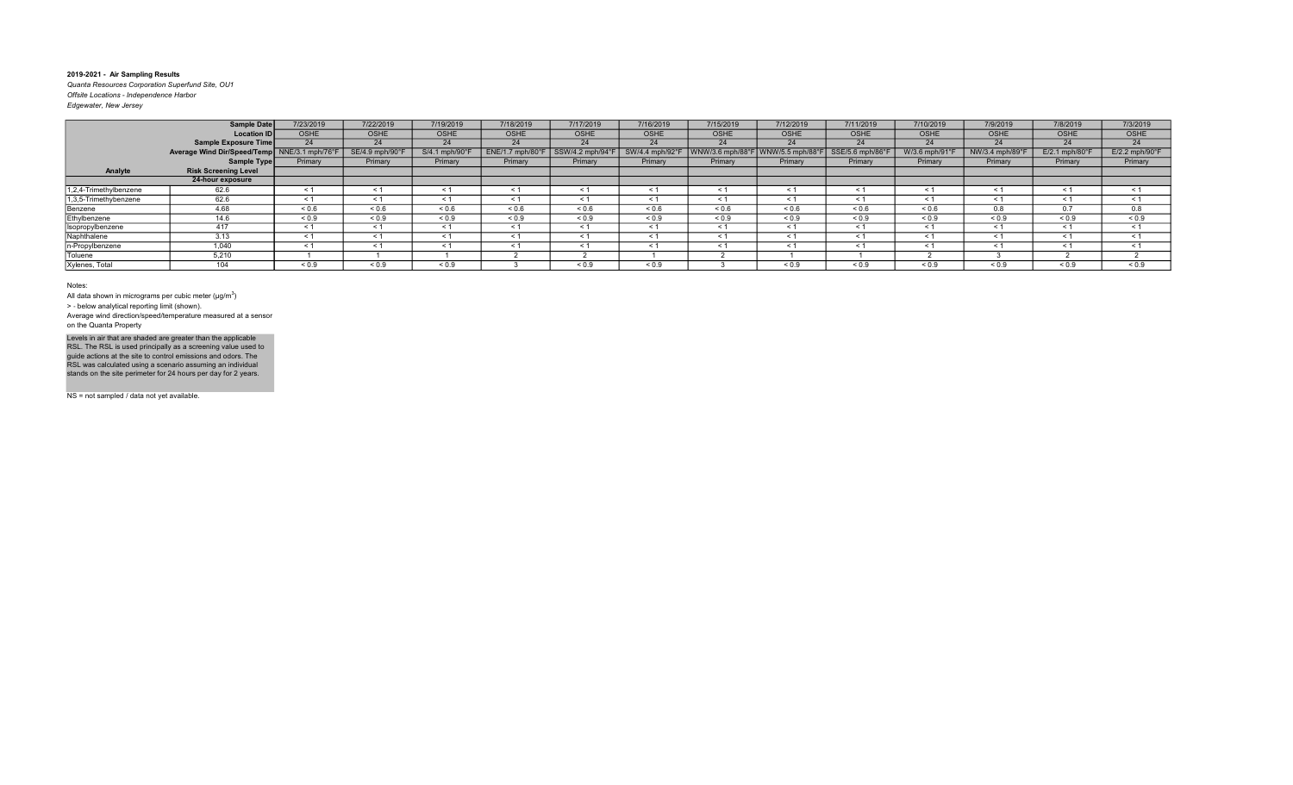Quanta Resources Corporation Superfund Site, OU1 Offsite Locations - Independence Harbor Edgewater, New Jersey

|                        | Sample Date                                  | 7/23/2019   | 7/22/2019      | 7/19/2019      | 7/18/2019         | 7/17/2019       | 7/16/2019       | 7/15/2019        | 7/12/2019        | 7/11/2019        | 7/10/2019    | 7/9/2019        | 7/8/2019                   | 7/3/2019                   |
|------------------------|----------------------------------------------|-------------|----------------|----------------|-------------------|-----------------|-----------------|------------------|------------------|------------------|--------------|-----------------|----------------------------|----------------------------|
|                        | <b>Location IDI</b>                          | <b>OSHE</b> | <b>OSHE</b>    | <b>OSHE</b>    | OSHE              | <b>OSHE</b>     | <b>OSHE</b>     | OSHE             | <b>OSHE</b>      | <b>OSHE</b>      | <b>OSHE</b>  | <b>OSHE</b>     | <b>OSHE</b>                | OSHE                       |
|                        | Sample Exposure Time                         | 24          | 24             | 24             | 24                | 24              | 24              | 24               | 24               | 24               | 24           | 24              | 24                         | 24                         |
|                        | Average Wind Dir/Speed/Temp NNE/3.1 mph/76°F |             | SE/4.9 mph/90° | S/4.1 mph/90°F | ENE/1.7 mph/      | SSW/4.2 mph/94° | SW/4.4 mph/92°F | WNW/3.6 mph/88°F | WNW/5.5 mph/88°I | SSE/5.6 mph/86°F | W/3.6 mph/91 | NW/3.4 mph/89°I | $E/2.1$ mph/80 $\degree$ F | $E/2.2$ mph/90 $\degree$ F |
|                        | Sample Type                                  | Primary     | Primary        | Primary        | Primary           | Primary         | Primary         | Primary          | Primary          | Primary          | Primary      | Primary         | Primary                    | Primary                    |
| Analyte                | <b>Risk Screening Level</b>                  |             |                |                |                   |                 |                 |                  |                  |                  |              |                 |                            |                            |
|                        | 24-hour exposure                             |             |                |                |                   |                 |                 |                  |                  |                  |              |                 |                            |                            |
| 1,2,4-Trimethylbenzene | 62.6                                         | < 1         | $\leq 1$       | ≺ 1            | < 1               | $\leq 1$        | ≺ 1             | < 1              | $\leq 1$         | $\leq 1$         | $\leq$ 1     | $\leq 1$        | $\leq 1$                   | $\leq$ 1                   |
| 1,3,5-Trimethybenzene  | 62.6                                         | $\leq$ 1    | $\leq 1$       |                | $\leq 1$          | < 1             | $\leq 1$        | $\leq 1$         | $\leq 1$         |                  | $\leq$ 1     | $\leq 1$        | $\tilde{}$                 | $\leq$ 1                   |
| Benzene                | 4.68                                         | ${}_{0.6}$  | ${}_{0.6}$     | ${}_{0.6}$     | ${}^{5}$ ${}^{6}$ | ${}_{0.6}$      | ${}_{0.6}$      | ${}^{5}$ 0.6     | ${}_{0.6}$       | 0.6              | ${}^{5}$ 0.6 | 0.8             | 0.7                        | 0.8                        |
| Ethylbenzene           | 14.6                                         | ${}_{0.9}$  | ${}_{0.9}$     | ${}_{0.9}$     | ${}_{0.9}$        | ${}_{0.9}$      | ${}_{0.9}$      | ${}_{0.9}$       | ${}_{0.9}$       | ${}_{0.9}$       | ${}_{0.9}$   | ${}_{0.9}$      | ${}_{0.9}$                 | ${}_{0.9}$                 |
| Isopropylbenzene       | 417                                          | $\leq 1$    | $\leq 1$       |                | < 1               | $\leq 1$        | < 1             | $\leq 1$         | $\leq 1$         | < 1              | $\leq 1$     | $\leq 1$        | < 1                        | $\leq$ 1                   |
| Naphthalene            | 3.13                                         | $\leq$ 1    | < 1            | < 1            | < 1               | < 1             | < 1             | < 1              | < 1              | < 1              | < 1          | < 1             | $\leq$ 1                   | $\leq$ 1                   |
| In-Propylbenzene       | 1.040                                        | < 1         | < 1            | < 1            | < 1               | < 1             | < 1             | < 1              | < 1              | < 1              | $\leq$ 1     | < 1             | < 1                        | < 1                        |
| Toluene                | 5,210                                        |             |                |                |                   |                 |                 |                  |                  |                  |              |                 |                            |                            |
| Xylenes, Total         | 104                                          | ${}_{0.9}$  | ${}_{0.9}$     | ${}_{0.9}$     |                   | ${}_{0.9}$      | ${}_{0.9}$      |                  | ${}_{0.9}$       | ${}_{0.9}$       | ${}_{0.9}$   | ${}_{0.9}$      | ${}_{0.9}$                 | ${}_{0.9}$                 |

Notes:

All data shown in micrograms per cubic meter ( $\mu$ g/m $^3$ )

> ‐ below analytical reporting limit (shown).

Average wind direction/speed/temperature measured at a sensor on the Quanta Property

Levels in air that are shaded are greater than the applicable<br>RSL. The RSL is used principally as a screening value used to<br>guide actions at the site to control emissions and odors. The<br>RSL was calculated using a scenario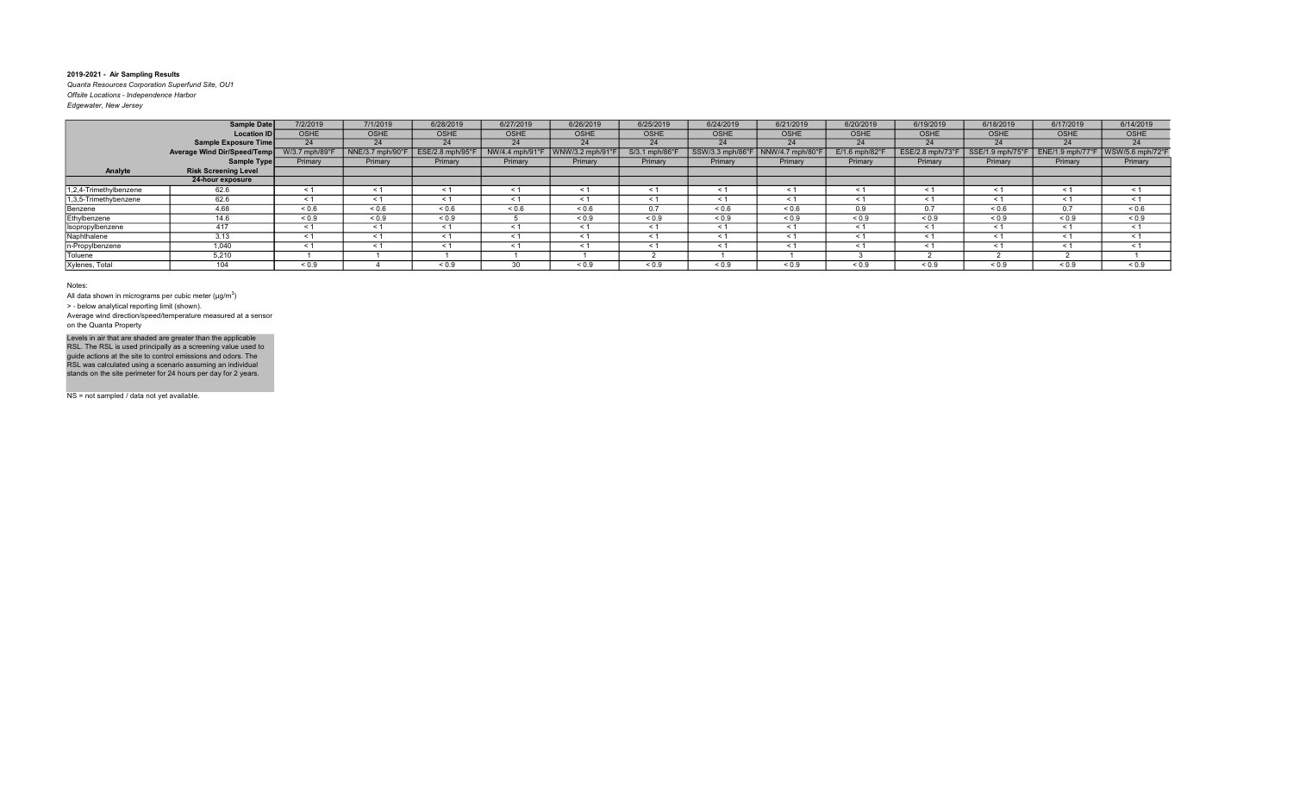Quanta Resources Corporation Superfund Site, OU1 Offsite Locations - Independence Harbor

| Edgewater, New Jersey |  |
|-----------------------|--|
|                       |  |

|                        | Sample Date                 | 7/2/2019       | 7/1/2019         | 6/28/2019                   | 6/27/2019      | 6/26/2019      | 6/25/2019                 | 6/24/2019        | 6/21/2019      | 6/20/2019                  | 6/19/2019       | 6/18/2019         | 6/17/2019   | 6/14/2019                           |
|------------------------|-----------------------------|----------------|------------------|-----------------------------|----------------|----------------|---------------------------|------------------|----------------|----------------------------|-----------------|-------------------|-------------|-------------------------------------|
|                        | <b>Location ID</b>          | <b>OSHE</b>    | <b>OSHE</b>      | <b>OSHE</b>                 | <b>OSHE</b>    | <b>OSHE</b>    | <b>OSHE</b>               | <b>OSHE</b>      | <b>OSHE</b>    | <b>OSHE</b>                | <b>OSHE</b>     | <b>OSHE</b>       | <b>OSHE</b> | <b>OSHE</b>                         |
|                        | Sample Exposure Time        | 24             | 24               | 24                          | 24             | 24             | 24                        | 24               | 24             | 24                         | 24              | 24                | 24          | 24                                  |
|                        | Average Wind Dir/Speed/Temp | W/3.7 mph/89°F | NNE/3.7 mph/90°F | $ESE/2.8$ mph/95 $^{\circ}$ | NW/4.4 mph/91° | WNW/3.2 mph/91 | $S/3.1$ mph/86 $^{\circ}$ | SSW/3.3 mph/86°F | NNW/4.7 mph/80 | $E/1.6$ mph/82 $\degree$ F | ESE/2.8 mph/73° | SSE/1.9 mph/75°F  |             | ENE/1.9 mph/77°F   WSW/5.6 mph/72°F |
|                        | Sample Type                 | Primary        | Primary          | Primary                     | Primary        | Primary        | Primary                   | Primary          | Primary        | Primary                    | Primary         | Primary           | Primary     | Primary                             |
| Analyte                | <b>Risk Screening Level</b> |                |                  |                             |                |                |                           |                  |                |                            |                 |                   |             |                                     |
|                        | 24-hour exposure            |                |                  |                             |                |                |                           |                  |                |                            |                 |                   |             |                                     |
| 1,2,4-Trimethylbenzene | 62.6                        | $\leq 1$       | < 1              | $\leq$                      | $\leq$ 1       | < 1            | $\leq$ 1                  | $\leq$ 1         | < 1            | < 1                        | $\leq$ 1        | $\leq 1$          | < 1         | < 1                                 |
| 1,3,5-Trimethybenzene  | 62.6                        | < 1            | $\leq 1$         | < 1                         | $\leq$ 1       | $\leq 1$       | < 1                       | $\leq 1$         | $\leq 1$       | < 1                        | $\leq 1$        | $\leq 1$          | < 1         | $\leq$ 1                            |
| Benzene                | 4.68                        | ${}_{0.6}$     | ${}_{0.6}$       | 0.6                         | ${}_{0.6}$     | ${}^{5}$ 0.6   | 0.7                       | ${}_{0.6}$       | ${}^{5}$ 0.6   | 0.9                        | 0.7             | ${}^{5}$ ${}^{6}$ | 0.7         | ${}^{5}$ $\leq$ 0.6                 |
| Ethylbenzene           | 14.6                        | ${}_{0.9}$     | ${}_{0.9}$       | ${}_{0.9}$                  |                | ${}_{0.9}$     | ${}_{0.9}$                | ${}_{0.9}$       | ${}_{0.9}$     | ${}_{0.9}$                 | ${}_{0.9}$      | ${}_{0.9}$        | ${}_{0.9}$  | ${}_{0.9}$                          |
| Isopropylbenzene       | 417                         | < 1            | $\leq 1$         | < 1                         | $\leq$ 1       | $\leq 1$       | < 1                       | < 1              | $\leq 1$       | < 1                        | < 1             | $\leq 1$          | $\leq 1$    | < 1                                 |
| Naphthalene            | 3.13                        | < 1            | $\leq 1$         | $\leq 1$                    | < 1            | < 1            | $\leq 1$                  | < 1              | < 1            | $\leq 1$                   | < 1             | $\leq 1$          | < 1         | < 1                                 |
| n-Propylbenzene        | 1,040                       | < 1            | $\leq 1$         | < 1                         | < 1            | $\leq 1$       | $\leq 1$                  | $\leq 1$         | $\leq 1$       | $\leq 1$                   | $\leq 1$        | $\leq 1$          | $\leq 1$    | $\leq$ 1                            |
| Toluene                | 5,210                       |                |                  |                             |                |                |                           |                  |                |                            |                 |                   |             |                                     |
| Xylenes, Total         | 104                         | ${}_{0.9}$     |                  | ${}_{0.9}$                  | 30             | ${}_{0.9}$     | ${}_{0.9}$                | ${}_{0.9}$       | ${}_{0.9}$     | ${}_{0.9}$                 | ${}_{0.9}$      | ${}_{0.9}$        | ${}_{0.9}$  | ${}_{0.9}$                          |

#### Notes:

All data shown in micrograms per cubic meter ( $\mu$ g/m $^3$ )

> ‐ below analytical reporting limit (shown).

Average wind direction/speed/temperature measured at a sensor on the Quanta Property

Levels in air that are shaded are greater than the applicable<br>RSL. The RSL is used principally as a screening value used to<br>guide actions at the site to control emissions and odors. The<br>RSL was calculated using a scenario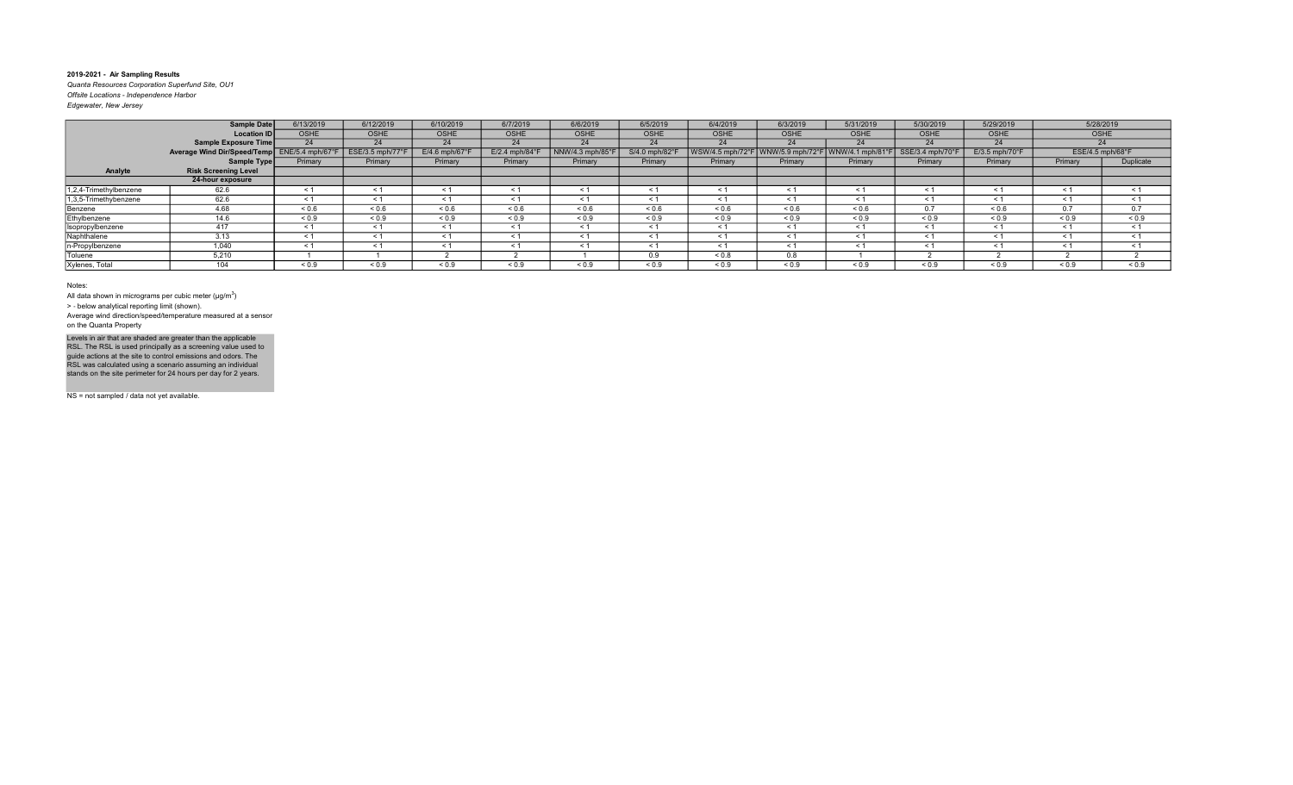Quanta Resources Corporation Superfund Site, OU1 Offsite Locations - Independence Harbor Edgewater, New Jersey

|                        | <b>Sample Date</b>                           | 6/13/2019   | 6/12/2019       | 6/10/2019                  | 6/7/2019                  | 6/6/2019        | 6/5/2019       | 6/4/2019           | 6/3/2019        | 5/31/2019             | 5/30/2019        | 5/29/2019                  |                               | 5/28/2019  |
|------------------------|----------------------------------------------|-------------|-----------------|----------------------------|---------------------------|-----------------|----------------|--------------------|-----------------|-----------------------|------------------|----------------------------|-------------------------------|------------|
|                        | <b>Location ID</b>                           | <b>OSHE</b> | OSHE            | <b>OSHE</b>                | <b>OSHE</b>               | <b>OSHE</b>     | <b>OSHE</b>    | <b>OSHE</b>        | OSHE            | <b>OSHE</b>           | <b>OSHE</b>      | <b>OSHE</b>                | OSHE                          |            |
|                        | Sample Exposure Time                         | 24          | 24              | 24                         | 24                        | 24              | 24             | 24                 | 24              | 24                    | 24               | 24                         |                               | 24         |
|                        | Average Wind Dir/Speed/Temp ENE/5.4 mph/67°F |             | ESE/3.5 mph/77° | $E/4.6$ mph/67 $\degree$ F | $E/2.4$ mph/84 $^{\circ}$ | NNW/4.3 mph/85° | S/4.0 mph/82°F | $WSW/4.5$ mph/72°F | NW/5.9 mph/72°F | WNW/4.1 mph/81°F      | SSE/3.4 mph/70°F | $E/3.5$ mph/70 $\degree$ F | $ESE/4.5$ mph/68°F            |            |
|                        | Sample Type                                  | Primary     | Primary         | Primary                    | Primary                   | Primary         | Primary        | Primary            | Primary         | Primary               | Primary          | Primary                    | Primary                       | Duplicate  |
| Analyte                | <b>Risk Screening Level</b>                  |             |                 |                            |                           |                 |                |                    |                 |                       |                  |                            |                               |            |
|                        | 24-hour exposure                             |             |                 |                            |                           |                 |                |                    |                 |                       |                  |                            |                               |            |
| 1,2,4-Trimethylbenzene | 62.6                                         | $\leq 1$    | $\leq 1$        | ≺ 1                        | $\leq$ 1                  | $\leq 1$        | ≺ 1            | $\leq 1$           | $\leq 1$        | $\leq 1$              | $\leq$ 1         | $\leq 1$                   | $\leq 1$                      | $\leq$ 1   |
| 1,3,5-Trimethybenzene  | 62.6                                         | $\leq 1$    | $\leq 1$        |                            | $\leq$ 1                  | $\leq 1$        |                | $\leq 1$           | $\leq 1$        | $\prec$ $\sim$        | $\leq$ 1         | $\leq 1$                   | $\prec$ $\check{\phantom{a}}$ | $\leq$ 1   |
| Benzene                | 4.68                                         | ${}_{0.6}$  | ${}^{5}$ 0.6    | 0.6                        | ${}_{0.6}$                | ${}_{0.6}$      | 0.6            | ${}_{0.6}$         | ${}^{5}$ 0.6    | 0.6                   | 0.7              | ${}^{5}$ 0.6               | 0.7                           | 0.7        |
| Ethylbenzene           | 14.6                                         | ${}_{0.9}$  | ${}_{0.9}$      | ${}_{0.9}$                 | ${}_{0.9}$                | ${}_{0.9}$      | ${}_{0.9}$     | ${}_{0.9}$         | ${}_{0.9}$      | ${}_{0.9}$            | ${}_{0.9}$       | ${}_{0.9}$                 | ${}_{0.9}$                    | ${}_{0.9}$ |
| Isopropylbenzene       | 417                                          | < 1         | < 1             | < 1                        | < 1                       | < 1             | $\leq$ 1       | < 1                | < 1             | $\leq$ 1              | < 1              | < 1                        | $\leq$ 1                      | < 1        |
| Naphthalene            | 3.13                                         | $\leq 1$    | < 1             | < 1                        | $\leq$ 1                  | < 1             | < 1            | $\leq 1$           | $\leq 1$        | $\tilde{\phantom{0}}$ | < 1              | $\leq 1$                   | $<$ 1                         | $\leq$ 1   |
| n-Propylbenzene        | 1,040                                        | $\leq$ 1    | < 1             |                            | $\prec$                   | < 1             |                | < 1                | $\leq 1$        | $\tilde{}$            | < 1              | < 1                        | $\tilde{}$                    | < 1        |
| Toluene                | 5,210                                        |             |                 |                            |                           |                 | 0.9            | ${}_{0.8}$         | 0.8             |                       |                  |                            |                               |            |
| Xylenes, Total         | 104                                          | ${}_{0.9}$  | ${}_{0.9}$      | ${}_{0.9}$                 | ${}_{0.9}$                | ${}_{0.9}$      | ${}_{0.9}$     | ${}_{0.9}$         | 0.9             | ${}_{0.9}$            | ${}_{0.9}$       | 0.9                        | ${}_{0.9}$                    | ${}_{0.9}$ |

Notes:

All data shown in micrograms per cubic meter ( $\mu$ g/m $^3$ )

> ‐ below analytical reporting limit (shown).

Average wind direction/speed/temperature measured at a sensor on the Quanta Property

Levels in air that are shaded are greater than the applicable<br>RSL. The RSL is used principally as a screening value used to<br>guide actions at the site to control emissions and odors. The<br>RSL was calculated using a scenario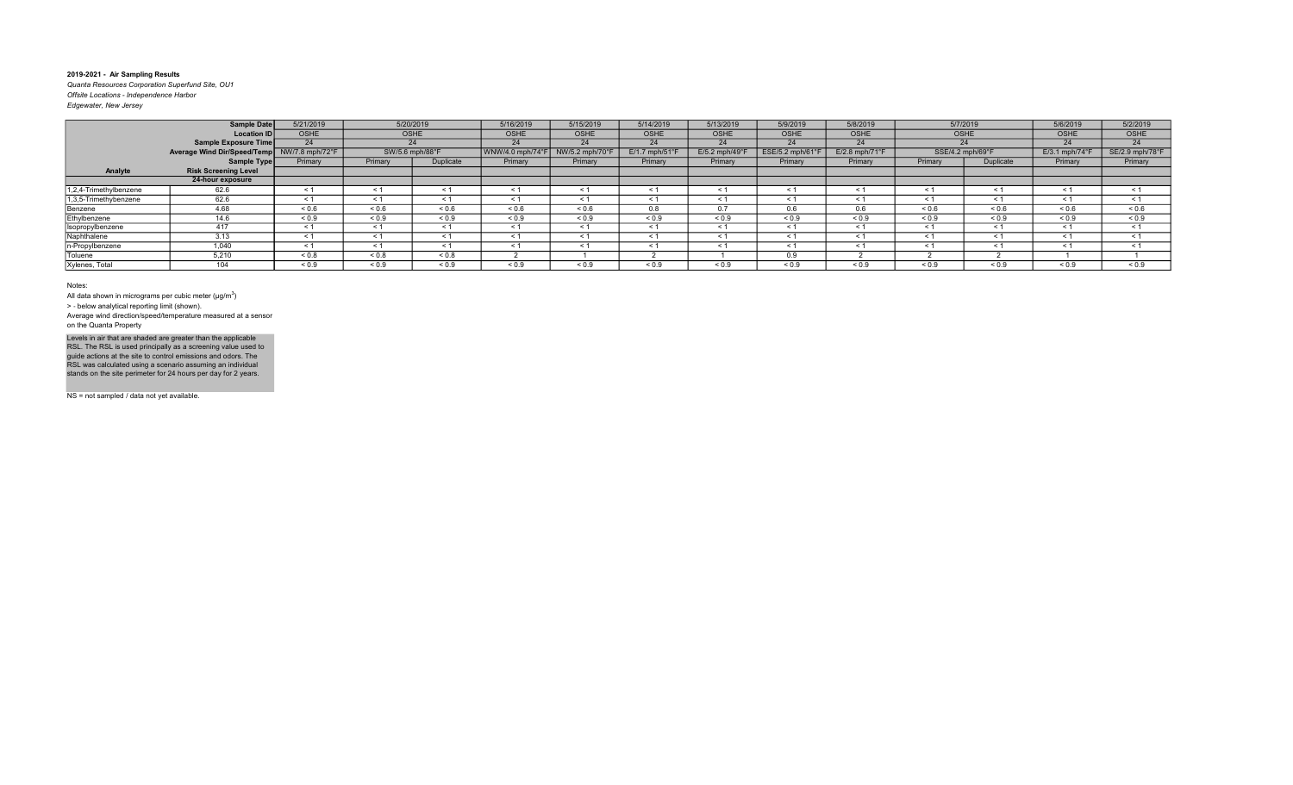Quanta Resources Corporation Superfund Site, OU1 Offsite Locations - Independence Harbor Edgewater, New Jersey

| <b>Sample Date</b>     |                                   | 5/21/2019       | 5/20/2019       |            | 5/16/2019                                        | 5/15/2019      | 5/14/2019                  | 5/13/2019     | 5/9/2019         | 5/8/2019                      |            | 5/7/2019         | 5/6/2019                   | 5/2/2019        |
|------------------------|-----------------------------------|-----------------|-----------------|------------|--------------------------------------------------|----------------|----------------------------|---------------|------------------|-------------------------------|------------|------------------|----------------------------|-----------------|
|                        | <b>OSHE</b><br><b>Location ID</b> |                 |                 | OSHE       |                                                  | <b>OSHE</b>    | <b>OSHE</b>                | OSHE          | OSHE             | <b>OSHE</b>                   | OSHE       |                  | <b>OSHE</b>                | OSHE            |
|                        | Sample Exposure Time              | 24              |                 |            | 24                                               | 24             | 24                         | 24            | 24               | 24                            |            | 24               | 24                         | 24              |
|                        | Average Wind Dir/Speed/Temp       | NW/7.8 mph/72°F | SW/5.6 mph/88°F |            | $\sqrt{\text{WNW}}/4.0 \text{ mph}/74 \text{°F}$ | NW/5.2 mph/70° | $E/1.7$ mph/51 $\degree$ F | E/5.2 mph/49° | ESE/5.2 mph/61°I | $E/2.8$ mph/71 $\degree$ F    |            | SSE/4.2 mph/69°F | $E/3.1$ mph/74 $\degree$ F | SE/2.9 mph/78°F |
|                        | Sample Type                       | Primary         | Primary         | Duplicate  | Primary                                          | Primary        | Primary                    | Primary       | Primary          | Primary                       | Primary    | Duplicate        | Primary                    | Primary         |
| Analyte                | <b>Risk Screening Level</b>       |                 |                 |            |                                                  |                |                            |               |                  |                               |            |                  |                            |                 |
|                        | 24-hour exposure                  |                 |                 |            |                                                  |                |                            |               |                  |                               |            |                  |                            |                 |
| 1,2,4-Trimethylbenzene | 62.6                              | $\leq 1$        | $\leq 1$        | < 1        | $\leq$ 1                                         | $\leq 1$       | $\leq$ 1                   | $\leq 1$      | $\leq 1$         | $\prec$ $\check{\phantom{a}}$ | < 1        | $\leq 1$         | $\leq$ 1                   | $\leq$ 1        |
| 1,3,5-Trimethybenzene  | 62.6                              | $\leq$ 1        | $\leq 1$        |            | $\leq$ 1                                         | $\leq 1$       |                            | < 1           | < 1              | ≺                             | < 1        | $\leq 1$         | $\tilde{}$                 | $\leq$ 1        |
| Benzene                | 4.68                              | ${}_{0.6}$      | ${}^{5}$ 0.6    | 0.6        | ${}_{0.6}$                                       | ${}^{5}$ 0.6   | 0.8                        | 0.7           | 0.6              | 0.6                           | ${}_{0.6}$ | ${}^{5}$ 0.6     | 0.6                        | ${}_{0.6}$      |
| Ethylbenzene           | 14.6                              | ${}_{0.9}$      | ${}_{0.9}$      | ${}_{0.9}$ | ${}_{0.9}$                                       | ${}_{0.9}$     | ${}_{0.9}$                 | ${}_{0.9}$    | ${}_{0.9}$       | ${}_{0.9}$                    | ${}_{0.9}$ | ${}_{0.9}$       | ${}_{0.9}$                 | ${}_{0.9}$      |
| Isopropylbenzene       | 417                               | $\leq 1$        | $\leq 1$        | < 1        | $\leq 1$                                         | $\leq 1$       | ≺ 1                        | $\leq 1$      | $\leq 1$         | $\tilde{\phantom{0}}$         | $\leq$ 1   | $\leq 1$         | $\tilde{}$                 | $\leq$ 1        |
| Naphthalene            | 3.13                              | $\leq 1$        | < 1             | < 1        | $\leq$ 1                                         | < 1            | $\leq$ 1                   | $\leq 1$      | $\leq 1$         | $\prec$ $\prime$              | < 1        | $\leq 1$         | $\leq$ 1                   | $\leq$ 1        |
| n-Propylbenzene        | 1,040                             | $\leq 1$        | < 1             | < 1        | $\leq$ 1                                         | < 1            | $\leq$ 1                   | < 1           | $\leq 1$         | $\leq$ 1                      | < 1        | $\leq 1$         | $\leq$ 1                   | < 1             |
| Toluene                | 5,210                             | ${}_{0.8}$      | ${}_{0.8}$      | ${}_{0.8}$ |                                                  |                |                            |               | 0.9              |                               |            |                  |                            |                 |
| Xylenes, Total         | 104                               | ${}_{0.9}$      | ${}_{0.9}$      | ${}_{0.9}$ | ${}_{0.9}$                                       | ${}_{0.9}$     | ${}_{0.9}$                 | ${}_{0.9}$    | ${}_{0.9}$       | ${}_{0.9}$                    | ${}_{0.9}$ | ${}_{0.9}$       | ${}_{0.9}$                 | ${}_{0.9}$      |

#### Notes:

All data shown in micrograms per cubic meter ( $\mu$ g/m $^3$ )

> ‐ below analytical reporting limit (shown).

Average wind direction/speed/temperature measured at a sensor on the Quanta Property

Levels in air that are shaded are greater than the applicable<br>RSL. The RSL is used principally as a screening value used to<br>guide actions at the site to control emissions and odors. The<br>RSL was calculated using a scenario